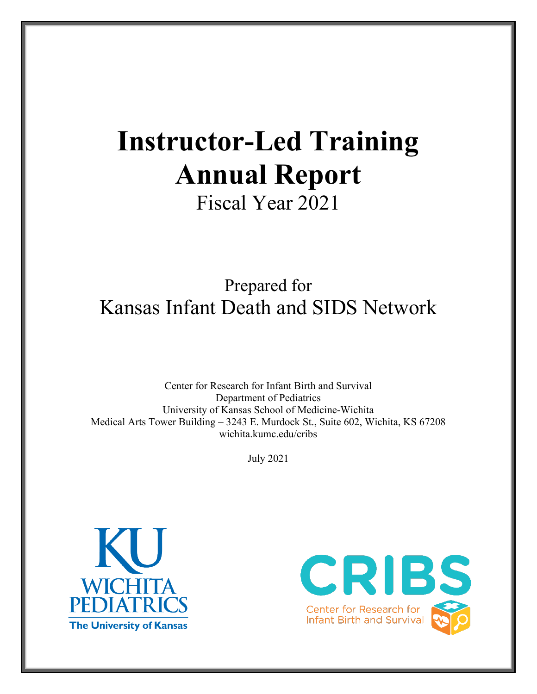# **Instructor-Led Training Annual Report**

Fiscal Year 2021

## Prepared for Kansas Infant Death and SIDS Network

Center for Research for Infant Birth and Survival Department of Pediatrics University of Kansas School of Medicine-Wichita Medical Arts Tower Building – 3243 E. Murdock St., Suite 602, Wichita, KS 67208 wichita.kumc.edu/cribs

July 2021



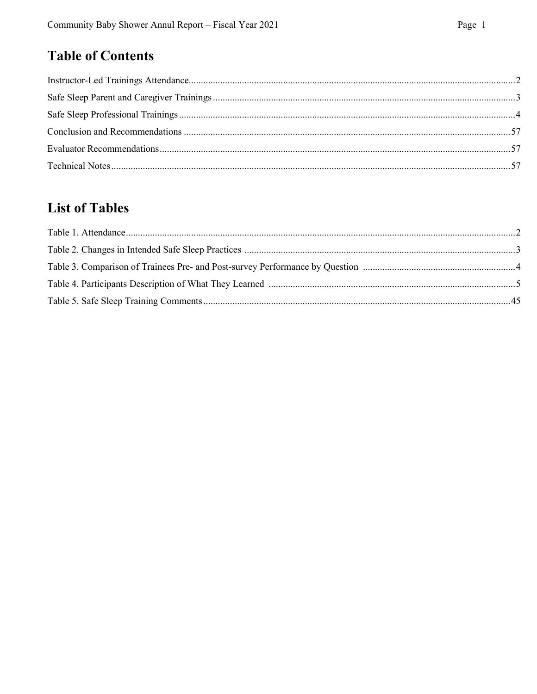## **Table of Contents**

## **List of Tables**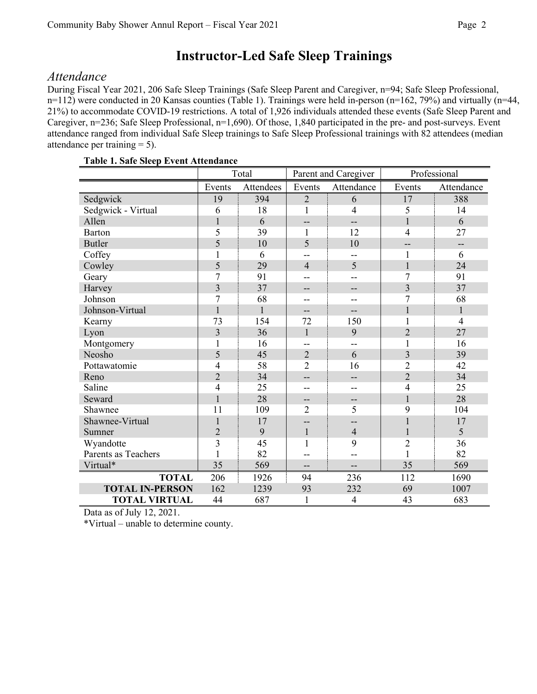## **Instructor-Led Safe Sleep Trainings**

#### *Attendance*

During Fiscal Year 2021, 206 Safe Sleep Trainings (Safe Sleep Parent and Caregiver, n=94; Safe Sleep Professional, n=112) were conducted in 20 Kansas counties (Table 1). Trainings were held in-person (n=162, 79%) and virtually (n=44, 21%) to accommodate COVID-19 restrictions. A total of 1,926 individuals attended these events (Safe Sleep Parent and Caregiver, n=236; Safe Sleep Professional, n=1,690). Of those, 1,840 participated in the pre- and post-surveys. Event attendance ranged from individual Safe Sleep trainings to Safe Sleep Professional trainings with 82 attendees (median attendance per training  $= 5$ ).

|                        | Total          |              | Parent and Caregiver |                | Professional   |                |
|------------------------|----------------|--------------|----------------------|----------------|----------------|----------------|
|                        | Events         | Attendees    | Events               | Attendance     | Events         | Attendance     |
| Sedgwick               | 19             | 394          | $\overline{2}$       | 6              | 17             | 388            |
| Sedgwick - Virtual     | 6              | 18           | 1                    | 4              | 5              | 14             |
| Allen                  | 1              | 6            | --                   | $-$            | $\mathbf{1}$   | 6              |
| Barton                 | 5              | 39           | 1                    | 12             | $\overline{4}$ | 27             |
| <b>Butler</b>          | 5              | 10           | 5                    | 10             | --             | --             |
| Coffey                 | 1              | 6            | --                   | --             | 1              | 6              |
| Cowley                 | 5              | 29           | $\overline{4}$       | 5              | $\mathbf{1}$   | 24             |
| Geary                  | $\overline{7}$ | 91           | --                   | --             | $\overline{7}$ | 91             |
| Harvey                 | 3              | 37           | --                   | --             | 3              | 37             |
| Johnson                | $\overline{7}$ | 68           | --                   |                | 7              | 68             |
| Johnson-Virtual        | $\mathbf{1}$   | $\mathbf{1}$ | --                   | --             | 1              | 1              |
| Kearny                 | 73             | 154          | 72                   | 150            | $\mathbf 1$    | $\overline{4}$ |
| Lyon                   | $\overline{3}$ | 36           | $\mathbf{1}$         | 9              | $\overline{2}$ | 27             |
| Montgomery             | 1              | 16           | --                   | --             | 1              | 16             |
| Neosho                 | 5              | 45           | $\overline{2}$       | 6              | $\overline{3}$ | 39             |
| Pottawatomie           | 4              | 58           | $\overline{2}$       | 16             | $\overline{2}$ | 42             |
| Reno                   | $\overline{2}$ | 34           | --                   | --             | $\overline{2}$ | 34             |
| Saline                 | $\overline{4}$ | 25           | --                   | --             | $\overline{4}$ | 25             |
| Seward                 | 1              | 28           | --                   | --             | 1              | 28             |
| Shawnee                | 11             | 109          | $\overline{2}$       | 5              | 9              | 104            |
| Shawnee-Virtual        | 1              | 17           |                      | --             | $\mathbf{1}$   | 17             |
| Sumner                 | $\overline{2}$ | 9            | $\mathbf{1}$         | $\overline{4}$ | $\mathbf{1}$   | 5              |
| Wyandotte              | $\overline{3}$ | 45           | $\mathbf{1}$         | 9              | $\overline{2}$ | 36             |
| Parents as Teachers    |                | 82           |                      | --             | $\mathbf{1}$   | 82             |
| Virtual*               | 35             | 569          | --                   | --             | 35             | 569            |
| <b>TOTAL</b>           | 206            | 1926         | 94                   | 236            | 112            | 1690           |
| <b>TOTAL IN-PERSON</b> | 162            | 1239         | 93                   | 232            | 69             | 1007           |
| <b>TOTAL VIRTUAL</b>   | 44             | 687          | $\mathbf{1}$         | 4              | 43             | 683            |

#### **Table 1. Safe Sleep Event Attendance**

Data as of July 12, 2021.

\*Virtual – unable to determine county.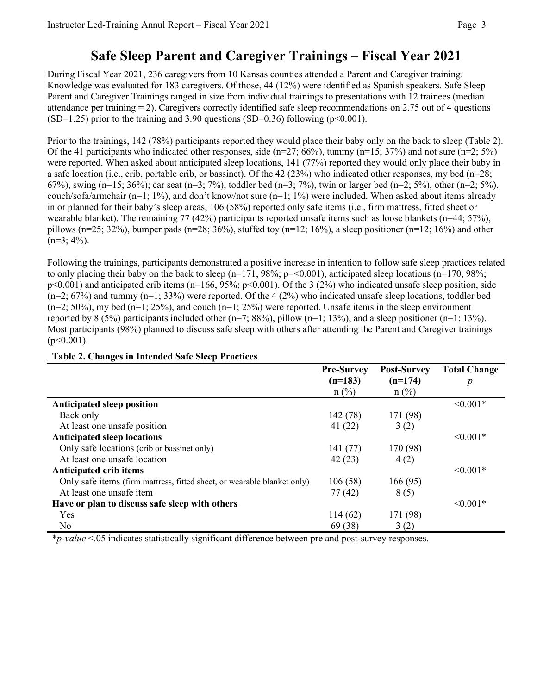## **Safe Sleep Parent and Caregiver Trainings – Fiscal Year 2021**

During Fiscal Year 2021, 236 caregivers from 10 Kansas counties attended a Parent and Caregiver training. Knowledge was evaluated for 183 caregivers. Of those, 44 (12%) were identified as Spanish speakers. Safe Sleep Parent and Caregiver Trainings ranged in size from individual trainings to presentations with 12 trainees (median attendance per training  $= 2$ ). Caregivers correctly identified safe sleep recommendations on 2.75 out of 4 questions  $(SD=1.25)$  prior to the training and 3.90 questions  $(SD=0.36)$  following (p<0.001).

Prior to the trainings, 142 (78%) participants reported they would place their baby only on the back to sleep (Table 2). Of the 41 participants who indicated other responses, side ( $n=27$ ; 66%), tummy ( $n=15$ ; 37%) and not sure ( $n=2$ ; 5%) were reported. When asked about anticipated sleep locations, 141 (77%) reported they would only place their baby in a safe location (i.e., crib, portable crib, or bassinet). Of the 42 (23%) who indicated other responses, my bed ( $n=28$ ; 67%), swing (n=15; 36%); car seat (n=3; 7%), toddler bed (n=3; 7%), twin or larger bed (n=2; 5%), other (n=2; 5%), couch/sofa/armchair (n=1; 1%), and don't know/not sure (n=1; 1%) were included. When asked about items already in or planned for their baby's sleep areas, 106 (58%) reported only safe items (i.e., firm mattress, fitted sheet or wearable blanket). The remaining 77 (42%) participants reported unsafe items such as loose blankets (n=44; 57%), pillows (n=25; 32%), bumper pads (n=28; 36%), stuffed toy (n=12; 16%), a sleep positioner (n=12; 16%) and other  $(n=3; 4\%)$ .

Following the trainings, participants demonstrated a positive increase in intention to follow safe sleep practices related to only placing their baby on the back to sleep ( $n=171$ , 98%;  $p=<0.001$ ), anticipated sleep locations ( $n=170$ , 98%;  $p<0.001$ ) and anticipated crib items (n=166, 95%; p<0.001). Of the 3 (2%) who indicated unsafe sleep position, side  $(n=2; 67%)$  and tummy  $(n=1; 33%)$  were reported. Of the 4 (2%) who indicated unsafe sleep locations, toddler bed  $(n=2; 50\%)$ , my bed  $(n=1; 25\%)$ , and couch  $(n=1; 25\%)$  were reported. Unsafe items in the sleep environment reported by 8 (5%) participants included other ( $n=7$ ; 88%), pillow ( $n=1$ ; 13%), and a sleep positioner ( $n=1$ ; 13%). Most participants (98%) planned to discuss safe sleep with others after attending the Parent and Caregiver trainings  $(p<0.001)$ .

|                                                                         | <b>Pre-Survey</b> | <b>Post-Survey</b> | <b>Total Change</b> |
|-------------------------------------------------------------------------|-------------------|--------------------|---------------------|
|                                                                         | $(n=183)$         | $(n=174)$          | p                   |
|                                                                         | $n$ (%)           | $n$ (%)            |                     |
| <b>Anticipated sleep position</b>                                       |                   |                    | $< 0.001*$          |
| Back only                                                               | 142(78)           | 171 (98)           |                     |
| At least one unsafe position                                            | 41(22)            | 3(2)               |                     |
| <b>Anticipated sleep locations</b>                                      |                   |                    | $\leq 0.001*$       |
| Only safe locations (crib or bassinet only)                             | 141 (77)          | 170 (98)           |                     |
| At least one unsafe location                                            | 42(23)            | 4(2)               |                     |
| <b>Anticipated crib items</b>                                           |                   |                    | $\leq 0.001*$       |
| Only safe items (firm mattress, fitted sheet, or wearable blanket only) | 106(58)           | 166(95)            |                     |
| At least one unsafe item                                                | 77(42)            | 8(5)               |                     |
| Have or plan to discuss safe sleep with others                          |                   |                    | $< 0.001*$          |
| <b>Yes</b>                                                              | 114(62)           | 171 (98)           |                     |
| No                                                                      | 69(38)            | 3(2)               |                     |

#### **Table 2. Changes in Intended Safe Sleep Practices**

\**p-value* <.05 indicates statistically significant difference between pre and post-survey responses.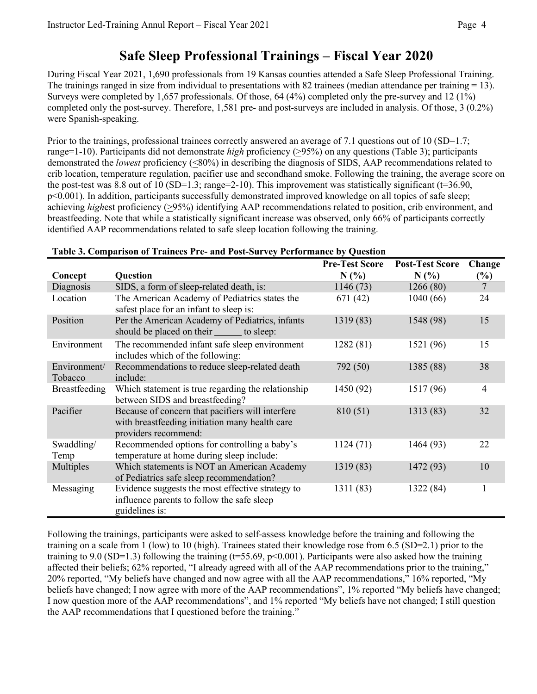### **Safe Sleep Professional Trainings – Fiscal Year 2020**

During Fiscal Year 2021, 1,690 professionals from 19 Kansas counties attended a Safe Sleep Professional Training. The trainings ranged in size from individual to presentations with 82 trainees (median attendance per training  $= 13$ ). Surveys were completed by 1,657 professionals. Of those, 64 (4%) completed only the pre-survey and 12 (1%) completed only the post-survey. Therefore, 1,581 pre- and post-surveys are included in analysis. Of those, 3 (0.2%) were Spanish-speaking.

Prior to the trainings, professional trainees correctly answered an average of 7.1 questions out of 10 (SD=1.7; range=1-10). Participants did not demonstrate *high* proficiency (>95%) on any questions (Table 3); participants demonstrated the *lowest* proficiency (<80%) in describing the diagnosis of SIDS, AAP recommendations related to crib location, temperature regulation, pacifier use and secondhand smoke. Following the training, the average score on the post-test was 8.8 out of 10 (SD=1.3; range=2-10). This improvement was statistically significant ( $t=36.90$ , p<0.001). In addition, participants successfully demonstrated improved knowledge on all topics of safe sleep; achieving *highest* proficiency (>95%) identifying AAP recommendations related to position, crib environment, and breastfeeding. Note that while a statistically significant increase was observed, only 66% of participants correctly identified AAP recommendations related to safe sleep location following the training.

|                         |                                                                                                                            | <b>Pre-Test Score</b> | <b>Post-Test Score</b> | Change         |
|-------------------------|----------------------------------------------------------------------------------------------------------------------------|-----------------------|------------------------|----------------|
| Concept                 | <b>Question</b>                                                                                                            | N(%)                  | $N(\%)$                | (%)            |
| Diagnosis               | SIDS, a form of sleep-related death, is:                                                                                   | 1146 (73)             | 1266(80)               | $\overline{7}$ |
| Location                | The American Academy of Pediatrics states the<br>safest place for an infant to sleep is:                                   | 671 (42)              | 1040(66)               | 24             |
| Position                | Per the American Academy of Pediatrics, infants<br>should be placed on their to sleep:                                     | 1319(83)              | 1548 (98)              | 15             |
| Environment             | The recommended infant safe sleep environment<br>includes which of the following:                                          | 1282 (81)             | 1521 (96)              | 15             |
| Environment/<br>Tobacco | Recommendations to reduce sleep-related death<br>include:                                                                  | 792 (50)              | 1385 (88)              | 38             |
| Breastfeeding           | Which statement is true regarding the relationship<br>between SIDS and breastfeeding?                                      | 1450 (92)             | 1517 (96)              | 4              |
| Pacifier                | Because of concern that pacifiers will interfere<br>with breastfeeding initiation many health care<br>providers recommend: | 810 (51)              | 1313 (83)              | 32             |
| Swaddling/<br>Temp      | Recommended options for controlling a baby's<br>temperature at home during sleep include:                                  | 1124(71)              | 1464 (93)              | 22             |
| Multiples               | Which statements is NOT an American Academy<br>of Pediatrics safe sleep recommendation?                                    | 1319 (83)             | 1472 (93)              | 10             |
| Messaging               | Evidence suggests the most effective strategy to<br>influence parents to follow the safe sleep<br>guidelines is:           | 1311 (83)             | 1322 (84)              |                |

#### **Table 3. Comparison of Trainees Pre- and Post-Survey Performance by Question**

Following the trainings, participants were asked to self-assess knowledge before the training and following the training on a scale from 1 (low) to 10 (high). Trainees stated their knowledge rose from 6.5 (SD=2.1) prior to the training to 9.0 (SD=1.3) following the training (t=55.69, p<0.001). Participants were also asked how the training affected their beliefs; 62% reported, "I already agreed with all of the AAP recommendations prior to the training," 20% reported, "My beliefs have changed and now agree with all the AAP recommendations," 16% reported, "My beliefs have changed; I now agree with more of the AAP recommendations", 1% reported "My beliefs have changed; I now question more of the AAP recommendations", and 1% reported "My beliefs have not changed; I still question the AAP recommendations that I questioned before the training."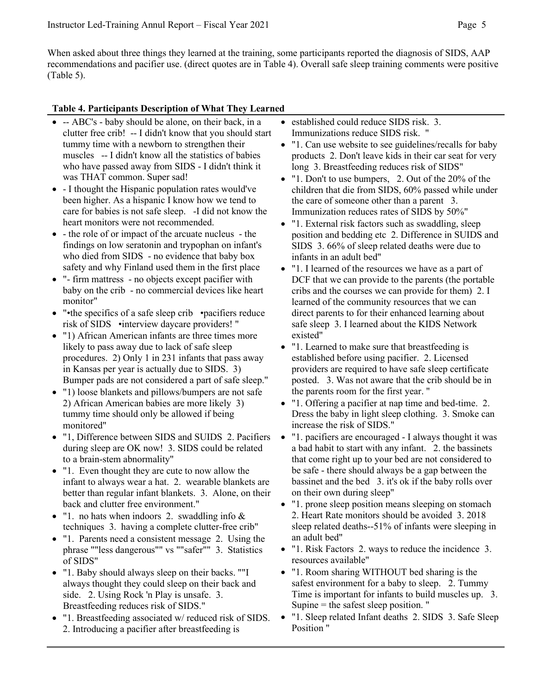When asked about three things they learned at the training, some participants reported the diagnosis of SIDS, AAP recommendations and pacifier use. (direct quotes are in Table 4). Overall safe sleep training comments were positive (Table 5).

#### **Table 4. Participants Description of What They Learned**

- -- ABC's baby should be alone, on their back, in a clutter free crib! -- I didn't know that you should start tummy time with a newborn to strengthen their muscles -- I didn't know all the statistics of babies who have passed away from SIDS - I didn't think it was THAT common. Super sad!
- - I thought the Hispanic population rates would've been higher. As a hispanic I know how we tend to care for babies is not safe sleep. -I did not know the heart monitors were not recommended.
- - the role of or impact of the arcuate nucleus the findings on low seratonin and trypophan on infant's who died from SIDS - no evidence that baby box safety and why Finland used them in the first place
- "- firm mattress no objects except pacifier with baby on the crib - no commercial devices like heart monitor"
- "•the specifics of a safe sleep crib pacifiers reduce risk of SIDS •interview daycare providers! "
- "1) African American infants are three times more likely to pass away due to lack of safe sleep procedures. 2) Only 1 in 231 infants that pass away in Kansas per year is actually due to SIDS. 3) Bumper pads are not considered a part of safe sleep."
- "1) loose blankets and pillows/bumpers are not safe 2) African American babies are more likely 3) tummy time should only be allowed if being monitored"
- "1, Difference between SIDS and SUIDS 2. Pacifiers during sleep are OK now! 3. SIDS could be related to a brain-stem abnormality"
- "1. Even thought they are cute to now allow the infant to always wear a hat. 2. wearable blankets are better than regular infant blankets. 3. Alone, on their back and clutter free environment."
- "1. no hats when indoors 2. swaddling info & techniques 3. having a complete clutter-free crib"
- "1. Parents need a consistent message 2. Using the phrase ""less dangerous"" vs ""safer"" 3. Statistics of SIDS"
- "1. Baby should always sleep on their backs. ""I always thought they could sleep on their back and side. 2. Using Rock 'n Play is unsafe. 3. Breastfeeding reduces risk of SIDS."
- "1. Breastfeeding associated w/ reduced risk of SIDS. 2. Introducing a pacifier after breastfeeding is
- established could reduce SIDS risk. 3. Immunizations reduce SIDS risk. "
- "1. Can use website to see guidelines/recalls for baby products 2. Don't leave kids in their car seat for very long 3. Breastfeeding reduces risk of SIDS"
- "1. Don't to use bumpers, 2. Out of the 20% of the children that die from SIDS, 60% passed while under the care of someone other than a parent 3. Immunization reduces rates of SIDS by 50%"
- "1. External risk factors such as swaddling, sleep position and bedding etc 2. Difference in SUIDS and SIDS 3. 66% of sleep related deaths were due to infants in an adult bed"
- "1. I learned of the resources we have as a part of DCF that we can provide to the parents (the portable cribs and the courses we can provide for them) 2. I learned of the community resources that we can direct parents to for their enhanced learning about safe sleep 3. I learned about the KIDS Network existed"
- "1. Learned to make sure that breastfeeding is established before using pacifier. 2. Licensed providers are required to have safe sleep certificate posted. 3. Was not aware that the crib should be in the parents room for the first year. "
- "1. Offering a pacifier at nap time and bed-time. 2. Dress the baby in light sleep clothing. 3. Smoke can increase the risk of SIDS."
- "1. pacifiers are encouraged I always thought it was a bad habit to start with any infant. 2. the bassinets that come right up to your bed are not considered to be safe - there should always be a gap between the bassinet and the bed 3. it's ok if the baby rolls over on their own during sleep"
- "1. prone sleep position means sleeping on stomach 2. Heart Rate monitors should be avoided 3. 2018 sleep related deaths--51% of infants were sleeping in an adult bed"
- "1. Risk Factors 2. ways to reduce the incidence 3. resources available"
- "1. Room sharing WITHOUT bed sharing is the safest environment for a baby to sleep. 2. Tummy Time is important for infants to build muscles up. 3. Supine = the safest sleep position. "
- "1. Sleep related Infant deaths 2. SIDS 3. Safe Sleep Position "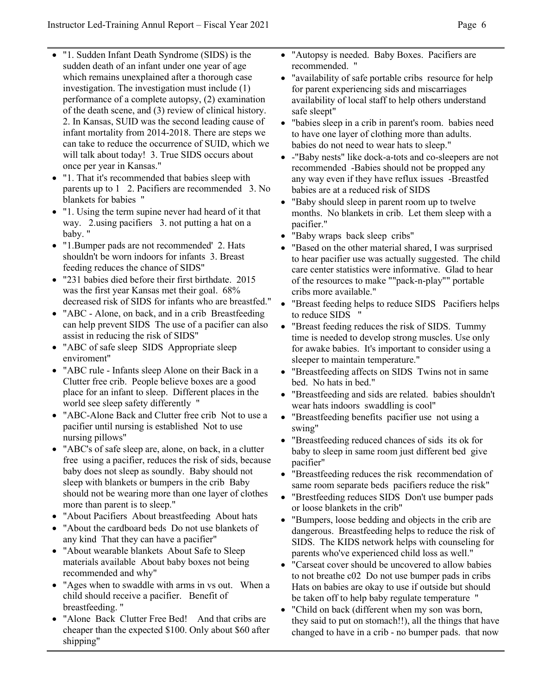- "1. Sudden Infant Death Syndrome (SIDS) is the sudden death of an infant under one year of age which remains unexplained after a thorough case investigation. The investigation must include (1) performance of a complete autopsy, (2) examination of the death scene, and (3) review of clinical history. 2. In Kansas, SUID was the second leading cause of infant mortality from 2014-2018. There are steps we can take to reduce the occurrence of SUID, which we will talk about today! 3. True SIDS occurs about once per year in Kansas."
- "1. That it's recommended that babies sleep with parents up to 1 2. Pacifiers are recommended 3. No blankets for babies "
- "1. Using the term supine never had heard of it that way. 2.using pacifiers 3. not putting a hat on a baby. "
- "1.Bumper pads are not recommended' 2. Hats shouldn't be worn indoors for infants 3. Breast feeding reduces the chance of SIDS"
- "231 babies died before their first birthdate. 2015 was the first year Kansas met their goal. 68% decreased risk of SIDS for infants who are breastfed."
- "ABC Alone, on back, and in a crib Breastfeeding can help prevent SIDS The use of a pacifier can also assist in reducing the risk of SIDS"
- "ABC of safe sleep SIDS Appropriate sleep enviroment"
- "ABC rule Infants sleep Alone on their Back in a Clutter free crib. People believe boxes are a good place for an infant to sleep. Different places in the world see sleep safety differently "
- "ABC-Alone Back and Clutter free crib Not to use a pacifier until nursing is established Not to use nursing pillows"
- "ABC's of safe sleep are, alone, on back, in a clutter free using a pacifier, reduces the risk of sids, because baby does not sleep as soundly. Baby should not sleep with blankets or bumpers in the crib Baby should not be wearing more than one layer of clothes more than parent is to sleep."
- "About Pacifiers About breastfeeding About hats
- "About the cardboard beds Do not use blankets of any kind That they can have a pacifier"
- "About wearable blankets About Safe to Sleep materials available About baby boxes not being recommended and why"
- "Ages when to swaddle with arms in vs out. When a child should receive a pacifier. Benefit of breastfeeding. "
- "Alone Back Clutter Free Bed! And that cribs are cheaper than the expected \$100. Only about \$60 after shipping"
- "Autopsy is needed. Baby Boxes. Pacifiers are recommended. "
- "availability of safe portable cribs resource for help for parent experiencing sids and miscarriages availability of local staff to help others understand safe sleept"
- "babies sleep in a crib in parent's room. babies need to have one layer of clothing more than adults. babies do not need to wear hats to sleep."
- -"Baby nests" like dock-a-tots and co-sleepers are not recommended -Babies should not be propped any any way even if they have reflux issues -Breastfed babies are at a reduced risk of SIDS
- "Baby should sleep in parent room up to twelve months. No blankets in crib. Let them sleep with a pacifier."
- "Baby wraps back sleep cribs"
- "Based on the other material shared, I was surprised to hear pacifier use was actually suggested. The child care center statistics were informative. Glad to hear of the resources to make ""pack-n-play"" portable cribs more available."
- "Breast feeding helps to reduce SIDS Pacifiers helps to reduce SIDS "
- "Breast feeding reduces the risk of SIDS. Tummy time is needed to develop strong muscles. Use only for awake babies. It's important to consider using a sleeper to maintain temperature."
- "Breastfeeding affects on SIDS Twins not in same bed. No hats in bed."
- "Breastfeeding and sids are related. babies shouldn't wear hats indoors swaddling is cool"
- "Breastfeeding benefits pacifier use not using a swing"
- "Breastfeeding reduced chances of sids its ok for baby to sleep in same room just different bed give pacifier"
- "Breastfeeding reduces the risk recommendation of same room separate beds pacifiers reduce the risk"
- "Brestfeeding reduces SIDS Don't use bumper pads or loose blankets in the crib"
- "Bumpers, loose bedding and objects in the crib are dangerous. Breastfeeding helps to reduce the risk of SIDS. The KIDS network helps with counseling for parents who've experienced child loss as well."
- "Carseat cover should be uncovered to allow babies to not breathe c02 Do not use bumper pads in cribs Hats on babies are okay to use if outside but should be taken off to help baby regulate temperature "
- "Child on back (different when my son was born, they said to put on stomach!!), all the things that have changed to have in a crib - no bumper pads. that now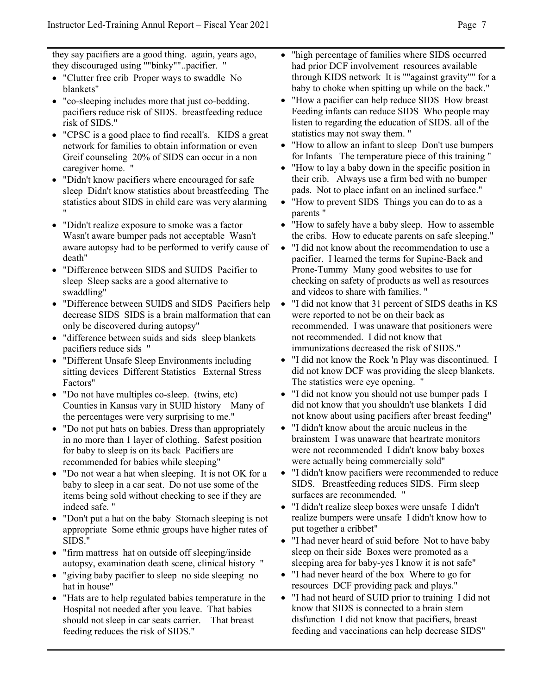they say pacifiers are a good thing. again, years ago, they discouraged using ""binky""..pacifier. "

- "Clutter free crib Proper ways to swaddle No blankets"
- "co-sleeping includes more that just co-bedding. pacifiers reduce risk of SIDS. breastfeeding reduce risk of SIDS."
- "CPSC is a good place to find recall's. KIDS a great network for families to obtain information or even Greif counseling 20% of SIDS can occur in a non caregiver home. "
- "Didn't know pacifiers where encouraged for safe sleep Didn't know statistics about breastfeeding The statistics about SIDS in child care was very alarming "
- "Didn't realize exposure to smoke was a factor Wasn't aware bumper pads not acceptable Wasn't aware autopsy had to be performed to verify cause of death"
- "Difference between SIDS and SUIDS Pacifier to sleep Sleep sacks are a good alternative to swaddling"
- "Difference between SUIDS and SIDS Pacifiers help decrease SIDS SIDS is a brain malformation that can only be discovered during autopsy"
- "difference between suids and sids sleep blankets pacifiers reduce sids "
- "Different Unsafe Sleep Environments including sitting devices Different Statistics External Stress Factors"
- "Do not have multiples co-sleep. (twins, etc) Counties in Kansas vary in SUID history Many of the percentages were very surprising to me."
- "Do not put hats on babies. Dress than appropriately in no more than 1 layer of clothing. Safest position for baby to sleep is on its back Pacifiers are recommended for babies while sleeping"
- "Do not wear a hat when sleeping. It is not OK for a baby to sleep in a car seat. Do not use some of the items being sold without checking to see if they are indeed safe. "
- "Don't put a hat on the baby Stomach sleeping is not appropriate Some ethnic groups have higher rates of SIDS."
- "firm mattress hat on outside off sleeping/inside autopsy, examination death scene, clinical history "
- "giving baby pacifier to sleep no side sleeping no hat in house"
- "Hats are to help regulated babies temperature in the Hospital not needed after you leave. That babies should not sleep in car seats carrier. That breast feeding reduces the risk of SIDS."
- "high percentage of families where SIDS occurred had prior DCF involvement resources available through KIDS network It is ""against gravity"" for a baby to choke when spitting up while on the back."
- "How a pacifier can help reduce SIDS How breast Feeding infants can reduce SIDS Who people may listen to regarding the education of SIDS. all of the statistics may not sway them. "
- "How to allow an infant to sleep Don't use bumpers for Infants The temperature piece of this training "
- "How to lay a baby down in the specific position in their crib. Always use a firm bed with no bumper pads. Not to place infant on an inclined surface."
- "How to prevent SIDS Things you can do to as a parents "
- "How to safely have a baby sleep. How to assemble the cribs. How to educate parents on safe sleeping."
- "I did not know about the recommendation to use a pacifier. I learned the terms for Supine-Back and Prone-Tummy Many good websites to use for checking on safety of products as well as resources and videos to share with families. "
- "I did not know that 31 percent of SIDS deaths in KS were reported to not be on their back as recommended. I was unaware that positioners were not recommended. I did not know that immunizations decreased the risk of SIDS."
- "I did not know the Rock 'n Play was discontinued. I did not know DCF was providing the sleep blankets. The statistics were eye opening. "
- "I did not know you should not use bumper pads I did not know that you shouldn't use blankets I did not know about using pacifiers after breast feeding"
- "I didn't know about the arcuic nucleus in the brainstem I was unaware that heartrate monitors were not recommended I didn't know baby boxes were actually being commercially sold"
- "I didn't know pacifiers were recommended to reduce SIDS. Breastfeeding reduces SIDS. Firm sleep surfaces are recommended. "
- "I didn't realize sleep boxes were unsafe I didn't realize bumpers were unsafe I didn't know how to put together a cribbet"
- "I had never heard of suid before Not to have baby sleep on their side Boxes were promoted as a sleeping area for baby-yes I know it is not safe"
- "I had never heard of the box Where to go for resources DCF providing pack and plays."
- "I had not heard of SUID prior to training I did not know that SIDS is connected to a brain stem disfunction I did not know that pacifiers, breast feeding and vaccinations can help decrease SIDS"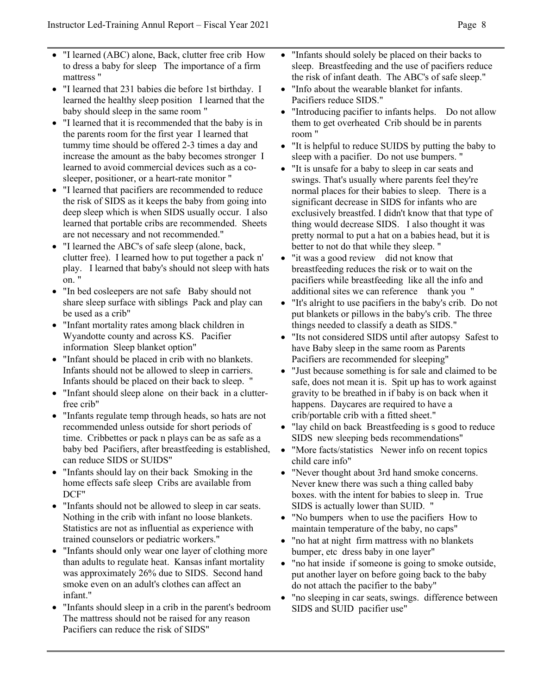- "I learned (ABC) alone, Back, clutter free crib How to dress a baby for sleep The importance of a firm mattress "
- "I learned that 231 babies die before 1st birthday. I learned the healthy sleep position I learned that the baby should sleep in the same room "
- "I learned that it is recommended that the baby is in the parents room for the first year I learned that tummy time should be offered 2-3 times a day and increase the amount as the baby becomes stronger I learned to avoid commercial devices such as a cosleeper, positioner, or a heart-rate monitor "
- "I learned that pacifiers are recommended to reduce the risk of SIDS as it keeps the baby from going into deep sleep which is when SIDS usually occur. I also learned that portable cribs are recommended. Sheets are not necessary and not recommended."
- "I learned the ABC's of safe sleep (alone, back, clutter free). I learned how to put together a pack n' play. I learned that baby's should not sleep with hats on. "
- "In bed cosleepers are not safe Baby should not share sleep surface with siblings Pack and play can be used as a crib"
- "Infant mortality rates among black children in Wyandotte county and across KS. Pacifier information Sleep blanket option"
- "Infant should be placed in crib with no blankets. Infants should not be allowed to sleep in carriers. Infants should be placed on their back to sleep. "
- "Infant should sleep alone on their back in a clutterfree crib"
- "Infants regulate temp through heads, so hats are not recommended unless outside for short periods of time. Cribbettes or pack n plays can be as safe as a baby bed Pacifiers, after breastfeeding is established, can reduce SIDS or SUIDS"
- "Infants should lay on their back Smoking in the home effects safe sleep Cribs are available from DCF"
- "Infants should not be allowed to sleep in car seats. Nothing in the crib with infant no loose blankets. Statistics are not as influential as experience with trained counselors or pediatric workers."
- "Infants should only wear one layer of clothing more" than adults to regulate heat. Kansas infant mortality was approximately 26% due to SIDS. Second hand smoke even on an adult's clothes can affect an infant."
- "Infants should sleep in a crib in the parent's bedroom The mattress should not be raised for any reason Pacifiers can reduce the risk of SIDS"
- "Infants should solely be placed on their backs to sleep. Breastfeeding and the use of pacifiers reduce the risk of infant death. The ABC's of safe sleep."
- "Info about the wearable blanket for infants. Pacifiers reduce SIDS."
- "Introducing pacifier to infants helps. Do not allow them to get overheated Crib should be in parents room "
- "It is helpful to reduce SUIDS by putting the baby to sleep with a pacifier. Do not use bumpers. "
- "It is unsafe for a baby to sleep in car seats and swings. That's usually where parents feel they're normal places for their babies to sleep. There is a significant decrease in SIDS for infants who are exclusively breastfed. I didn't know that that type of thing would decrease SIDS. I also thought it was pretty normal to put a hat on a babies head, but it is better to not do that while they sleep. "
- "it was a good review did not know that breastfeeding reduces the risk or to wait on the pacifiers while breastfeeding like all the info and additional sites we can reference thank you "
- "It's alright to use pacifiers in the baby's crib. Do not put blankets or pillows in the baby's crib. The three things needed to classify a death as SIDS."
- "Its not considered SIDS until after autopsy Safest to have Baby sleep in the same room as Parents Pacifiers are recommended for sleeping"
- "Just because something is for sale and claimed to be safe, does not mean it is. Spit up has to work against gravity to be breathed in if baby is on back when it happens. Daycares are required to have a crib/portable crib with a fitted sheet."
- "lay child on back Breastfeeding is s good to reduce SIDS new sleeping beds recommendations"
- "More facts/statistics Newer info on recent topics child care info"
- "Never thought about 3rd hand smoke concerns. Never knew there was such a thing called baby boxes. with the intent for babies to sleep in. True SIDS is actually lower than SUID. "
- "No bumpers when to use the pacifiers How to maintain temperature of the baby, no caps"
- "no hat at night firm mattress with no blankets bumper, etc dress baby in one layer"
- "no hat inside if someone is going to smoke outside, put another layer on before going back to the baby do not attach the pacifier to the baby"
- "no sleeping in car seats, swings. difference between SIDS and SUID pacifier use"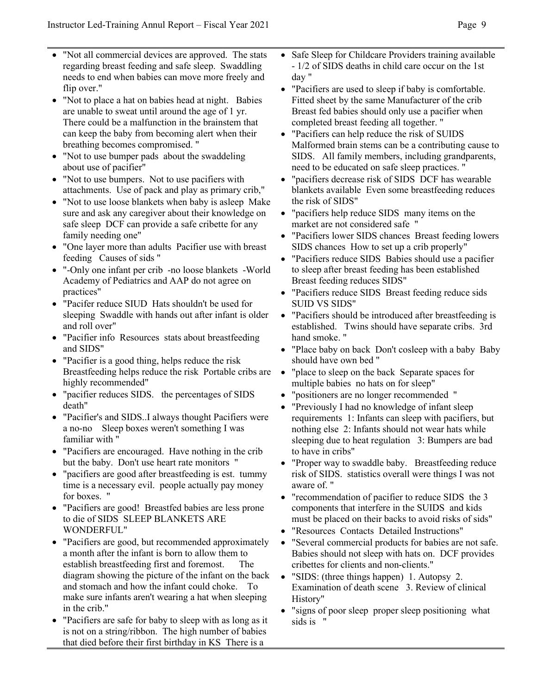- "Not all commercial devices are approved. The stats regarding breast feeding and safe sleep. Swaddling needs to end when babies can move more freely and flip over."
- "Not to place a hat on babies head at night. Babies are unable to sweat until around the age of 1 yr. There could be a malfunction in the brainstem that can keep the baby from becoming alert when their breathing becomes compromised. "
- "Not to use bumper pads about the swaddeling" about use of pacifier"
- "Not to use bumpers. Not to use pacifiers with attachments. Use of pack and play as primary crib,"
- "Not to use loose blankets when baby is asleep Make sure and ask any caregiver about their knowledge on safe sleep DCF can provide a safe cribette for any family needing one"
- "One layer more than adults Pacifier use with breast feeding Causes of sids "
- "-Only one infant per crib -no loose blankets -World Academy of Pediatrics and AAP do not agree on practices"
- "Pacifer reduce SIUD Hats shouldn't be used for sleeping Swaddle with hands out after infant is older and roll over"
- "Pacifier info Resources stats about breastfeeding and SIDS"
- "Pacifier is a good thing, helps reduce the risk Breastfeeding helps reduce the risk Portable cribs are highly recommended"
- "pacifier reduces SIDS. the percentages of SIDS death"
- "Pacifier's and SIDS..I always thought Pacifiers were a no-no Sleep boxes weren't something I was familiar with "
- "Pacifiers are encouraged. Have nothing in the crib but the baby. Don't use heart rate monitors "
- "pacifiers are good after breastfeeding is est. tummy time is a necessary evil. people actually pay money for boxes. "
- "Pacifiers are good! Breastfed babies are less prone to die of SIDS SLEEP BLANKETS ARE WONDERFUL"
- "Pacifiers are good, but recommended approximately a month after the infant is born to allow them to establish breastfeeding first and foremost. The diagram showing the picture of the infant on the back and stomach and how the infant could choke. To make sure infants aren't wearing a hat when sleeping in the crib."
- "Pacifiers are safe for baby to sleep with as long as it is not on a string/ribbon. The high number of babies that died before their first birthday in KS There is a
- Safe Sleep for Childcare Providers training available - 1/2 of SIDS deaths in child care occur on the 1st day "
- "Pacifiers are used to sleep if baby is comfortable. Fitted sheet by the same Manufacturer of the crib Breast fed babies should only use a pacifier when completed breast feeding all together. "
- "Pacifiers can help reduce the risk of SUIDS Malformed brain stems can be a contributing cause to SIDS. All family members, including grandparents, need to be educated on safe sleep practices. "
- "pacifiers decrease risk of SIDS DCF has wearable blankets available Even some breastfeeding reduces the risk of SIDS"
- "pacifiers help reduce SIDS many items on the market are not considered safe "
- "Pacifiers lower SIDS chances Breast feeding lowers SIDS chances How to set up a crib properly"
- "Pacifiers reduce SIDS Babies should use a pacifier to sleep after breast feeding has been established Breast feeding reduces SIDS"
- "Pacifiers reduce SIDS Breast feeding reduce sids SUID VS SIDS"
- "Pacifiers should be introduced after breastfeeding is established. Twins should have separate cribs. 3rd hand smoke. "
- "Place baby on back Don't cosleep with a baby Baby should have own bed "
- "place to sleep on the back Separate spaces for multiple babies no hats on for sleep"
- "positioners are no longer recommended "
- "Previously I had no knowledge of infant sleep requirements 1: Infants can sleep with pacifiers, but nothing else 2: Infants should not wear hats while sleeping due to heat regulation 3: Bumpers are bad to have in cribs"
- "Proper way to swaddle baby. Breastfeeding reduce risk of SIDS. statistics overall were things I was not aware of. "
- "recommendation of pacifier to reduce SIDS the 3 components that interfere in the SUIDS and kids must be placed on their backs to avoid risks of sids"
- "Resources Contacts Detailed Instructions"
- "Several commercial products for babies are not safe. Babies should not sleep with hats on. DCF provides cribettes for clients and non-clients."
- "SIDS: (three things happen) 1. Autopsy 2. Examination of death scene 3. Review of clinical History"
- "signs of poor sleep proper sleep positioning what sids is "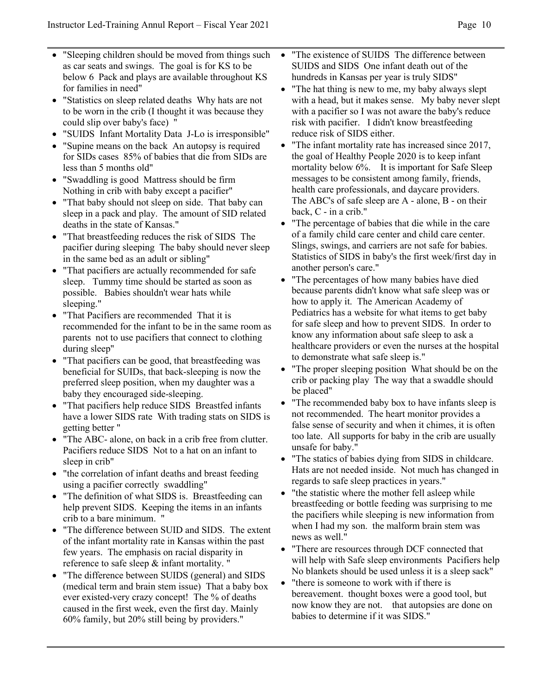- "Sleeping children should be moved from things such as car seats and swings. The goal is for KS to be below 6 Pack and plays are available throughout KS for families in need"
- "Statistics on sleep related deaths Why hats are not to be worn in the crib (I thought it was because they could slip over baby's face) "
- "SUIDS Infant Mortality Data J-Lo is irresponsible"
- "Supine means on the back An autopsy is required for SIDs cases 85% of babies that die from SIDs are less than 5 months old"
- "Swaddling is good Mattress should be firm Nothing in crib with baby except a pacifier"
- "That baby should not sleep on side. That baby can sleep in a pack and play. The amount of SID related deaths in the state of Kansas."
- "That breastfeeding reduces the risk of SIDS The pacifier during sleeping The baby should never sleep in the same bed as an adult or sibling"
- "That pacifiers are actually recommended for safe sleep. Tummy time should be started as soon as possible. Babies shouldn't wear hats while sleeping."
- "That Pacifiers are recommended That it is recommended for the infant to be in the same room as parents not to use pacifiers that connect to clothing during sleep"
- "That pacifiers can be good, that breastfeeding was beneficial for SUIDs, that back-sleeping is now the preferred sleep position, when my daughter was a baby they encouraged side-sleeping.
- "That pacifiers help reduce SIDS Breastfed infants have a lower SIDS rate With trading stats on SIDS is getting better "
- "The ABC- alone, on back in a crib free from clutter. Pacifiers reduce SIDS Not to a hat on an infant to sleep in crib"
- "the correlation of infant deaths and breast feeding using a pacifier correctly swaddling"
- "The definition of what SIDS is. Breastfeeding can help prevent SIDS. Keeping the items in an infants crib to a bare minimum. "
- "The difference between SUID and SIDS. The extent of the infant mortality rate in Kansas within the past few years. The emphasis on racial disparity in reference to safe sleep & infant mortality. "
- "The difference between SUIDS (general) and SIDS (medical term and brain stem issue) That a baby box ever existed-very crazy concept! The % of deaths caused in the first week, even the first day. Mainly 60% family, but 20% still being by providers."
- "The existence of SUIDS The difference between SUIDS and SIDS One infant death out of the hundreds in Kansas per year is truly SIDS"
- "The hat thing is new to me, my baby always slept with a head, but it makes sense. My baby never slept with a pacifier so I was not aware the baby's reduce risk with pacifier. I didn't know breastfeeding reduce risk of SIDS either.
- "The infant mortality rate has increased since 2017, the goal of Healthy People 2020 is to keep infant mortality below 6%. It is important for Safe Sleep messages to be consistent among family, friends, health care professionals, and daycare providers. The ABC's of safe sleep are A - alone, B - on their back, C - in a crib."
- "The percentage of babies that die while in the care of a family child care center and child care center. Slings, swings, and carriers are not safe for babies. Statistics of SIDS in baby's the first week/first day in another person's care."
- "The percentages of how many babies have died because parents didn't know what safe sleep was or how to apply it. The American Academy of Pediatrics has a website for what items to get baby for safe sleep and how to prevent SIDS. In order to know any information about safe sleep to ask a healthcare providers or even the nurses at the hospital to demonstrate what safe sleep is."
- "The proper sleeping position What should be on the crib or packing play The way that a swaddle should be placed"
- "The recommended baby box to have infants sleep is not recommended. The heart monitor provides a false sense of security and when it chimes, it is often too late. All supports for baby in the crib are usually unsafe for baby."
- "The statics of babies dying from SIDS in childcare. Hats are not needed inside. Not much has changed in regards to safe sleep practices in years."
- "the statistic where the mother fell asleep while breastfeeding or bottle feeding was surprising to me the pacifiers while sleeping is new information from when I had my son. the malform brain stem was news as well."
- "There are resources through DCF connected that will help with Safe sleep environments Pacifiers help No blankets should be used unless it is a sleep sack"
- "there is someone to work with if there is bereavement. thought boxes were a good tool, but now know they are not. that autopsies are done on babies to determine if it was SIDS."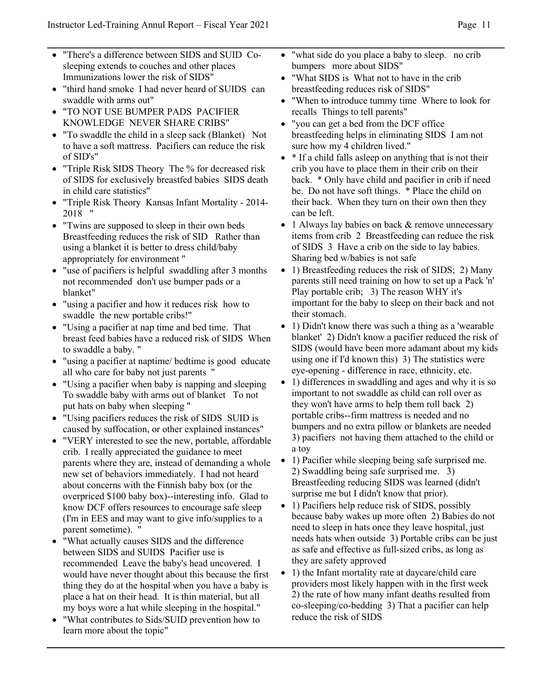- "There's a difference between SIDS and SUID Cosleeping extends to couches and other places Immunizations lower the risk of SIDS"
- "third hand smoke I had never heard of SUIDS can swaddle with arms out"
- "TO NOT USE BUMPER PADS PACIFIER KNOWLEDGE NEVER SHARE CRIBS"
- "To swaddle the child in a sleep sack (Blanket) Not to have a soft mattress. Pacifiers can reduce the risk of SID's"
- "Triple Risk SIDS Theory The % for decreased risk of SIDS for exclusively breastfed babies SIDS death in child care statistics"
- "Triple Risk Theory Kansas Infant Mortality 2014- 2018 "
- "Twins are supposed to sleep in their own beds Breastfeeding reduces the risk of SID Rather than using a blanket it is better to dress child/baby appropriately for environment "
- "use of pacifiers is helpful swaddling after 3 months not recommended don't use bumper pads or a blanket"
- "using a pacifier and how it reduces risk how to swaddle the new portable cribs!"
- "Using a pacifier at nap time and bed time. That breast feed babies have a reduced risk of SIDS When to swaddle a baby. "
- "using a pacifier at naptime/ bedtime is good educate all who care for baby not just parents "
- "Using a pacifier when baby is napping and sleeping To swaddle baby with arms out of blanket To not put hats on baby when sleeping "
- "Using pacifiers reduces the risk of SIDS SUID is caused by suffocation, or other explained instances"
- "VERY interested to see the new, portable, affordable crib. I really appreciated the guidance to meet parents where they are, instead of demanding a whole new set of behaviors immediately. I had not heard about concerns with the Finnish baby box (or the overpriced \$100 baby box)--interesting info. Glad to know DCF offers resources to encourage safe sleep (I'm in EES and may want to give info/supplies to a parent sometime). "
- "What actually causes SIDS and the difference between SIDS and SUIDS Pacifier use is recommended Leave the baby's head uncovered. I would have never thought about this because the first thing they do at the hospital when you have a baby is place a hat on their head. It is thin material, but all my boys wore a hat while sleeping in the hospital."
- "What contributes to Sids/SUID prevention how to learn more about the topic"
- "what side do you place a baby to sleep. no crib bumpers more about SIDS"
- "What SIDS is What not to have in the crib breastfeeding reduces risk of SIDS"
- "When to introduce tummy time Where to look for recalls Things to tell parents"
- "you can get a bed from the DCF office breastfeeding helps in eliminating SIDS I am not sure how my 4 children lived."
- \* If a child falls asleep on anything that is not their crib you have to place them in their crib on their back. \* Only have child and pacifier in crib if need be. Do not have soft things. \* Place the child on their back. When they turn on their own then they can be left.
- 1 Always lay babies on back & remove unnecessary items from crib 2 Breastfeeding can reduce the risk of SIDS 3 Have a crib on the side to lay babies. Sharing bed w/babies is not safe
- 1) Breastfeeding reduces the risk of SIDS; 2) Many parents still need training on how to set up a Pack 'n' Play portable crib; 3) The reason WHY it's important for the baby to sleep on their back and not their stomach.
- 1) Didn't know there was such a thing as a 'wearable blanket' 2) Didn't know a pacifier reduced the risk of SIDS (would have been more adamant about my kids using one if I'd known this) 3) The statistics were eye-opening - difference in race, ethnicity, etc.
- 1) differences in swaddling and ages and why it is so important to not swaddle as child can roll over as they won't have arms to help them roll back 2) portable cribs--firm mattress is needed and no bumpers and no extra pillow or blankets are needed 3) pacifiers not having them attached to the child or a toy
- 1) Pacifier while sleeping being safe surprised me. 2) Swaddling being safe surprised me. 3) Breastfeeding reducing SIDS was learned (didn't surprise me but I didn't know that prior).
- 1) Pacifiers help reduce risk of SIDS, possibly because baby wakes up more often 2) Babies do not need to sleep in hats once they leave hospital, just needs hats when outside 3) Portable cribs can be just as safe and effective as full-sized cribs, as long as they are safety approved
- 1) the Infant mortality rate at daycare/child care providers most likely happen with in the first week 2) the rate of how many infant deaths resulted from co-sleeping/co-bedding 3) That a pacifier can help reduce the risk of SIDS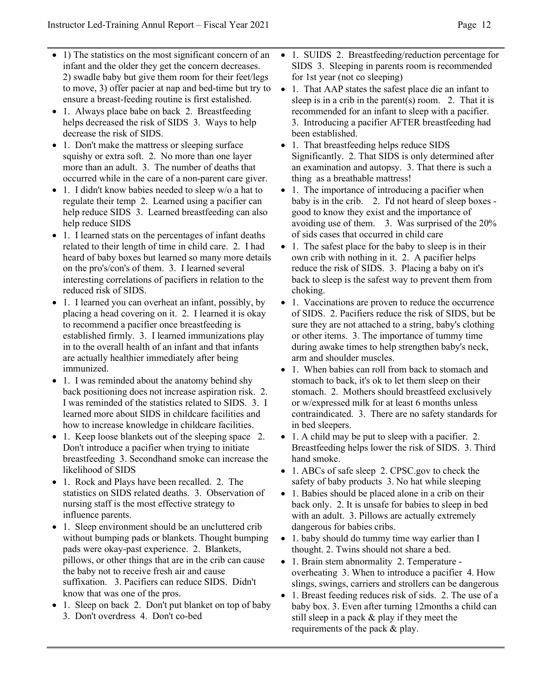- 1) The statistics on the most significant concern of an infant and the older they get the concern decreases. 2) swadle baby but give them room for their feet/legs to move, 3) offer pacier at nap and bed-time but try to ensure a breast-feeding routine is first estalished.
- 1. Always place babe on back 2. Breastfeeding helps decreased the risk of SIDS 3. Ways to help decrease the risk of SIDS.
- 1. Don't make the mattress or sleeping surface squishy or extra soft. 2. No more than one layer more than an adult. 3. The number of deaths that occurred while in the care of a non-parent care giver.
- 1. I didn't know babies needed to sleep w/o a hat to regulate their temp 2. Learned using a pacifier can help reduce SIDS 3. Learned breastfeeding can also help reduce SIDS
- 1. I learned stats on the percentages of infant deaths related to their length of time in child care. 2. I had heard of baby boxes but learned so many more details on the pro's/con's of them. 3. I learned several interesting correlations of pacifiers in relation to the reduced risk of SIDS.
- 1. I learned you can overheat an infant, possibly, by placing a head covering on it. 2. I learned it is okay to recommend a pacifier once breastfeeding is established firmly. 3. I learned immunizations play in to the overall health of an infant and that infants are actually healthier immediately after being immunized.
- 1. I was reminded about the anatomy behind shy back positioning does not increase aspiration risk. 2. I was reminded of the statistics related to SIDS. 3. I learned more about SIDS in childcare facilities and how to increase knowledge in childcare facilities.
- 1. Keep loose blankets out of the sleeping space 2. Don't introduce a pacifier when trying to initiate breastfeeding 3. Secondhand smoke can increase the likelihood of SIDS
- 1. Rock and Plays have been recalled. 2. The statistics on SIDS related deaths. 3. Observation of nursing staff is the most effective strategy to influence parents.
- 1. Sleep environment should be an uncluttered crib without bumping pads or blankets. Thought bumping pads were okay-past experience. 2. Blankets, pillows, or other things that are in the crib can cause the baby not to receive fresh air and cause suffixation. 3. Pacifiers can reduce SIDS. Didn't know that was one of the pros.
- 1. Sleep on back 2. Don't put blanket on top of baby 3. Don't overdress 4. Don't co-bed
- 1. SUIDS 2. Breastfeeding/reduction percentage for SIDS 3. Sleeping in parents room is recommended for 1st year (not co sleeping)
- 1. That AAP states the safest place die an infant to sleep is in a crib in the parent(s) room. 2. That it is recommended for an infant to sleep with a pacifier. 3. Introducing a pacifier AFTER breastfeeding had been established.
- 1. That breastfeeding helps reduce SIDS Significantly. 2. That SIDS is only determined after an examination and autopsy. 3. That there is such a thing as a breathable mattress!
- 1. The importance of introducing a pacifier when baby is in the crib. 2. I'd not heard of sleep boxes good to know they exist and the importance of avoiding use of them. 3. Was surprised of the 20% of sids cases that occurred in child care
- 1. The safest place for the baby to sleep is in their own crib with nothing in it. 2. A pacifier helps reduce the risk of SIDS. 3. Placing a baby on it's back to sleep is the safest way to prevent them from choking.
- 1. Vaccinations are proven to reduce the occurrence of SIDS. 2. Pacifiers reduce the risk of SIDS, but be sure they are not attached to a string, baby's clothing or other items. 3. The importance of tummy time during awake times to help strengthen baby's neck, arm and shoulder muscles.
- 1. When babies can roll from back to stomach and stomach to back, it's ok to let them sleep on their stomach. 2. Mothers should breastfeed exclusively or w/expressed milk for at least 6 months unless contraindicated. 3. There are no safety standards for in bed sleepers.
- 1. A child may be put to sleep with a pacifier. 2. Breastfeeding helps lower the risk of SIDS. 3. Third hand smoke.
- 1. ABCs of safe sleep 2. CPSC.gov to check the safety of baby products 3. No hat while sleeping
- 1. Babies should be placed alone in a crib on their back only. 2. It is unsafe for babies to sleep in bed with an adult. 3. Pillows are actually extremely dangerous for babies cribs.
- 1. baby should do tummy time way earlier than I thought. 2. Twins should not share a bed.
- 1. Brain stem abnormality 2. Temperature overheating 3. When to introduce a pacifier 4. How slings, swings, carriers and strollers can be dangerous
- 1. Breast feeding reduces risk of sids. 2. The use of a baby box. 3. Even after turning 12months a child can still sleep in a pack & play if they meet the requirements of the pack & play.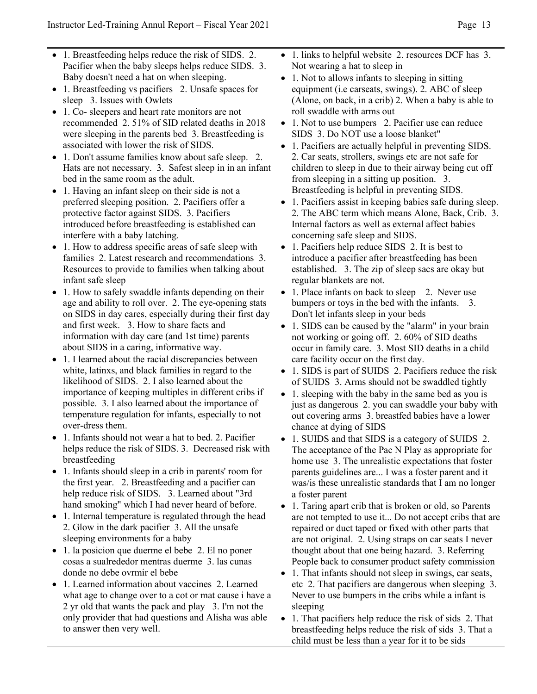- 1. Breastfeeding helps reduce the risk of SIDS. 2. Pacifier when the baby sleeps helps reduce SIDS. 3. Baby doesn't need a hat on when sleeping.
- 1. Breastfeeding vs pacifiers 2. Unsafe spaces for sleep 3. Issues with Owlets
- 1. Co- sleepers and heart rate monitors are not recommended 2. 51% of SID related deaths in 2018 were sleeping in the parents bed 3. Breastfeeding is associated with lower the risk of SIDS.
- 1. Don't assume families know about safe sleep. 2. Hats are not necessary. 3. Safest sleep in in an infant bed in the same room as the adult.
- 1. Having an infant sleep on their side is not a preferred sleeping position. 2. Pacifiers offer a protective factor against SIDS. 3. Pacifiers introduced before breastfeeding is established can interfere with a baby latching.
- 1. How to address specific areas of safe sleep with families 2. Latest research and recommendations 3. Resources to provide to families when talking about infant safe sleep
- 1. How to safely swaddle infants depending on their age and ability to roll over. 2. The eye-opening stats on SIDS in day cares, especially during their first day and first week. 3. How to share facts and information with day care (and 1st time) parents about SIDS in a caring, informative way.
- 1. I learned about the racial discrepancies between white, latinxs, and black families in regard to the likelihood of SIDS. 2. I also learned about the importance of keeping multiples in different cribs if possible. 3. I also learned about the importance of temperature regulation for infants, especially to not over-dress them.
- 1. Infants should not wear a hat to bed. 2. Pacifier helps reduce the risk of SIDS. 3. Decreased risk with breastfeeding
- 1. Infants should sleep in a crib in parents' room for the first year. 2. Breastfeeding and a pacifier can help reduce risk of SIDS. 3. Learned about "3rd hand smoking" which I had never heard of before.
- 1. Internal temperature is regulated through the head 2. Glow in the dark pacifier 3. All the unsafe sleeping environments for a baby
- 1. la posicion que duerme el bebe 2. El no poner cosas a sualrededor mentras duerme 3. las cunas donde no debe ovrmir el bebe
- 1. Learned information about vaccines 2. Learned what age to change over to a cot or mat cause i have a 2 yr old that wants the pack and play 3. I'm not the only provider that had questions and Alisha was able to answer then very well.
- 1. links to helpful website 2. resources DCF has 3. Not wearing a hat to sleep in
- 1. Not to allows infants to sleeping in sitting equipment (i.e carseats, swings). 2. ABC of sleep (Alone, on back, in a crib) 2. When a baby is able to roll swaddle with arms out
- 1. Not to use bumpers 2. Pacifier use can reduce SIDS 3. Do NOT use a loose blanket"
- 1. Pacifiers are actually helpful in preventing SIDS. 2. Car seats, strollers, swings etc are not safe for children to sleep in due to their airway being cut off from sleeping in a sitting up position. 3. Breastfeeding is helpful in preventing SIDS.
- 1. Pacifiers assist in keeping babies safe during sleep. 2. The ABC term which means Alone, Back, Crib. 3. Internal factors as well as external affect babies concerning safe sleep and SIDS.
- 1. Pacifiers help reduce SIDS 2. It is best to introduce a pacifier after breastfeeding has been established. 3. The zip of sleep sacs are okay but regular blankets are not.
- 1. Place infants on back to sleep 2. Never use bumpers or toys in the bed with the infants. 3. Don't let infants sleep in your beds
- 1. SIDS can be caused by the "alarm" in your brain not working or going off. 2. 60% of SID deaths occur in family care. 3. Most SID deaths in a child care facility occur on the first day.
- 1. SIDS is part of SUIDS 2. Pacifiers reduce the risk of SUIDS 3. Arms should not be swaddled tightly
- 1. sleeping with the baby in the same bed as you is just as dangerous 2. you can swaddle your baby with out covering arms 3. breastfed babies have a lower chance at dying of SIDS
- 1. SUIDS and that SIDS is a category of SUIDS 2. The acceptance of the Pac N Play as appropriate for home use 3. The unrealistic expectations that foster parents guidelines are... I was a foster parent and it was/is these unrealistic standards that I am no longer a foster parent
- 1. Taring apart crib that is broken or old, so Parents are not tempted to use it... Do not accept cribs that are repaired or duct taped or fixed with other parts that are not original. 2. Using straps on car seats I never thought about that one being hazard. 3. Referring People back to consumer product safety commission
- 1. That infants should not sleep in swings, car seats, etc 2. That pacifiers are dangerous when sleeping 3. Never to use bumpers in the cribs while a infant is sleeping
- 1. That pacifiers help reduce the risk of sids 2. That breastfeeding helps reduce the risk of sids 3. That a child must be less than a year for it to be sids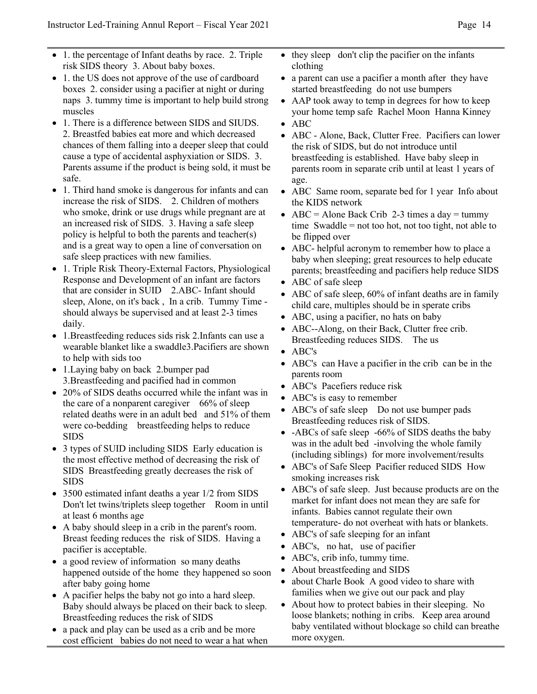- 1. the percentage of Infant deaths by race. 2. Triple risk SIDS theory 3. About baby boxes.
- 1. the US does not approve of the use of cardboard boxes 2. consider using a pacifier at night or during naps 3. tummy time is important to help build strong muscles
- 1. There is a difference between SIDS and SIUDS. 2. Breastfed babies eat more and which decreased chances of them falling into a deeper sleep that could cause a type of accidental asphyxiation or SIDS. 3. Parents assume if the product is being sold, it must be safe.
- 1. Third hand smoke is dangerous for infants and can increase the risk of SIDS. 2. Children of mothers who smoke, drink or use drugs while pregnant are at an increased risk of SIDS. 3. Having a safe sleep policy is helpful to both the parents and teacher(s) and is a great way to open a line of conversation on safe sleep practices with new families.
- 1. Triple Risk Theory-External Factors, Physiological Response and Development of an infant are factors that are consider in SUID 2.ABC- Infant should sleep, Alone, on it's back , In a crib. Tummy Time should always be supervised and at least 2-3 times daily.
- 1.Breastfeeding reduces sids risk 2.Infants can use a wearable blanket like a swaddle3.Pacifiers are shown to help with sids too
- 1.Laying baby on back 2.bumper pad 3.Breastfeeding and pacified had in common
- 20% of SIDS deaths occurred while the infant was in the care of a nonparent caregiver 66% of sleep related deaths were in an adult bed and 51% of them were co-bedding breastfeeding helps to reduce SIDS
- 3 types of SUID including SIDS Early education is the most effective method of decreasing the risk of SIDS Breastfeeding greatly decreases the risk of SIDS
- 3500 estimated infant deaths a year  $1/2$  from SIDS Don't let twins/triplets sleep together Room in until at least 6 months age
- A baby should sleep in a crib in the parent's room. Breast feeding reduces the risk of SIDS. Having a pacifier is acceptable.
- a good review of information so many deaths happened outside of the home they happened so soon after baby going home
- A pacifier helps the baby not go into a hard sleep. Baby should always be placed on their back to sleep. Breastfeeding reduces the risk of SIDS
- a pack and play can be used as a crib and be more cost efficient babies do not need to wear a hat when
- they sleep don't clip the pacifier on the infants clothing
- a parent can use a pacifier a month after they have started breastfeeding do not use bumpers
- AAP took away to temp in degrees for how to keep your home temp safe Rachel Moon Hanna Kinney
- ABC
- ABC Alone, Back, Clutter Free. Pacifiers can lower the risk of SIDS, but do not introduce until breastfeeding is established. Have baby sleep in parents room in separate crib until at least 1 years of age.
- ABC Same room, separate bed for 1 year Info about the KIDS network
- ABC = Alone Back Crib 2-3 times a day = tummy time Swaddle = not too hot, not too tight, not able to be flipped over
- ABC- helpful acronym to remember how to place a baby when sleeping; great resources to help educate parents; breastfeeding and pacifiers help reduce SIDS
- ABC of safe sleep
- ABC of safe sleep, 60% of infant deaths are in family child care, multiples should be in sperate cribs
- ABC, using a pacifier, no hats on baby
- ABC--Along, on their Back, Clutter free crib. Breastfeeding reduces SIDS. The us
- ABC's
- ABC's can Have a pacifier in the crib can be in the parents room
- ABC's Pacefiers reduce risk
- ABC's is easy to remember
- ABC's of safe sleep Do not use bumper pads Breastfeeding reduces risk of SIDS.
- -ABCs of safe sleep -66% of SIDS deaths the baby was in the adult bed -involving the whole family (including siblings) for more involvement/results
- ABC's of Safe Sleep Pacifier reduced SIDS How smoking increases risk
- ABC's of safe sleep. Just because products are on the market for infant does not mean they are safe for infants. Babies cannot regulate their own temperature- do not overheat with hats or blankets.
- ABC's of safe sleeping for an infant
- ABC's, no hat, use of pacifier
- ABC's, crib info, tummy time.
- About breastfeeding and SIDS
- about Charle Book A good video to share with families when we give out our pack and play
- About how to protect babies in their sleeping. No loose blankets; nothing in cribs. Keep area around baby ventilated without blockage so child can breathe more oxygen.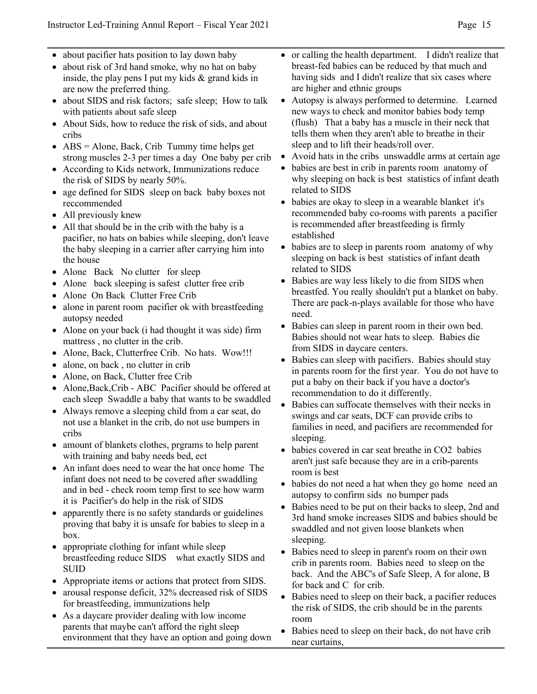- about pacifier hats position to lay down baby
- about risk of 3rd hand smoke, why no hat on baby inside, the play pens I put my kids & grand kids in are now the preferred thing.
- about SIDS and risk factors; safe sleep; How to talk with patients about safe sleep
- About Sids, how to reduce the risk of sids, and about cribs
- ABS = Alone, Back, Crib Tummy time helps get strong muscles 2-3 per times a day One baby per crib
- According to Kids network, Immunizations reduce the risk of SIDS by nearly 50%.
- age defined for SIDS sleep on back baby boxes not reccommended
- All previously knew
- All that should be in the crib with the baby is a pacifier, no hats on babies while sleeping, don't leave the baby sleeping in a carrier after carrying him into the house
- Alone Back No clutter for sleep
- Alone back sleeping is safest clutter free crib
- Alone On Back Clutter Free Crib
- alone in parent room pacifier ok with breastfeeding autopsy needed
- Alone on your back (*i* had thought it was side) firm mattress , no clutter in the crib.
- Alone, Back, Clutterfree Crib. No hats. Wow!!!
- alone, on back, no clutter in crib
- Alone, on Back, Clutter free Crib
- Alone,Back,Crib ABC Pacifier should be offered at each sleep Swaddle a baby that wants to be swaddled
- Always remove a sleeping child from a car seat, do not use a blanket in the crib, do not use bumpers in cribs
- amount of blankets clothes, prgrams to help parent with training and baby needs bed, ect
- An infant does need to wear the hat once home The infant does not need to be covered after swaddling and in bed - check room temp first to see how warm it is Pacifier's do help in the risk of SIDS
- apparently there is no safety standards or guidelines proving that baby it is unsafe for babies to sleep in a box.
- appropriate clothing for infant while sleep breastfeeding reduce SIDS what exactly SIDS and SUID
- Appropriate items or actions that protect from SIDS.
- arousal response deficit, 32% decreased risk of SIDS for breastfeeding, immunizations help
- As a daycare provider dealing with low income parents that maybe can't afford the right sleep environment that they have an option and going down
- or calling the health department. I didn't realize that breast-fed babies can be reduced by that much and having sids and I didn't realize that six cases where are higher and ethnic groups
- Autopsy is always performed to determine. Learned new ways to check and monitor babies body temp (flush) That a baby has a muscle in their neck that tells them when they aren't able to breathe in their sleep and to lift their heads/roll over.
- Avoid hats in the cribs unswaddle arms at certain age
- babies are best in crib in parents room anatomy of why sleeping on back is best statistics of infant death related to SIDS
- babies are okay to sleep in a wearable blanket it's recommended baby co-rooms with parents a pacifier is recommended after breastfeeding is firmly established
- babies are to sleep in parents room anatomy of why sleeping on back is best statistics of infant death related to SIDS
- Babies are way less likely to die from SIDS when breastfed. You really shouldn't put a blanket on baby. There are pack-n-plays available for those who have need.
- Babies can sleep in parent room in their own bed. Babies should not wear hats to sleep. Babies die from SIDS in daycare centers.
- Babies can sleep with pacifiers. Babies should stay in parents room for the first year. You do not have to put a baby on their back if you have a doctor's recommendation to do it differently.
- Babies can suffocate themselves with their necks in swings and car seats, DCF can provide cribs to families in need, and pacifiers are recommended for sleeping.
- babies covered in car seat breathe in CO2 babies aren't just safe because they are in a crib-parents room is best
- babies do not need a hat when they go home need an autopsy to confirm sids no bumper pads
- Babies need to be put on their backs to sleep, 2nd and 3rd hand smoke increases SIDS and babies should be swaddled and not given loose blankets when sleeping.
- Babies need to sleep in parent's room on their own crib in parents room. Babies need to sleep on the back. And the ABC's of Safe Sleep, A for alone, B for back and C for crib.
- Babies need to sleep on their back, a pacifier reduces the risk of SIDS, the crib should be in the parents room
- Babies need to sleep on their back, do not have crib near curtains,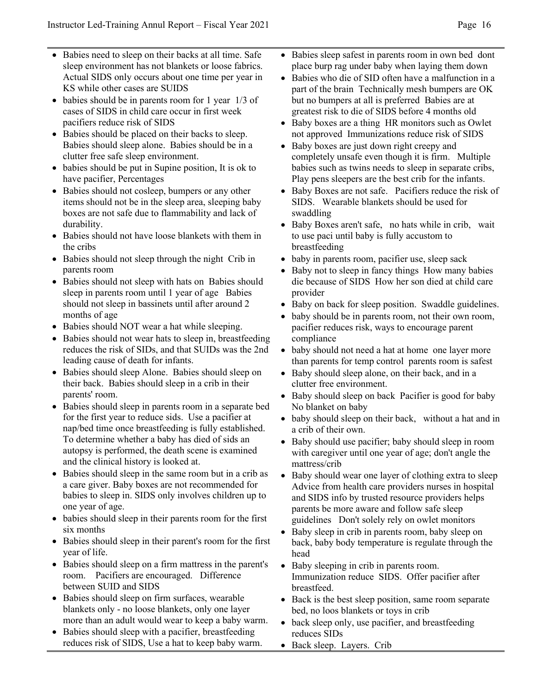- Babies need to sleep on their backs at all time. Safe sleep environment has not blankets or loose fabrics. Actual SIDS only occurs about one time per year in KS while other cases are SUIDS
- babies should be in parents room for 1 year 1/3 of cases of SIDS in child care occur in first week pacifiers reduce risk of SIDS
- Babies should be placed on their backs to sleep. Babies should sleep alone. Babies should be in a clutter free safe sleep environment.
- babies should be put in Supine position, It is ok to have pacifier, Percentages
- Babies should not cosleep, bumpers or any other items should not be in the sleep area, sleeping baby boxes are not safe due to flammability and lack of durability.
- Babies should not have loose blankets with them in the cribs
- Babies should not sleep through the night Crib in parents room
- Babies should not sleep with hats on Babies should sleep in parents room until 1 year of age Babies should not sleep in bassinets until after around 2 months of age
- Babies should NOT wear a hat while sleeping.
- Babies should not wear hats to sleep in, breastfeeding reduces the risk of SIDs, and that SUIDs was the 2nd leading cause of death for infants.
- Babies should sleep Alone. Babies should sleep on their back. Babies should sleep in a crib in their parents' room.
- Babies should sleep in parents room in a separate bed for the first year to reduce sids. Use a pacifier at nap/bed time once breastfeeding is fully established. To determine whether a baby has died of sids an autopsy is performed, the death scene is examined and the clinical history is looked at.
- Babies should sleep in the same room but in a crib as a care giver. Baby boxes are not recommended for babies to sleep in. SIDS only involves children up to one year of age.
- babies should sleep in their parents room for the first six months
- Babies should sleep in their parent's room for the first year of life.
- Babies should sleep on a firm mattress in the parent's room. Pacifiers are encouraged. Difference between SUID and SIDS
- Babies should sleep on firm surfaces, wearable blankets only - no loose blankets, only one layer more than an adult would wear to keep a baby warm.
- Babies should sleep with a pacifier, breastfeeding reduces risk of SIDS, Use a hat to keep baby warm.
- Babies sleep safest in parents room in own bed dont place burp rag under baby when laying them down
- Babies who die of SID often have a malfunction in a part of the brain Technically mesh bumpers are OK but no bumpers at all is preferred Babies are at greatest risk to die of SIDS before 4 months old
- Baby boxes are a thing HR monitors such as Owlet not approved Immunizations reduce risk of SIDS
- Baby boxes are just down right creepy and completely unsafe even though it is firm. Multiple babies such as twins needs to sleep in separate cribs, Play pens sleepers are the best crib for the infants.
- Baby Boxes are not safe. Pacifiers reduce the risk of SIDS. Wearable blankets should be used for swaddling
- Baby Boxes aren't safe, no hats while in crib, wait to use paci until baby is fully accustom to breastfeeding
- baby in parents room, pacifier use, sleep sack
- Baby not to sleep in fancy things How many babies die because of SIDS How her son died at child care provider
- Baby on back for sleep position. Swaddle guidelines.
- baby should be in parents room, not their own room, pacifier reduces risk, ways to encourage parent compliance
- baby should not need a hat at home one layer more than parents for temp control parents room is safest
- Baby should sleep alone, on their back, and in a clutter free environment.
- Baby should sleep on back Pacifier is good for baby No blanket on baby
- baby should sleep on their back, without a hat and in a crib of their own.
- Baby should use pacifier; baby should sleep in room with caregiver until one year of age; don't angle the mattress/crib
- Baby should wear one layer of clothing extra to sleep Advice from health care providers nurses in hospital and SIDS info by trusted resource providers helps parents be more aware and follow safe sleep guidelines Don't solely rely on owlet monitors
- Baby sleep in crib in parents room, baby sleep on back, baby body temperature is regulate through the head
- Baby sleeping in crib in parents room. Immunization reduce SIDS. Offer pacifier after breastfeed.
- Back is the best sleep position, same room separate bed, no loos blankets or toys in crib
- back sleep only, use pacifier, and breastfeeding reduces SIDs
- Back sleep. Layers. Crib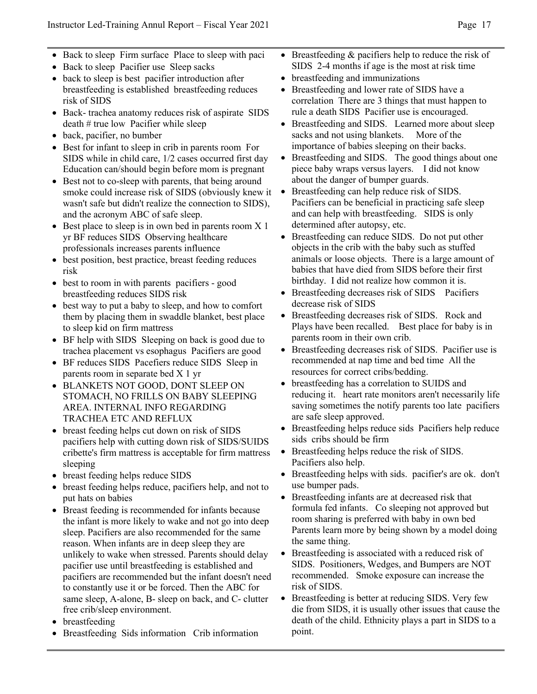- Back to sleep Firm surface Place to sleep with paci
- Back to sleep Pacifier use Sleep sacks
- back to sleep is best pacifier introduction after breastfeeding is established breastfeeding reduces risk of SIDS
- Back- trachea anatomy reduces risk of aspirate SIDS death # true low Pacifier while sleep
- back, pacifier, no bumber
- Best for infant to sleep in crib in parents room For SIDS while in child care, 1/2 cases occurred first day Education can/should begin before mom is pregnant
- Best not to co-sleep with parents, that being around smoke could increase risk of SIDS (obviously knew it wasn't safe but didn't realize the connection to SIDS), and the acronym ABC of safe sleep.
- Best place to sleep is in own bed in parents room  $X$  1 yr BF reduces SIDS Observing healthcare professionals increases parents influence
- best position, best practice, breast feeding reduces risk
- best to room in with parents pacifiers good breastfeeding reduces SIDS risk
- best way to put a baby to sleep, and how to comfort them by placing them in swaddle blanket, best place to sleep kid on firm mattress
- BF help with SIDS Sleeping on back is good due to trachea placement vs esophagus Pacifiers are good
- BF reduces SIDS Pacefiers reduce SIDS Sleep in parents room in separate bed X 1 yr
- BLANKETS NOT GOOD, DONT SLEEP ON STOMACH, NO FRILLS ON BABY SLEEPING AREA. INTERNAL INFO REGARDING TRACHEA ETC AND REFLUX
- breast feeding helps cut down on risk of SIDS pacifiers help with cutting down risk of SIDS/SUIDS cribette's firm mattress is acceptable for firm mattress sleeping
- breast feeding helps reduce SIDS
- breast feeding helps reduce, pacifiers help, and not to put hats on babies
- Breast feeding is recommended for infants because the infant is more likely to wake and not go into deep sleep. Pacifiers are also recommended for the same reason. When infants are in deep sleep they are unlikely to wake when stressed. Parents should delay pacifier use until breastfeeding is established and pacifiers are recommended but the infant doesn't need to constantly use it or be forced. Then the ABC for same sleep, A-alone, B- sleep on back, and C- clutter free crib/sleep environment.
- breastfeeding
- Breastfeeding Sids information Crib information
- Breastfeeding  $&$  pacifiers help to reduce the risk of SIDS 2-4 months if age is the most at risk time
- breastfeeding and immunizations
- Breastfeeding and lower rate of SIDS have a correlation There are 3 things that must happen to rule a death SIDS Pacifier use is encouraged.
- Breastfeeding and SIDS. Learned more about sleep sacks and not using blankets. More of the importance of babies sleeping on their backs.
- Breastfeeding and SIDS. The good things about one piece baby wraps versus layers. I did not know about the danger of bumper guards.
- Breastfeeding can help reduce risk of SIDS. Pacifiers can be beneficial in practicing safe sleep and can help with breastfeeding. SIDS is only determined after autopsy, etc.
- Breastfeeding can reduce SIDS. Do not put other objects in the crib with the baby such as stuffed animals or loose objects. There is a large amount of babies that have died from SIDS before their first birthday. I did not realize how common it is.
- Breastfeeding decreases risk of SIDS Pacifiers decrease risk of SIDS
- Breastfeeding decreases risk of SIDS. Rock and Plays have been recalled. Best place for baby is in parents room in their own crib.
- Breastfeeding decreases risk of SIDS. Pacifier use is recommended at nap time and bed time All the resources for correct cribs/bedding.
- breastfeeding has a correlation to SUIDS and reducing it. heart rate monitors aren't necessarily life saving sometimes the notify parents too late pacifiers are safe sleep approved.
- Breastfeeding helps reduce sids Pacifiers help reduce sids cribs should be firm
- Breastfeeding helps reduce the risk of SIDS. Pacifiers also help.
- Breastfeeding helps with sids. pacifier's are ok. don't use bumper pads.
- Breastfeeding infants are at decreased risk that formula fed infants. Co sleeping not approved but room sharing is preferred with baby in own bed Parents learn more by being shown by a model doing the same thing.
- Breastfeeding is associated with a reduced risk of SIDS. Positioners, Wedges, and Bumpers are NOT recommended. Smoke exposure can increase the risk of SIDS.
- Breastfeeding is better at reducing SIDS. Very few die from SIDS, it is usually other issues that cause the death of the child. Ethnicity plays a part in SIDS to a point.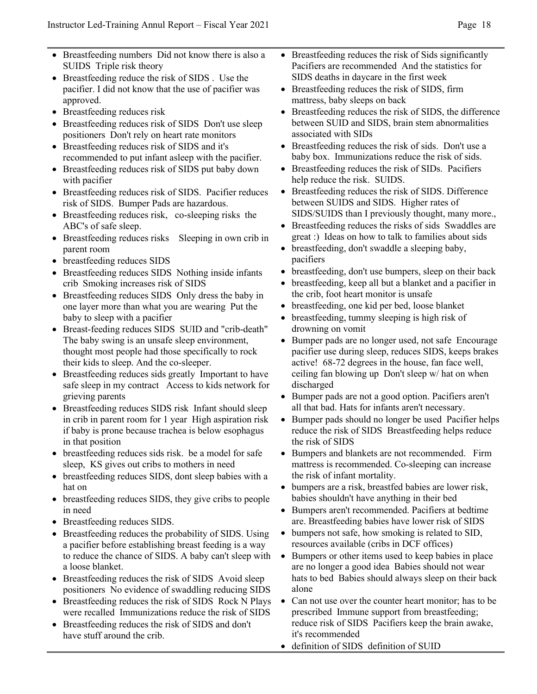- Breastfeeding numbers Did not know there is also a SUIDS Triple risk theory
- Breastfeeding reduce the risk of SIDS. Use the pacifier. I did not know that the use of pacifier was approved.
- Breastfeeding reduces risk
- Breastfeeding reduces risk of SIDS Don't use sleep positioners Don't rely on heart rate monitors
- Breastfeeding reduces risk of SIDS and it's recommended to put infant asleep with the pacifier.
- Breastfeeding reduces risk of SIDS put baby down with pacifier
- Breastfeeding reduces risk of SIDS. Pacifier reduces risk of SIDS. Bumper Pads are hazardous.
- Breastfeeding reduces risk, co-sleeping risks the ABC's of safe sleep.
- Breastfeeding reduces risks Sleeping in own crib in parent room
- breastfeeding reduces SIDS
- Breastfeeding reduces SIDS Nothing inside infants crib Smoking increases risk of SIDS
- Breastfeeding reduces SIDS Only dress the baby in one layer more than what you are wearing Put the baby to sleep with a pacifier
- Breast-feeding reduces SIDS SUID and "crib-death" The baby swing is an unsafe sleep environment, thought most people had those specifically to rock their kids to sleep. And the co-sleeper.
- Breastfeeding reduces sids greatly Important to have safe sleep in my contract Access to kids network for grieving parents
- Breastfeeding reduces SIDS risk Infant should sleep in crib in parent room for 1 year High aspiration risk if baby is prone because trachea is below esophagus in that position
- breastfeeding reduces sids risk. be a model for safe sleep, KS gives out cribs to mothers in need
- breastfeeding reduces SIDS, dont sleep babies with a hat on
- breastfeeding reduces SIDS, they give cribs to people in need
- Breastfeeding reduces SIDS.
- Breastfeeding reduces the probability of SIDS. Using a pacifier before establishing breast feeding is a way to reduce the chance of SIDS. A baby can't sleep with a loose blanket.
- Breastfeeding reduces the risk of SIDS Avoid sleep positioners No evidence of swaddling reducing SIDS
- Breastfeeding reduces the risk of SIDS Rock N Plays were recalled Immunizations reduce the risk of SIDS
- Breastfeeding reduces the risk of SIDS and don't have stuff around the crib.
- Breastfeeding reduces the risk of Sids significantly Pacifiers are recommended And the statistics for SIDS deaths in daycare in the first week
- Breastfeeding reduces the risk of SIDS, firm mattress, baby sleeps on back
- Breastfeeding reduces the risk of SIDS, the difference between SUID and SIDS, brain stem abnormalities associated with SIDs
- Breastfeeding reduces the risk of sids. Don't use a baby box. Immunizations reduce the risk of sids.
- Breastfeeding reduces the risk of SIDs. Pacifiers help reduce the risk. SUIDS.
- Breastfeeding reduces the risk of SIDS. Difference between SUIDS and SIDS. Higher rates of SIDS/SUIDS than I previously thought, many more.,
- Breastfeeding reduces the risks of sids Swaddles are great :) Ideas on how to talk to families about sids
- breastfeeding, don't swaddle a sleeping baby, pacifiers
- breastfeeding, don't use bumpers, sleep on their back
- breastfeeding, keep all but a blanket and a pacifier in the crib, foot heart monitor is unsafe
- breastfeeding, one kid per bed, loose blanket
- breastfeeding, tummy sleeping is high risk of drowning on vomit
- Bumper pads are no longer used, not safe Encourage pacifier use during sleep, reduces SIDS, keeps brakes active! 68-72 degrees in the house, fan face well, ceiling fan blowing up Don't sleep w/ hat on when discharged
- Bumper pads are not a good option. Pacifiers aren't all that bad. Hats for infants aren't necessary.
- Bumper pads should no longer be used Pacifier helps reduce the risk of SIDS Breastfeeding helps reduce the risk of SIDS
- Bumpers and blankets are not recommended. Firm mattress is recommended. Co-sleeping can increase the risk of infant mortality.
- bumpers are a risk, breastfed babies are lower risk, babies shouldn't have anything in their bed
- Bumpers aren't recommended. Pacifiers at bedtime are. Breastfeeding babies have lower risk of SIDS
- bumpers not safe, how smoking is related to SID, resources available (cribs in DCF offices)
- Bumpers or other items used to keep babies in place are no longer a good idea Babies should not wear hats to bed Babies should always sleep on their back alone
- Can not use over the counter heart monitor; has to be prescribed Immune support from breastfeeding; reduce risk of SIDS Pacifiers keep the brain awake, it's recommended
- definition of SIDS definition of SUID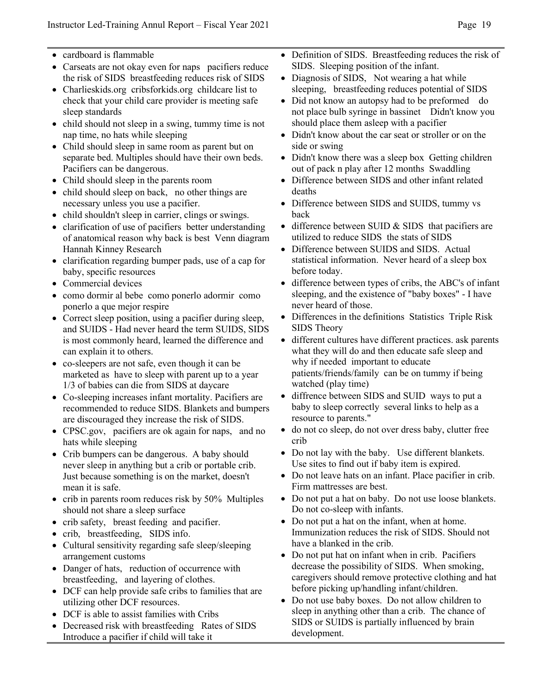- cardboard is flammable
- Carseats are not okay even for naps pacifiers reduce the risk of SIDS breastfeeding reduces risk of SIDS
- Charlieskids.org cribsforkids.org childcare list to check that your child care provider is meeting safe sleep standards
- child should not sleep in a swing, tummy time is not nap time, no hats while sleeping
- Child should sleep in same room as parent but on separate bed. Multiples should have their own beds. Pacifiers can be dangerous.
- Child should sleep in the parents room
- child should sleep on back, no other things are necessary unless you use a pacifier.
- child shouldn't sleep in carrier, clings or swings.
- clarification of use of pacifiers better understanding of anatomical reason why back is best Venn diagram Hannah Kinney Research
- clarification regarding bumper pads, use of a cap for baby, specific resources
- Commercial devices
- como dormir al bebe como ponerlo adormir como ponerlo a que mejor respire
- Correct sleep position, using a pacifier during sleep, and SUIDS - Had never heard the term SUIDS, SIDS is most commonly heard, learned the difference and can explain it to others.
- co-sleepers are not safe, even though it can be marketed as have to sleep with parent up to a year 1/3 of babies can die from SIDS at daycare
- Co-sleeping increases infant mortality. Pacifiers are recommended to reduce SIDS. Blankets and bumpers are discouraged they increase the risk of SIDS.
- CPSC.gov, pacifiers are ok again for naps, and no hats while sleeping
- Crib bumpers can be dangerous. A baby should never sleep in anything but a crib or portable crib. Just because something is on the market, doesn't mean it is safe.
- crib in parents room reduces risk by 50% Multiples should not share a sleep surface
- crib safety, breast feeding and pacifier.
- crib, breastfeeding, SIDS info.
- Cultural sensitivity regarding safe sleep/sleeping arrangement customs
- Danger of hats, reduction of occurrence with breastfeeding, and layering of clothes.
- DCF can help provide safe cribs to families that are utilizing other DCF resources.
- DCF is able to assist families with Cribs
- Decreased risk with breastfeeding Rates of SIDS Introduce a pacifier if child will take it
- Definition of SIDS. Breastfeeding reduces the risk of SIDS. Sleeping position of the infant.
- Diagnosis of SIDS, Not wearing a hat while sleeping, breastfeeding reduces potential of SIDS
- Did not know an autopsy had to be preformed do not place bulb syringe in bassinet Didn't know you should place them asleep with a pacifier
- Didn't know about the car seat or stroller or on the side or swing
- Didn't know there was a sleep box Getting children out of pack n play after 12 months Swaddling
- Difference between SIDS and other infant related deaths
- Difference between SIDS and SUIDS, tummy vs back
- difference between SUID & SIDS that pacifiers are utilized to reduce SIDS the stats of SIDS
- Difference between SUIDS and SIDS. Actual statistical information. Never heard of a sleep box before today.
- difference between types of cribs, the ABC's of infant sleeping, and the existence of "baby boxes" - I have never heard of those.
- Differences in the definitions Statistics Triple Risk SIDS Theory
- different cultures have different practices. ask parents what they will do and then educate safe sleep and why if needed important to educate patients/friends/family can be on tummy if being watched (play time)
- diffrence between SIDS and SUID ways to put a baby to sleep correctly several links to help as a resource to parents."
- do not co sleep, do not over dress baby, clutter free crib
- Do not lay with the baby. Use different blankets. Use sites to find out if baby item is expired.
- Do not leave hats on an infant. Place pacifier in crib. Firm mattresses are best.
- Do not put a hat on baby. Do not use loose blankets. Do not co-sleep with infants.
- Do not put a hat on the infant, when at home. Immunization reduces the risk of SIDS. Should not have a blanked in the crib.
- Do not put hat on infant when in crib. Pacifiers decrease the possibility of SIDS. When smoking, caregivers should remove protective clothing and hat before picking up/handling infant/children.
- Do not use baby boxes. Do not allow children to sleep in anything other than a crib. The chance of SIDS or SUIDS is partially influenced by brain development.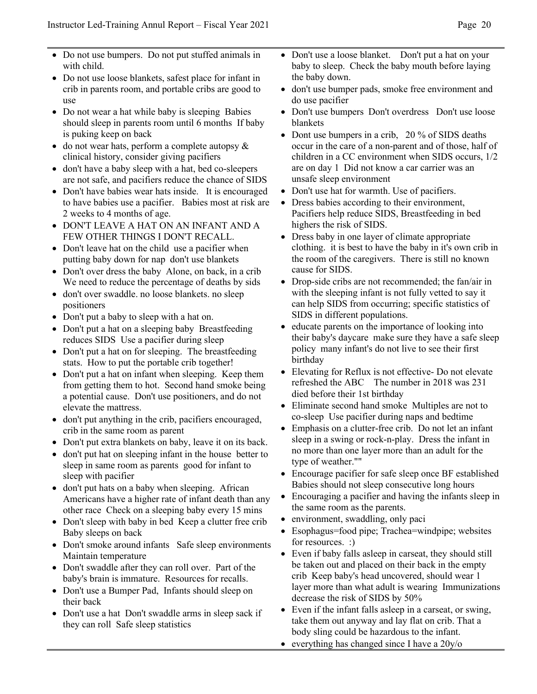- Do not use bumpers. Do not put stuffed animals in with child.
- Do not use loose blankets, safest place for infant in crib in parents room, and portable cribs are good to use
- Do not wear a hat while baby is sleeping Babies should sleep in parents room until 6 months If baby is puking keep on back
- do not wear hats, perform a complete autopsy  $\&$ clinical history, consider giving pacifiers
- don't have a baby sleep with a hat, bed co-sleepers are not safe, and pacifiers reduce the chance of SIDS
- Don't have babies wear hats inside. It is encouraged to have babies use a pacifier. Babies most at risk are 2 weeks to 4 months of age.
- DON'T LEAVE A HAT ON AN INFANT AND A FEW OTHER THINGS I DON'T RECALL.
- Don't leave hat on the child use a pacifier when putting baby down for nap don't use blankets
- Don't over dress the baby Alone, on back, in a crib We need to reduce the percentage of deaths by sids
- don't over swaddle. no loose blankets. no sleep positioners
- Don't put a baby to sleep with a hat on.
- Don't put a hat on a sleeping baby Breastfeeding reduces SIDS Use a pacifier during sleep
- Don't put a hat on for sleeping. The breastfeeding stats. How to put the portable crib together!
- Don't put a hat on infant when sleeping. Keep them from getting them to hot. Second hand smoke being a potential cause. Don't use positioners, and do not elevate the mattress.
- don't put anything in the crib, pacifiers encouraged, crib in the same room as parent
- Don't put extra blankets on baby, leave it on its back.
- don't put hat on sleeping infant in the house better to sleep in same room as parents good for infant to sleep with pacifier
- don't put hats on a baby when sleeping. African Americans have a higher rate of infant death than any other race Check on a sleeping baby every 15 mins
- Don't sleep with baby in bed Keep a clutter free crib Baby sleeps on back
- Don't smoke around infants Safe sleep environments Maintain temperature
- Don't swaddle after they can roll over. Part of the baby's brain is immature. Resources for recalls.
- Don't use a Bumper Pad, Infants should sleep on their back
- Don't use a hat Don't swaddle arms in sleep sack if they can roll Safe sleep statistics
- Don't use a loose blanket. Don't put a hat on your baby to sleep. Check the baby mouth before laying the baby down.
- don't use bumper pads, smoke free environment and do use pacifier
- Don't use bumpers Don't overdress Don't use loose blankets
- Dont use bumpers in a crib, 20 % of SIDS deaths occur in the care of a non-parent and of those, half of children in a CC environment when SIDS occurs, 1/2 are on day 1 Did not know a car carrier was an unsafe sleep environment
- Don't use hat for warmth. Use of pacifiers.
- Dress babies according to their environment, Pacifiers help reduce SIDS, Breastfeeding in bed highers the risk of SIDS.
- Dress baby in one layer of climate appropriate clothing. it is best to have the baby in it's own crib in the room of the caregivers. There is still no known cause for SIDS.
- Drop-side cribs are not recommended; the fan/air in with the sleeping infant is not fully vetted to say it can help SIDS from occurring; specific statistics of SIDS in different populations.
- educate parents on the importance of looking into their baby's daycare make sure they have a safe sleep policy many infant's do not live to see their first birthday
- Elevating for Reflux is not effective- Do not elevate refreshed the ABC The number in 2018 was 231 died before their 1st birthday
- Eliminate second hand smoke Multiples are not to co-sleep Use pacifier during naps and bedtime
- Emphasis on a clutter-free crib. Do not let an infant sleep in a swing or rock-n-play. Dress the infant in no more than one layer more than an adult for the type of weather.""
- Encourage pacifier for safe sleep once BF established Babies should not sleep consecutive long hours
- Encouraging a pacifier and having the infants sleep in the same room as the parents.
- environment, swaddling, only paci
- Esophagus=food pipe; Trachea=windpipe; websites for resources. :)
- Even if baby falls asleep in carseat, they should still be taken out and placed on their back in the empty crib Keep baby's head uncovered, should wear 1 layer more than what adult is wearing Immunizations decrease the risk of SIDS by 50%
- Even if the infant falls asleep in a carseat, or swing, take them out anyway and lay flat on crib. That a body sling could be hazardous to the infant.
- everything has changed since I have a 20y/o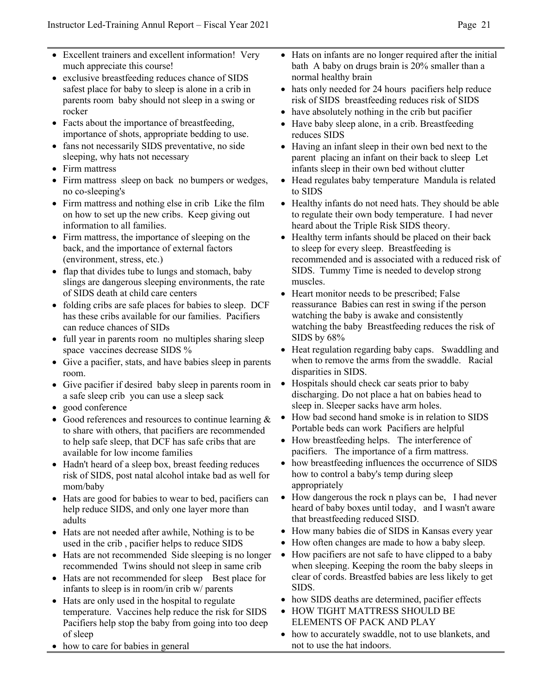- Excellent trainers and excellent information! Very much appreciate this course!
- exclusive breastfeeding reduces chance of SIDS safest place for baby to sleep is alone in a crib in parents room baby should not sleep in a swing or rocker
- Facts about the importance of breastfeeding, importance of shots, appropriate bedding to use.
- fans not necessarily SIDS preventative, no side sleeping, why hats not necessary
- Firm mattress
- Firm mattress sleep on back no bumpers or wedges, no co-sleeping's
- Firm mattress and nothing else in crib Like the film on how to set up the new cribs. Keep giving out information to all families.
- Firm mattress, the importance of sleeping on the back, and the importance of external factors (environment, stress, etc.)
- flap that divides tube to lungs and stomach, baby slings are dangerous sleeping environments, the rate of SIDS death at child care centers
- folding cribs are safe places for babies to sleep. DCF has these cribs available for our families. Pacifiers can reduce chances of SIDs
- full year in parents room no multiples sharing sleep space vaccines decrease SIDS %
- Give a pacifier, stats, and have babies sleep in parents room.
- Give pacifier if desired baby sleep in parents room in a safe sleep crib you can use a sleep sack
- good conference
- Good references and resources to continue learning  $&$ to share with others, that pacifiers are recommended to help safe sleep, that DCF has safe cribs that are available for low income families
- Hadn't heard of a sleep box, breast feeding reduces risk of SIDS, post natal alcohol intake bad as well for mom/baby
- Hats are good for babies to wear to bed, pacifiers can help reduce SIDS, and only one layer more than adults
- Hats are not needed after awhile, Nothing is to be used in the crib , pacifier helps to reduce SIDS
- Hats are not recommended Side sleeping is no longer recommended Twins should not sleep in same crib
- Hats are not recommended for sleep Best place for infants to sleep is in room/in crib w/ parents
- Hats are only used in the hospital to regulate temperature. Vaccines help reduce the risk for SIDS Pacifiers help stop the baby from going into too deep of sleep
- how to care for babies in general
- Hats on infants are no longer required after the initial bath A baby on drugs brain is 20% smaller than a normal healthy brain
- hats only needed for 24 hours pacifiers help reduce risk of SIDS breastfeeding reduces risk of SIDS
- have absolutely nothing in the crib but pacifier
- Have baby sleep alone, in a crib. Breastfeeding reduces SIDS
- Having an infant sleep in their own bed next to the parent placing an infant on their back to sleep Let infants sleep in their own bed without clutter
- Head regulates baby temperature Mandula is related to SIDS
- Healthy infants do not need hats. They should be able to regulate their own body temperature. I had never heard about the Triple Risk SIDS theory.
- Healthy term infants should be placed on their back to sleep for every sleep. Breastfeeding is recommended and is associated with a reduced risk of SIDS. Tummy Time is needed to develop strong muscles.
- Heart monitor needs to be prescribed; False reassurance Babies can rest in swing if the person watching the baby is awake and consistently watching the baby Breastfeeding reduces the risk of SIDS by 68%
- Heat regulation regarding baby caps. Swaddling and when to remove the arms from the swaddle. Racial disparities in SIDS.
- Hospitals should check car seats prior to baby discharging. Do not place a hat on babies head to sleep in. Sleeper sacks have arm holes.
- How bad second hand smoke is in relation to SIDS Portable beds can work Pacifiers are helpful
- How breastfeeding helps. The interference of pacifiers. The importance of a firm mattress.
- how breastfeeding influences the occurrence of SIDS how to control a baby's temp during sleep appropriately
- How dangerous the rock n plays can be, I had never heard of baby boxes until today, and I wasn't aware that breastfeeding reduced SISD.
- How many babies die of SIDS in Kansas every year
- How often changes are made to how a baby sleep.
- How pacifiers are not safe to have clipped to a baby when sleeping. Keeping the room the baby sleeps in clear of cords. Breastfed babies are less likely to get SIDS.
- how SIDS deaths are determined, pacifier effects
- HOW TIGHT MATTRESS SHOULD BE ELEMENTS OF PACK AND PLAY
- how to accurately swaddle, not to use blankets, and not to use the hat indoors.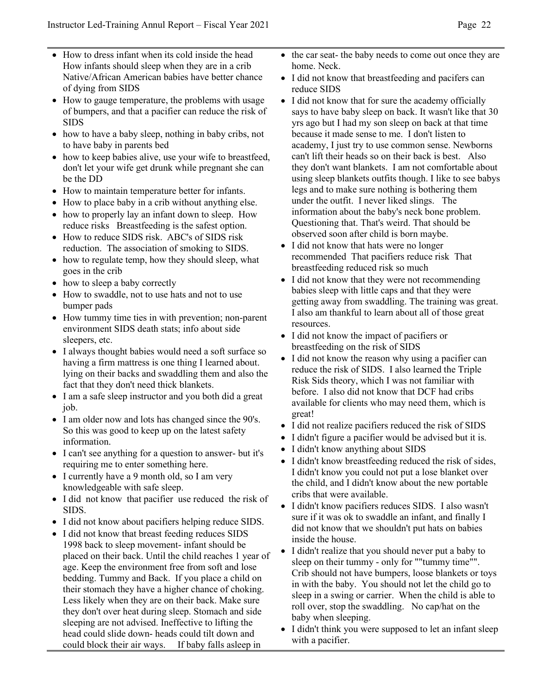- How to dress infant when its cold inside the head How infants should sleep when they are in a crib Native/African American babies have better chance of dying from SIDS
- How to gauge temperature, the problems with usage of bumpers, and that a pacifier can reduce the risk of SIDS
- how to have a baby sleep, nothing in baby cribs, not to have baby in parents bed
- how to keep babies alive, use your wife to breastfeed, don't let your wife get drunk while pregnant she can be the DD
- How to maintain temperature better for infants.
- How to place baby in a crib without anything else.
- how to properly lay an infant down to sleep. How reduce risks Breastfeeding is the safest option.
- How to reduce SIDS risk. ABC's of SIDS risk reduction. The association of smoking to SIDS.
- how to regulate temp, how they should sleep, what goes in the crib
- how to sleep a baby correctly
- How to swaddle, not to use hats and not to use bumper pads
- How tummy time ties in with prevention; non-parent environment SIDS death stats; info about side sleepers, etc.
- I always thought babies would need a soft surface so having a firm mattress is one thing I learned about. lying on their backs and swaddling them and also the fact that they don't need thick blankets.
- I am a safe sleep instructor and you both did a great job.
- I am older now and lots has changed since the 90's. So this was good to keep up on the latest safety information.
- I can't see anything for a question to answer- but it's requiring me to enter something here.
- I currently have a 9 month old, so I am very knowledgeable with safe sleep.
- I did not know that pacifier use reduced the risk of SIDS.
- I did not know about pacifiers helping reduce SIDS.
- I did not know that breast feeding reduces SIDS 1998 back to sleep movement- infant should be placed on their back. Until the child reaches 1 year of age. Keep the environment free from soft and lose bedding. Tummy and Back. If you place a child on their stomach they have a higher chance of choking. Less likely when they are on their back. Make sure they don't over heat during sleep. Stomach and side sleeping are not advised. Ineffective to lifting the head could slide down- heads could tilt down and could block their air ways. If baby falls asleep in
- the car seat- the baby needs to come out once they are home. Neck.
- I did not know that breastfeeding and pacifers can reduce SIDS
- I did not know that for sure the academy officially says to have baby sleep on back. It wasn't like that 30 yrs ago but I had my son sleep on back at that time because it made sense to me. I don't listen to academy, I just try to use common sense. Newborns can't lift their heads so on their back is best. Also they don't want blankets. I am not comfortable about using sleep blankets outfits though. I like to see babys legs and to make sure nothing is bothering them under the outfit. I never liked slings. The information about the baby's neck bone problem. Questioning that. That's weird. That should be observed soon after child is born maybe.
- I did not know that hats were no longer recommended That pacifiers reduce risk That breastfeeding reduced risk so much
- I did not know that they were not recommending babies sleep with little caps and that they were getting away from swaddling. The training was great. I also am thankful to learn about all of those great resources.
- I did not know the impact of pacifiers or breastfeeding on the risk of SIDS
- I did not know the reason why using a pacifier can reduce the risk of SIDS. I also learned the Triple Risk Sids theory, which I was not familiar with before. I also did not know that DCF had cribs available for clients who may need them, which is great!
- I did not realize pacifiers reduced the risk of SIDS
- I didn't figure a pacifier would be advised but it is.
- I didn't know anything about SIDS
- I didn't know breastfeeding reduced the risk of sides, I didn't know you could not put a lose blanket over the child, and I didn't know about the new portable cribs that were available.
- I didn't know pacifiers reduces SIDS. I also wasn't sure if it was ok to swaddle an infant, and finally I did not know that we shouldn't put hats on babies inside the house.
- I didn't realize that you should never put a baby to sleep on their tummy - only for ""tummy time"". Crib should not have bumpers, loose blankets or toys in with the baby. You should not let the child go to sleep in a swing or carrier. When the child is able to roll over, stop the swaddling. No cap/hat on the baby when sleeping.
- I didn't think you were supposed to let an infant sleep with a pacifier.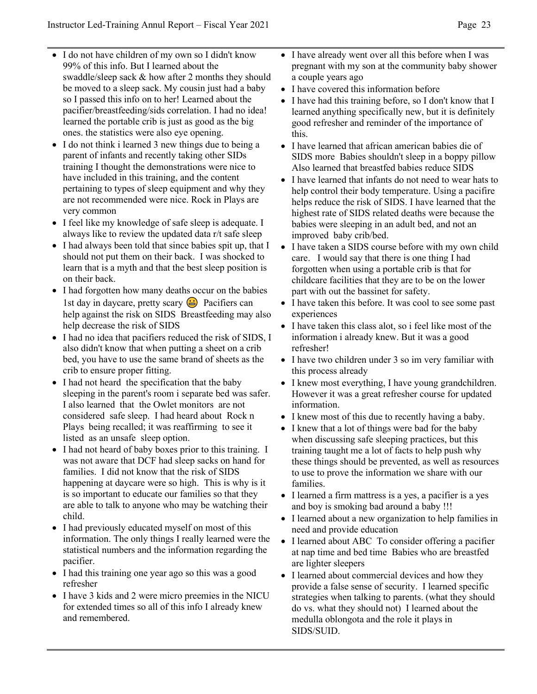- I do not have children of my own so I didn't know 99% of this info. But I learned about the swaddle/sleep sack & how after 2 months they should be moved to a sleep sack. My cousin just had a baby so I passed this info on to her! Learned about the pacifier/breastfeeding/sids correlation. I had no idea! learned the portable crib is just as good as the big ones. the statistics were also eye opening.
- I do not think i learned 3 new things due to being a parent of infants and recently taking other SIDs training I thought the demonstrations were nice to have included in this training, and the content pertaining to types of sleep equipment and why they are not recommended were nice. Rock in Plays are very common
- I feel like my knowledge of safe sleep is adequate. I always like to review the updated data r/t safe sleep
- I had always been told that since babies spit up, that I should not put them on their back. I was shocked to learn that is a myth and that the best sleep position is on their back.
- I had forgotten how many deaths occur on the babies 1st day in daycare, pretty scary **a** Pacifiers can help against the risk on SIDS Breastfeeding may also help decrease the risk of SIDS
- I had no idea that pacifiers reduced the risk of SIDS, I also didn't know that when putting a sheet on a crib bed, you have to use the same brand of sheets as the crib to ensure proper fitting.
- I had not heard the specification that the baby sleeping in the parent's room i separate bed was safer. I also learned that the Owlet monitors are not considered safe sleep. I had heard about Rock n Plays being recalled; it was reaffirming to see it listed as an unsafe sleep option.
- I had not heard of baby boxes prior to this training. I was not aware that DCF had sleep sacks on hand for families. I did not know that the risk of SIDS happening at daycare were so high. This is why is it is so important to educate our families so that they are able to talk to anyone who may be watching their child.
- I had previously educated myself on most of this information. The only things I really learned were the statistical numbers and the information regarding the pacifier.
- I had this training one year ago so this was a good refresher
- I have 3 kids and 2 were micro preemies in the NICU for extended times so all of this info I already knew and remembered.
- I have already went over all this before when I was pregnant with my son at the community baby shower a couple years ago
- I have covered this information before
- I have had this training before, so I don't know that I learned anything specifically new, but it is definitely good refresher and reminder of the importance of this.
- I have learned that african american babies die of SIDS more Babies shouldn't sleep in a boppy pillow Also learned that breastfed babies reduce SIDS
- I have learned that infants do not need to wear hats to help control their body temperature. Using a pacifire helps reduce the risk of SIDS. I have learned that the highest rate of SIDS related deaths were because the babies were sleeping in an adult bed, and not an improved baby crib/bed.
- I have taken a SIDS course before with my own child care. I would say that there is one thing I had forgotten when using a portable crib is that for childcare facilities that they are to be on the lower part with out the bassinet for safety.
- I have taken this before. It was cool to see some past experiences
- I have taken this class alot, so i feel like most of the information i already knew. But it was a good refresher!
- I have two children under 3 so im very familiar with this process already
- I knew most everything, I have young grandchildren. However it was a great refresher course for updated information.
- I knew most of this due to recently having a baby.
- I knew that a lot of things were bad for the baby when discussing safe sleeping practices, but this training taught me a lot of facts to help push why these things should be prevented, as well as resources to use to prove the information we share with our families.
- I learned a firm mattress is a yes, a pacifier is a yes and boy is smoking bad around a baby !!!
- I learned about a new organization to help families in need and provide education
- I learned about ABC To consider offering a pacifier at nap time and bed time Babies who are breastfed are lighter sleepers
- I learned about commercial devices and how they provide a false sense of security. I learned specific strategies when talking to parents. (what they should do vs. what they should not) I learned about the medulla oblongota and the role it plays in SIDS/SUID.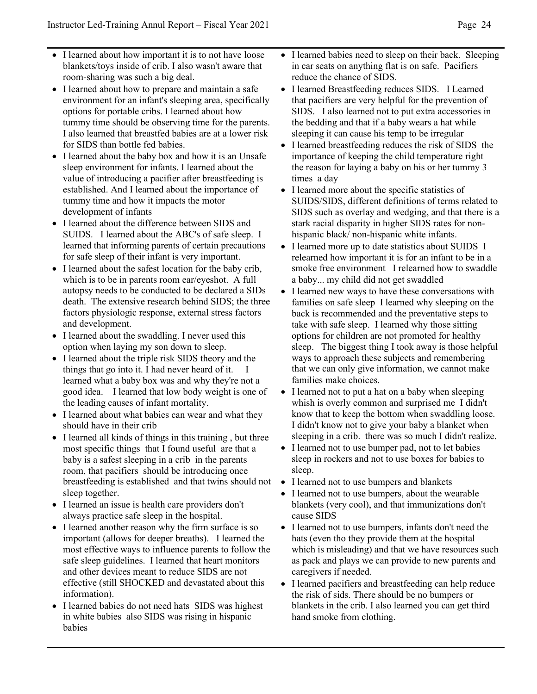- I learned about how important it is to not have loose blankets/toys inside of crib. I also wasn't aware that room-sharing was such a big deal.
- I learned about how to prepare and maintain a safe environment for an infant's sleeping area, specifically options for portable cribs. I learned about how tummy time should be observing time for the parents. I also learned that breastfed babies are at a lower risk for SIDS than bottle fed babies.
- I learned about the baby box and how it is an Unsafe sleep environment for infants. I learned about the value of introducing a pacifier after breastfeeding is established. And I learned about the importance of tummy time and how it impacts the motor development of infants
- I learned about the difference between SIDS and SUIDS. I learned about the ABC's of safe sleep. I learned that informing parents of certain precautions for safe sleep of their infant is very important.
- I learned about the safest location for the baby crib, which is to be in parents room ear/eyeshot. A full autopsy needs to be conducted to be declared a SIDs death. The extensive research behind SIDS; the three factors physiologic response, external stress factors and development.
- I learned about the swaddling. I never used this option when laying my son down to sleep.
- I learned about the triple risk SIDS theory and the things that go into it. I had never heard of it. I learned what a baby box was and why they're not a good idea. I learned that low body weight is one of the leading causes of infant mortality.
- I learned about what babies can wear and what they should have in their crib
- I learned all kinds of things in this training, but three most specific things that I found useful are that a baby is a safest sleeping in a crib in the parents room, that pacifiers should be introducing once breastfeeding is established and that twins should not sleep together.
- I learned an issue is health care providers don't always practice safe sleep in the hospital.
- I learned another reason why the firm surface is so important (allows for deeper breaths). I learned the most effective ways to influence parents to follow the safe sleep guidelines. I learned that heart monitors and other devices meant to reduce SIDS are not effective (still SHOCKED and devastated about this information).
- I learned babies do not need hats SIDS was highest in white babies also SIDS was rising in hispanic babies
- I learned babies need to sleep on their back. Sleeping in car seats on anything flat is on safe. Pacifiers reduce the chance of SIDS.
- I learned Breastfeeding reduces SIDS. I Learned that pacifiers are very helpful for the prevention of SIDS. I also learned not to put extra accessories in the bedding and that if a baby wears a hat while sleeping it can cause his temp to be irregular
- I learned breastfeeding reduces the risk of SIDS the importance of keeping the child temperature right the reason for laying a baby on his or her tummy 3 times a day
- I learned more about the specific statistics of SUIDS/SIDS, different definitions of terms related to SIDS such as overlay and wedging, and that there is a stark racial disparity in higher SIDS rates for nonhispanic black/ non-hispanic white infants.
- I learned more up to date statistics about SUIDS I relearned how important it is for an infant to be in a smoke free environment I relearned how to swaddle a baby... my child did not get swaddled
- I learned new ways to have these conversations with families on safe sleep I learned why sleeping on the back is recommended and the preventative steps to take with safe sleep. I learned why those sitting options for children are not promoted for healthy sleep. The biggest thing I took away is those helpful ways to approach these subjects and remembering that we can only give information, we cannot make families make choices.
- I learned not to put a hat on a baby when sleeping whish is overly common and surprised me I didn't know that to keep the bottom when swaddling loose. I didn't know not to give your baby a blanket when sleeping in a crib. there was so much I didn't realize.
- I learned not to use bumper pad, not to let babies sleep in rockers and not to use boxes for babies to sleep.
- I learned not to use bumpers and blankets
- I learned not to use bumpers, about the wearable blankets (very cool), and that immunizations don't cause SIDS
- I learned not to use bumpers, infants don't need the hats (even tho they provide them at the hospital which is misleading) and that we have resources such as pack and plays we can provide to new parents and caregivers if needed.
- I learned pacifiers and breastfeeding can help reduce the risk of sids. There should be no bumpers or blankets in the crib. I also learned you can get third hand smoke from clothing.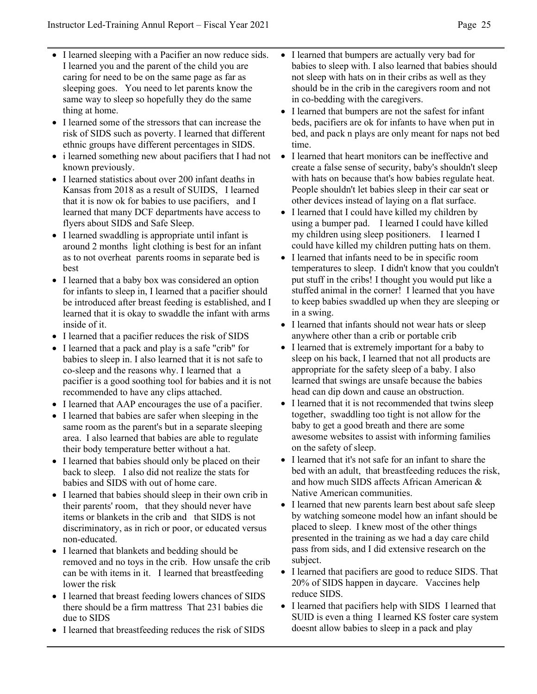- I learned sleeping with a Pacifier an now reduce sids. I learned you and the parent of the child you are caring for need to be on the same page as far as sleeping goes. You need to let parents know the same way to sleep so hopefully they do the same thing at home.
- I learned some of the stressors that can increase the risk of SIDS such as poverty. I learned that different ethnic groups have different percentages in SIDS.
- i learned something new about pacifiers that I had not known previously.
- I learned statistics about over 200 infant deaths in Kansas from 2018 as a result of SUIDS, I learned that it is now ok for babies to use pacifiers, and I learned that many DCF departments have access to flyers about SIDS and Safe Sleep.
- I learned swaddling is appropriate until infant is around 2 months light clothing is best for an infant as to not overheat parents rooms in separate bed is best
- I learned that a baby box was considered an option for infants to sleep in, I learned that a pacifier should be introduced after breast feeding is established, and I learned that it is okay to swaddle the infant with arms inside of it.
- I learned that a pacifier reduces the risk of SIDS
- I learned that a pack and play is a safe "crib" for babies to sleep in. I also learned that it is not safe to co-sleep and the reasons why. I learned that a pacifier is a good soothing tool for babies and it is not recommended to have any clips attached.
- I learned that AAP encourages the use of a pacifier.
- I learned that babies are safer when sleeping in the same room as the parent's but in a separate sleeping area. I also learned that babies are able to regulate their body temperature better without a hat.
- I learned that babies should only be placed on their back to sleep. I also did not realize the stats for babies and SIDS with out of home care.
- I learned that babies should sleep in their own crib in their parents' room, that they should never have items or blankets in the crib and that SIDS is not discriminatory, as in rich or poor, or educated versus non-educated.
- I learned that blankets and bedding should be removed and no toys in the crib. How unsafe the crib can be with items in it. I learned that breastfeeding lower the risk
- I learned that breast feeding lowers chances of SIDS there should be a firm mattress That 231 babies die due to SIDS
- I learned that breastfeeding reduces the risk of SIDS
- I learned that bumpers are actually very bad for babies to sleep with. I also learned that babies should not sleep with hats on in their cribs as well as they should be in the crib in the caregivers room and not in co-bedding with the caregivers.
- I learned that bumpers are not the safest for infant beds, pacifiers are ok for infants to have when put in bed, and pack n plays are only meant for naps not bed time.
- I learned that heart monitors can be ineffective and create a false sense of security, baby's shouldn't sleep with hats on because that's how babies regulate heat. People shouldn't let babies sleep in their car seat or other devices instead of laying on a flat surface.
- I learned that I could have killed my children by using a bumper pad. I learned I could have killed my children using sleep positioners. I learned I could have killed my children putting hats on them.
- I learned that infants need to be in specific room temperatures to sleep. I didn't know that you couldn't put stuff in the cribs! I thought you would put like a stuffed animal in the corner! I learned that you have to keep babies swaddled up when they are sleeping or in a swing.
- I learned that infants should not wear hats or sleep anywhere other than a crib or portable crib
- I learned that is extremely important for a baby to sleep on his back, I learned that not all products are appropriate for the safety sleep of a baby. I also learned that swings are unsafe because the babies head can dip down and cause an obstruction.
- I learned that it is not recommended that twins sleep together, swaddling too tight is not allow for the baby to get a good breath and there are some awesome websites to assist with informing families on the safety of sleep.
- I learned that it's not safe for an infant to share the bed with an adult, that breastfeeding reduces the risk, and how much SIDS affects African American & Native American communities.
- I learned that new parents learn best about safe sleep by watching someone model how an infant should be placed to sleep. I knew most of the other things presented in the training as we had a day care child pass from sids, and I did extensive research on the subject.
- I learned that pacifiers are good to reduce SIDS. That 20% of SIDS happen in daycare. Vaccines help reduce SIDS.
- I learned that pacifiers help with SIDS I learned that SUID is even a thing I learned KS foster care system doesnt allow babies to sleep in a pack and play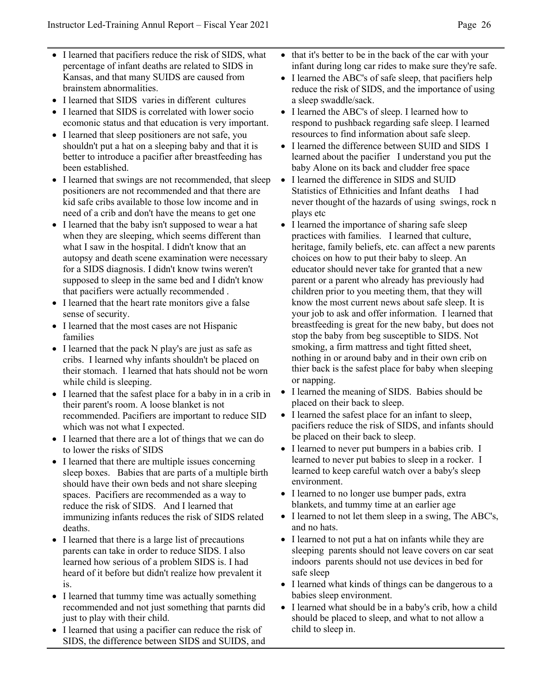- I learned that pacifiers reduce the risk of SIDS, what percentage of infant deaths are related to SIDS in Kansas, and that many SUIDS are caused from brainstem abnormalities.
- I learned that SIDS varies in different cultures
- I learned that SIDS is correlated with lower socio ecomonic status and that education is very important.
- I learned that sleep positioners are not safe, you shouldn't put a hat on a sleeping baby and that it is better to introduce a pacifier after breastfeeding has been established.
- I learned that swings are not recommended, that sleep positioners are not recommended and that there are kid safe cribs available to those low income and in need of a crib and don't have the means to get one
- I learned that the baby isn't supposed to wear a hat when they are sleeping, which seems different than what I saw in the hospital. I didn't know that an autopsy and death scene examination were necessary for a SIDS diagnosis. I didn't know twins weren't supposed to sleep in the same bed and I didn't know that pacifiers were actually recommended .
- I learned that the heart rate monitors give a false sense of security.
- I learned that the most cases are not Hispanic families
- I learned that the pack N play's are just as safe as cribs. I learned why infants shouldn't be placed on their stomach. I learned that hats should not be worn while child is sleeping.
- I learned that the safest place for a baby in in a crib in their parent's room. A loose blanket is not recommended. Pacifiers are important to reduce SID which was not what I expected.
- I learned that there are a lot of things that we can do to lower the risks of SIDS
- I learned that there are multiple issues concerning sleep boxes. Babies that are parts of a multiple birth should have their own beds and not share sleeping spaces. Pacifiers are recommended as a way to reduce the risk of SIDS. And I learned that immunizing infants reduces the risk of SIDS related deaths.
- I learned that there is a large list of precautions parents can take in order to reduce SIDS. I also learned how serious of a problem SIDS is. I had heard of it before but didn't realize how prevalent it is.
- I learned that tummy time was actually something recommended and not just something that parnts did just to play with their child.
- I learned that using a pacifier can reduce the risk of SIDS, the difference between SIDS and SUIDS, and
- that it's better to be in the back of the car with your infant during long car rides to make sure they're safe.
- I learned the ABC's of safe sleep, that pacifiers help reduce the risk of SIDS, and the importance of using a sleep swaddle/sack.
- I learned the ABC's of sleep. I learned how to respond to pushback regarding safe sleep. I learned resources to find information about safe sleep.
- I learned the difference between SUID and SIDS I learned about the pacifier I understand you put the baby Alone on its back and cludder free space
- I learned the difference in SIDS and SUID Statistics of Ethnicities and Infant deaths I had never thought of the hazards of using swings, rock n plays etc
- I learned the importance of sharing safe sleep practices with families. I learned that culture, heritage, family beliefs, etc. can affect a new parents choices on how to put their baby to sleep. An educator should never take for granted that a new parent or a parent who already has previously had children prior to you meeting them, that they will know the most current news about safe sleep. It is your job to ask and offer information. I learned that breastfeeding is great for the new baby, but does not stop the baby from beg susceptible to SIDS. Not smoking, a firm mattress and tight fitted sheet, nothing in or around baby and in their own crib on thier back is the safest place for baby when sleeping or napping.
- I learned the meaning of SIDS. Babies should be placed on their back to sleep.
- I learned the safest place for an infant to sleep, pacifiers reduce the risk of SIDS, and infants should be placed on their back to sleep.
- I learned to never put bumpers in a babies crib. I learned to never put babies to sleep in a rocker. I learned to keep careful watch over a baby's sleep environment.
- I learned to no longer use bumper pads, extra blankets, and tummy time at an earlier age
- I learned to not let them sleep in a swing, The ABC's, and no hats.
- I learned to not put a hat on infants while they are sleeping parents should not leave covers on car seat indoors parents should not use devices in bed for safe sleep
- I learned what kinds of things can be dangerous to a babies sleep environment.
- I learned what should be in a baby's crib, how a child should be placed to sleep, and what to not allow a child to sleep in.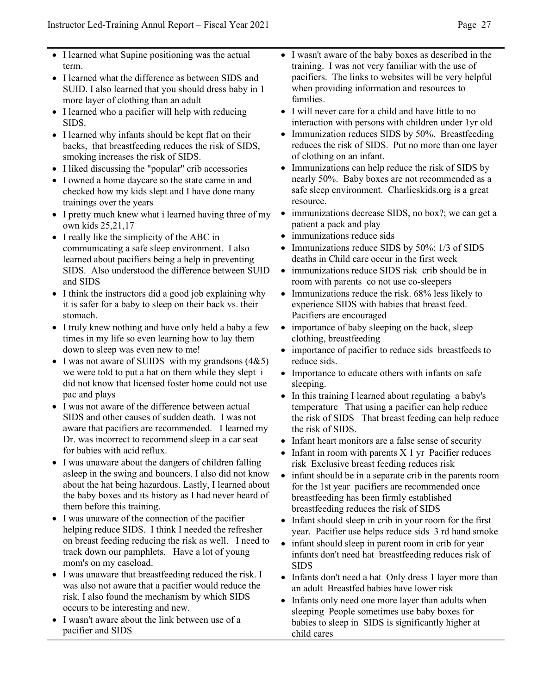- I learned what Supine positioning was the actual term.
- I learned what the difference as between SIDS and SUID. I also learned that you should dress baby in 1 more layer of clothing than an adult
- I learned who a pacifier will help with reducing SIDS.
- I learned why infants should be kept flat on their backs, that breastfeeding reduces the risk of SIDS, smoking increases the risk of SIDS.
- I liked discussing the "popular" crib accessories
- I owned a home daycare so the state came in and checked how my kids slept and I have done many trainings over the years
- I pretty much knew what i learned having three of my own kids 25,21,17
- I really like the simplicity of the ABC in communicating a safe sleep environment. I also learned about pacifiers being a help in preventing SIDS. Also understood the difference between SUID and SIDS
- I think the instructors did a good job explaining why it is safer for a baby to sleep on their back vs. their stomach.
- I truly knew nothing and have only held a baby a few times in my life so even learning how to lay them down to sleep was even new to me!
- I was not aware of SUIDS with my grandsons  $(4&5)$ we were told to put a hat on them while they slept i did not know that licensed foster home could not use pac and plays
- I was not aware of the difference between actual SIDS and other causes of sudden death. I was not aware that pacifiers are recommended. I learned my Dr. was incorrect to recommend sleep in a car seat for babies with acid reflux.
- I was unaware about the dangers of children falling asleep in the swing and bouncers. I also did not know about the hat being hazardous. Lastly, I learned about the baby boxes and its history as I had never heard of them before this training.
- I was unaware of the connection of the pacifier helping reduce SIDS. I think I needed the refresher on breast feeding reducing the risk as well. I need to track down our pamphlets. Have a lot of young mom's on my caseload.
- I was unaware that breastfeeding reduced the risk. I was also not aware that a pacifier would reduce the risk. I also found the mechanism by which SIDS occurs to be interesting and new.
- I wasn't aware about the link between use of a pacifier and SIDS
- I wasn't aware of the baby boxes as described in the training. I was not very familiar with the use of pacifiers. The links to websites will be very helpful when providing information and resources to families.
- I will never care for a child and have little to no interaction with persons with children under 1yr old
- Immunization reduces SIDS by 50%. Breastfeeding reduces the risk of SIDS. Put no more than one layer of clothing on an infant.
- Immunizations can help reduce the risk of SIDS by nearly 50%. Baby boxes are not recommended as a safe sleep environment. Charlieskids.org is a great resource.
- immunizations decrease SIDS, no box?; we can get a patient a pack and play
- immunizations reduce sids
- Immunizations reduce SIDS by 50%; 1/3 of SIDS deaths in Child care occur in the first week
- immunizations reduce SIDS risk crib should be in room with parents co not use co-sleepers
- Immunizations reduce the risk. 68% less likely to experience SIDS with babies that breast feed. Pacifiers are encouraged
- importance of baby sleeping on the back, sleep clothing, breastfeeding
- importance of pacifier to reduce sids breastfeeds to reduce sids.
- Importance to educate others with infants on safe sleeping.
- In this training I learned about regulating a baby's temperature That using a pacifier can help reduce the risk of SIDS That breast feeding can help reduce the risk of SIDS.
- Infant heart monitors are a false sense of security
- Infant in room with parents  $X$  1 yr Pacifier reduces risk Exclusive breast feeding reduces risk
- infant should be in a separate crib in the parents room for the 1st year pacifiers are recommended once breastfeeding has been firmly established breastfeeding reduces the risk of SIDS
- Infant should sleep in crib in your room for the first year. Pacifier use helps reduce sids 3 rd hand smoke
- infant should sleep in parent room in crib for year infants don't need hat breastfeeding reduces risk of SIDS
- Infants don't need a hat Only dress 1 layer more than an adult Breastfed babies have lower risk
- Infants only need one more layer than adults when sleeping People sometimes use baby boxes for babies to sleep in SIDS is significantly higher at child cares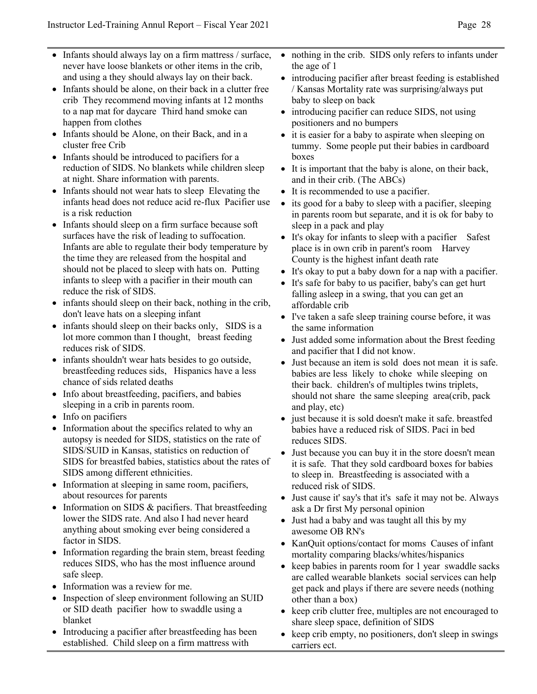- Infants should always lay on a firm mattress / surface, never have loose blankets or other items in the crib, and using a they should always lay on their back.
- Infants should be alone, on their back in a clutter free crib They recommend moving infants at 12 months to a nap mat for daycare Third hand smoke can happen from clothes
- Infants should be Alone, on their Back, and in a cluster free Crib
- Infants should be introduced to pacifiers for a reduction of SIDS. No blankets while children sleep at night. Share information with parents.
- Infants should not wear hats to sleep Elevating the infants head does not reduce acid re-flux Pacifier use is a risk reduction
- Infants should sleep on a firm surface because soft surfaces have the risk of leading to suffocation. Infants are able to regulate their body temperature by the time they are released from the hospital and should not be placed to sleep with hats on. Putting infants to sleep with a pacifier in their mouth can reduce the risk of SIDS.
- infants should sleep on their back, nothing in the crib, don't leave hats on a sleeping infant
- infants should sleep on their backs only, SIDS is a lot more common than I thought, breast feeding reduces risk of SIDS.
- infants shouldn't wear hats besides to go outside, breastfeeding reduces sids, Hispanics have a less chance of sids related deaths
- Info about breastfeeding, pacifiers, and babies sleeping in a crib in parents room.
- Info on pacifiers
- Information about the specifics related to why an autopsy is needed for SIDS, statistics on the rate of SIDS/SUID in Kansas, statistics on reduction of SIDS for breastfed babies, statistics about the rates of SIDS among different ethnicities.
- Information at sleeping in same room, pacifiers, about resources for parents
- Information on SIDS & pacifiers. That breastfeeding lower the SIDS rate. And also I had never heard anything about smoking ever being considered a factor in SIDS.
- Information regarding the brain stem, breast feeding reduces SIDS, who has the most influence around safe sleep.
- Information was a review for me.
- Inspection of sleep environment following an SUID or SID death pacifier how to swaddle using a blanket
- Introducing a pacifier after breastfeeding has been established. Child sleep on a firm mattress with
- nothing in the crib. SIDS only refers to infants under the age of 1
- introducing pacifier after breast feeding is established / Kansas Mortality rate was surprising/always put baby to sleep on back
- introducing pacifier can reduce SIDS, not using positioners and no bumpers
- it is easier for a baby to aspirate when sleeping on tummy. Some people put their babies in cardboard boxes
- It is important that the baby is alone, on their back, and in their crib. (The ABCs)
- It is recommended to use a pacifier.
- its good for a baby to sleep with a pacifier, sleeping in parents room but separate, and it is ok for baby to sleep in a pack and play
- It's okay for infants to sleep with a pacifier Safest place is in own crib in parent's room Harvey County is the highest infant death rate
- It's okay to put a baby down for a nap with a pacifier.
- It's safe for baby to us pacifier, baby's can get hurt falling asleep in a swing, that you can get an affordable crib
- I've taken a safe sleep training course before, it was the same information
- Just added some information about the Brest feeding and pacifier that I did not know.
- Just because an item is sold does not mean it is safe. babies are less likely to choke while sleeping on their back. children's of multiples twins triplets, should not share the same sleeping area(crib, pack and play, etc)
- just because it is sold doesn't make it safe. breastfed babies have a reduced risk of SIDS. Paci in bed reduces SIDS.
- Just because you can buy it in the store doesn't mean it is safe. That they sold cardboard boxes for babies to sleep in. Breastfeeding is associated with a reduced risk of SIDS.
- Just cause it' say's that it's safe it may not be. Always ask a Dr first My personal opinion
- Just had a baby and was taught all this by my awesome OB RN's
- KanQuit options/contact for moms Causes of infant mortality comparing blacks/whites/hispanics
- keep babies in parents room for 1 year swaddle sacks are called wearable blankets social services can help get pack and plays if there are severe needs (nothing other than a box)
- keep crib clutter free, multiples are not encouraged to share sleep space, definition of SIDS
- keep crib empty, no positioners, don't sleep in swings carriers ect.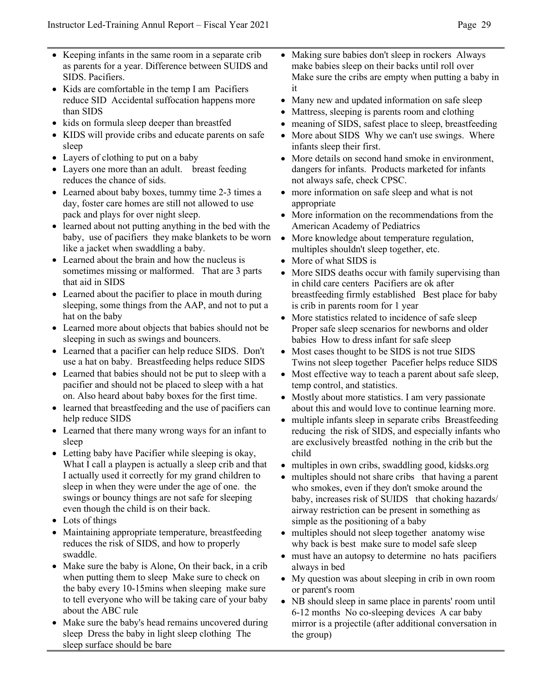- Keeping infants in the same room in a separate crib as parents for a year. Difference between SUIDS and SIDS. Pacifiers.
- Kids are comfortable in the temp I am Pacifiers reduce SID Accidental suffocation happens more than SIDS
- kids on formula sleep deeper than breastfed
- KIDS will provide cribs and educate parents on safe sleep
- Layers of clothing to put on a baby
- Layers one more than an adult. breast feeding reduces the chance of sids.
- Learned about baby boxes, tummy time 2-3 times a day, foster care homes are still not allowed to use pack and plays for over night sleep.
- learned about not putting anything in the bed with the baby, use of pacifiers they make blankets to be worn like a jacket when swaddling a baby.
- Learned about the brain and how the nucleus is sometimes missing or malformed. That are 3 parts that aid in SIDS
- Learned about the pacifier to place in mouth during sleeping, some things from the AAP, and not to put a hat on the baby
- Learned more about objects that babies should not be sleeping in such as swings and bouncers.
- Learned that a pacifier can help reduce SIDS. Don't use a hat on baby. Breastfeeding helps reduce SIDS
- Learned that babies should not be put to sleep with a pacifier and should not be placed to sleep with a hat on. Also heard about baby boxes for the first time.
- learned that breastfeeding and the use of pacifiers can help reduce SIDS
- Learned that there many wrong ways for an infant to sleep
- Letting baby have Pacifier while sleeping is okay, What I call a playpen is actually a sleep crib and that I actually used it correctly for my grand children to sleep in when they were under the age of one. the swings or bouncy things are not safe for sleeping even though the child is on their back.
- Lots of things
- Maintaining appropriate temperature, breastfeeding reduces the risk of SIDS, and how to properly swaddle.
- Make sure the baby is Alone, On their back, in a crib when putting them to sleep Make sure to check on the baby every 10-15mins when sleeping make sure to tell everyone who will be taking care of your baby about the ABC rule
- Make sure the baby's head remains uncovered during sleep Dress the baby in light sleep clothing The sleep surface should be bare
- Making sure babies don't sleep in rockers Always make babies sleep on their backs until roll over Make sure the cribs are empty when putting a baby in it
- Many new and updated information on safe sleep
- Mattress, sleeping is parents room and clothing
- meaning of SIDS, safest place to sleep, breastfeeding
- More about SIDS Why we can't use swings. Where infants sleep their first.
- More details on second hand smoke in environment, dangers for infants. Products marketed for infants not always safe, check CPSC.
- more information on safe sleep and what is not appropriate
- More information on the recommendations from the American Academy of Pediatrics
- More knowledge about temperature regulation, multiples shouldn't sleep together, etc.
- More of what SIDS is
- More SIDS deaths occur with family supervising than in child care centers Pacifiers are ok after breastfeeding firmly established Best place for baby is crib in parents room for 1 year
- More statistics related to incidence of safe sleep Proper safe sleep scenarios for newborns and older babies How to dress infant for safe sleep
- Most cases thought to be SIDS is not true SIDS Twins not sleep together Pacefier helps reduce SIDS
- Most effective way to teach a parent about safe sleep, temp control, and statistics.
- Mostly about more statistics. I am very passionate about this and would love to continue learning more.
- multiple infants sleep in separate cribs Breastfeeding reducing the risk of SIDS, and especially infants who are exclusively breastfed nothing in the crib but the child
- multiples in own cribs, swaddling good, kidsks.org
- multiples should not share cribs that having a parent who smokes, even if they don't smoke around the baby, increases risk of SUIDS that choking hazards/ airway restriction can be present in something as simple as the positioning of a baby
- multiples should not sleep together anatomy wise why back is best make sure to model safe sleep
- must have an autopsy to determine no hats pacifiers always in bed
- My question was about sleeping in crib in own room or parent's room
- NB should sleep in same place in parents' room until 6-12 months No co-sleeping devices A car baby mirror is a projectile (after additional conversation in the group)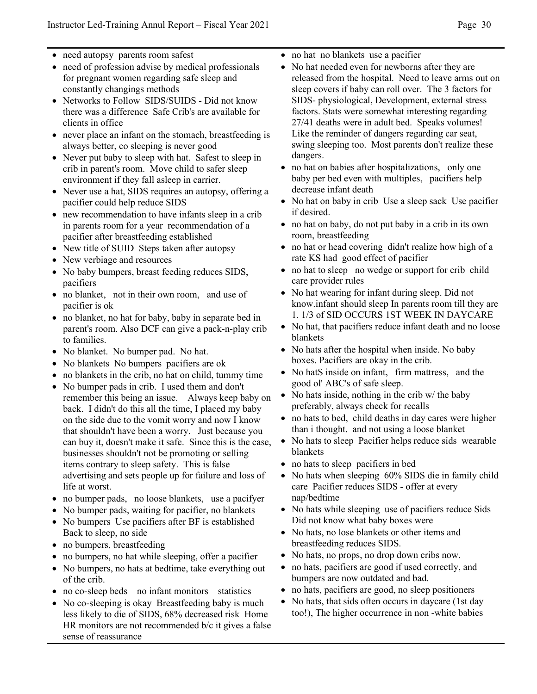- need autopsy parents room safest
- need of profession advise by medical professionals for pregnant women regarding safe sleep and constantly changings methods
- Networks to Follow SIDS/SUIDS Did not know there was a difference Safe Crib's are available for clients in office
- never place an infant on the stomach, breastfeeding is always better, co sleeping is never good
- Never put baby to sleep with hat. Safest to sleep in crib in parent's room. Move child to safer sleep environment if they fall asleep in carrier.
- Never use a hat, SIDS requires an autopsy, offering a pacifier could help reduce SIDS
- new recommendation to have infants sleep in a crib in parents room for a year recommendation of a pacifier after breastfeeding established
- New title of SUID Steps taken after autopsy
- New verbiage and resources
- No baby bumpers, breast feeding reduces SIDS, pacifiers
- no blanket, not in their own room, and use of pacifier is ok
- no blanket, no hat for baby, baby in separate bed in parent's room. Also DCF can give a pack-n-play crib to families.
- No blanket. No bumper pad. No hat.
- No blankets No bumpers pacifiers are ok
- no blankets in the crib, no hat on child, tummy time
- No bumper pads in crib. I used them and don't
- remember this being an issue. Always keep baby on back. I didn't do this all the time, I placed my baby on the side due to the vomit worry and now I know that shouldn't have been a worry. Just because you can buy it, doesn't make it safe. Since this is the case, businesses shouldn't not be promoting or selling items contrary to sleep safety. This is false advertising and sets people up for failure and loss of life at worst.
- no bumper pads, no loose blankets, use a pacifyer
- No bumper pads, waiting for pacifier, no blankets
- No bumpers Use pacifiers after BF is established Back to sleep, no side
- no bumpers, breastfeeding
- no bumpers, no hat while sleeping, offer a pacifier
- No bumpers, no hats at bedtime, take everything out of the crib.
- no co-sleep beds no infant monitors statistics
- No co-sleeping is okay Breastfeeding baby is much less likely to die of SIDS, 68% decreased risk Home HR monitors are not recommended b/c it gives a false sense of reassurance
- no hat no blankets use a pacifier
- No hat needed even for newborns after they are released from the hospital. Need to leave arms out on sleep covers if baby can roll over. The 3 factors for SIDS- physiological, Development, external stress factors. Stats were somewhat interesting regarding 27/41 deaths were in adult bed. Speaks volumes! Like the reminder of dangers regarding car seat, swing sleeping too. Most parents don't realize these dangers.
- no hat on babies after hospitalizations, only one baby per bed even with multiples, pacifiers help decrease infant death
- No hat on baby in crib Use a sleep sack Use pacifier if desired.
- no hat on baby, do not put baby in a crib in its own room, breastfeeding
- no hat or head covering didn't realize how high of a rate KS had good effect of pacifier
- no hat to sleep no wedge or support for crib child care provider rules
- No hat wearing for infant during sleep. Did not know.infant should sleep In parents room till they are 1. 1/3 of SID OCCURS 1ST WEEK IN DAYCARE
- No hat, that pacifiers reduce infant death and no loose blankets
- No hats after the hospital when inside. No baby boxes. Pacifiers are okay in the crib.
- No hatS inside on infant, firm mattress, and the good ol' ABC's of safe sleep.
- No hats inside, nothing in the crib w/ the baby preferably, always check for recalls
- no hats to bed, child deaths in day cares were higher than i thought. and not using a loose blanket
- No hats to sleep Pacifier helps reduce sids wearable blankets
- no hats to sleep pacifiers in bed
- No hats when sleeping 60% SIDS die in family child care Pacifier reduces SIDS - offer at every nap/bedtime
- No hats while sleeping use of pacifiers reduce Sids Did not know what baby boxes were
- No hats, no lose blankets or other items and breastfeeding reduces SIDS.
- No hats, no props, no drop down cribs now.
- no hats, pacifiers are good if used correctly, and bumpers are now outdated and bad.
- no hats, pacifiers are good, no sleep positioners
- No hats, that sids often occurs in daycare (1st day too!), The higher occurrence in non -white babies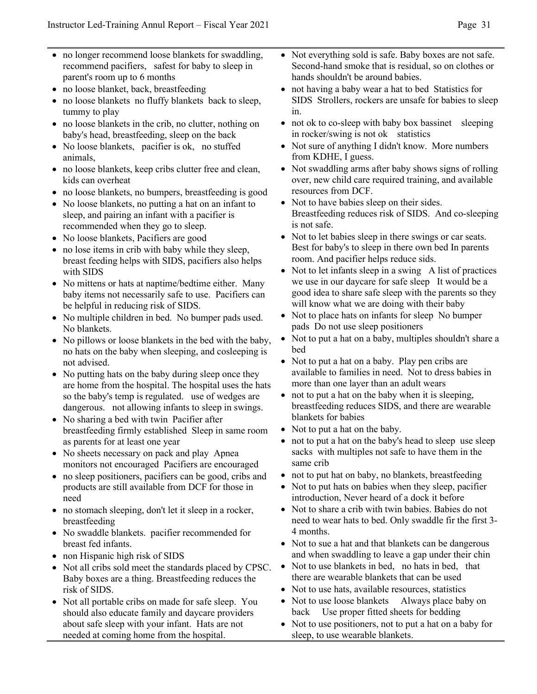- no longer recommend loose blankets for swaddling, recommend pacifiers, safest for baby to sleep in parent's room up to 6 months
- no loose blanket, back, breastfeeding
- no loose blankets no fluffy blankets back to sleep, tummy to play
- no loose blankets in the crib, no clutter, nothing on baby's head, breastfeeding, sleep on the back
- No loose blankets, pacifier is ok, no stuffed animals,
- no loose blankets, keep cribs clutter free and clean, kids can overheat
- no loose blankets, no bumpers, breastfeeding is good
- No loose blankets, no putting a hat on an infant to sleep, and pairing an infant with a pacifier is recommended when they go to sleep.
- No loose blankets, Pacifiers are good
- no lose items in crib with baby while they sleep, breast feeding helps with SIDS, pacifiers also helps with SIDS
- No mittens or hats at naptime/bedtime either. Many baby items not necessarily safe to use. Pacifiers can be helpful in reducing risk of SIDS.
- No multiple children in bed. No bumper pads used. No blankets.
- No pillows or loose blankets in the bed with the baby, no hats on the baby when sleeping, and cosleeping is not advised.
- No putting hats on the baby during sleep once they are home from the hospital. The hospital uses the hats so the baby's temp is regulated. use of wedges are dangerous. not allowing infants to sleep in swings.
- No sharing a bed with twin Pacifier after breastfeeding firmly established Sleep in same room as parents for at least one year
- No sheets necessary on pack and play Apnea monitors not encouraged Pacifiers are encouraged
- no sleep positioners, pacifiers can be good, cribs and products are still available from DCF for those in need
- no stomach sleeping, don't let it sleep in a rocker, breastfeeding
- No swaddle blankets. pacifier recommended for breast fed infants.
- non Hispanic high risk of SIDS
- Not all cribs sold meet the standards placed by CPSC. Baby boxes are a thing. Breastfeeding reduces the risk of SIDS.
- Not all portable cribs on made for safe sleep. You should also educate family and daycare providers about safe sleep with your infant. Hats are not needed at coming home from the hospital.
- Not everything sold is safe. Baby boxes are not safe. Second-hand smoke that is residual, so on clothes or hands shouldn't be around babies.
- not having a baby wear a hat to bed Statistics for SIDS Strollers, rockers are unsafe for babies to sleep in.
- not ok to co-sleep with baby box bassinet sleeping in rocker/swing is not ok statistics
- Not sure of anything I didn't know. More numbers from KDHE, I guess.
- Not swaddling arms after baby shows signs of rolling over, new child care required training, and available resources from DCF.
- Not to have babies sleep on their sides. Breastfeeding reduces risk of SIDS. And co-sleeping is not safe.
- Not to let babies sleep in there swings or car seats. Best for baby's to sleep in there own bed In parents room. And pacifier helps reduce sids.
- Not to let infants sleep in a swing A list of practices we use in our daycare for safe sleep It would be a good idea to share safe sleep with the parents so they will know what we are doing with their baby
- Not to place hats on infants for sleep No bumper pads Do not use sleep positioners
- Not to put a hat on a baby, multiples shouldn't share a bed
- Not to put a hat on a baby. Play pen cribs are available to families in need. Not to dress babies in more than one layer than an adult wears
- not to put a hat on the baby when it is sleeping, breastfeeding reduces SIDS, and there are wearable blankets for babies
- Not to put a hat on the baby.
- not to put a hat on the baby's head to sleep use sleep sacks with multiples not safe to have them in the same crib
- not to put hat on baby, no blankets, breastfeeding
- Not to put hats on babies when they sleep, pacifier introduction, Never heard of a dock it before
- Not to share a crib with twin babies. Babies do not need to wear hats to bed. Only swaddle fir the first 3- 4 months.
- Not to sue a hat and that blankets can be dangerous and when swaddling to leave a gap under their chin
- Not to use blankets in bed, no hats in bed, that there are wearable blankets that can be used
- Not to use hats, available resources, statistics
- Not to use loose blankets Always place baby on back Use proper fitted sheets for bedding
- Not to use positioners, not to put a hat on a baby for sleep, to use wearable blankets.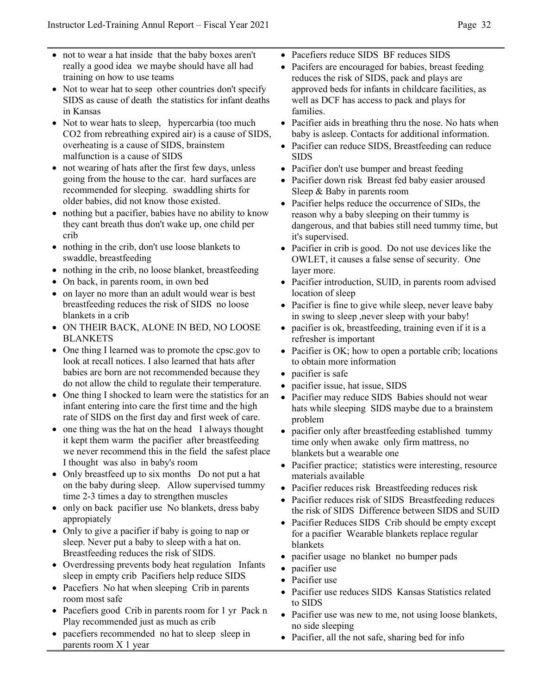- not to wear a hat inside that the baby boxes aren't really a good idea we maybe should have all had training on how to use teams
- Not to wear hat to seep other countries don't specify SIDS as cause of death the statistics for infant deaths in Kansas
- Not to wear hats to sleep, hypercarbia (too much CO2 from rebreathing expired air) is a cause of SIDS, overheating is a cause of SIDS, brainstem malfunction is a cause of SIDS
- not wearing of hats after the first few days, unless going from the house to the car. hard surfaces are recommended for sleeping. swaddling shirts for older babies, did not know those existed.
- nothing but a pacifier, babies have no ability to know they cant breath thus don't wake up, one child per crib
- nothing in the crib, don't use loose blankets to swaddle, breastfeeding
- nothing in the crib, no loose blanket, breastfeeding
- On back, in parents room, in own bed
- on layer no more than an adult would wear is best breastfeeding reduces the risk of SIDS no loose blankets in a crib
- ON THEIR BACK, ALONE IN BED, NO LOOSE BLANKETS
- One thing I learned was to promote the cpsc.gov to look at recall notices. I also learned that hats after babies are born are not recommended because they do not allow the child to regulate their temperature.
- One thing I shocked to learn were the statistics for an infant entering into care the first time and the high rate of SIDS on the first day and first week of care.
- one thing was the hat on the head I always thought it kept them warm the pacifier after breastfeeding we never recommend this in the field the safest place I thought was also in baby's room
- Only breastfeed up to six months Do not put a hat on the baby during sleep. Allow supervised tummy time 2-3 times a day to strengthen muscles
- only on back pacifier use No blankets, dress baby appropiately
- Only to give a pacifier if baby is going to nap or sleep. Never put a baby to sleep with a hat on. Breastfeeding reduces the risk of SIDS.
- Overdressing prevents body heat regulation Infants sleep in empty crib Pacifiers help reduce SIDS
- Pacefiers No hat when sleeping Crib in parents room most safe
- Pacefiers good Crib in parents room for 1 yr Pack n Play recommended just as much as crib
- pacefiers recommended no hat to sleep sleep in parents room X 1 year
- Pacefiers reduce SIDS BF reduces SIDS
- Pacifers are encouraged for babies, breast feeding reduces the risk of SIDS, pack and plays are approved beds for infants in childcare facilities, as well as DCF has access to pack and plays for families.
- Pacifier aids in breathing thru the nose. No hats when baby is asleep. Contacts for additional information.
- Pacifier can reduce SIDS, Breastfeeding can reduce SIDS
- Pacifier don't use bumper and breast feeding
- Pacifier down risk Breast fed baby easier aroused Sleep & Baby in parents room
- Pacifier helps reduce the occurrence of SIDs, the reason why a baby sleeping on their tummy is dangerous, and that babies still need tummy time, but it's supervised.
- Pacifier in crib is good. Do not use devices like the OWLET, it causes a false sense of security. One layer more.
- Pacifier introduction, SUID, in parents room advised location of sleep
- Pacifier is fine to give while sleep, never leave baby in swing to sleep ,never sleep with your baby!
- pacifier is ok, breastfeeding, training even if it is a refresher is important
- Pacifier is OK; how to open a portable crib; locations to obtain more information
- pacifier is safe
- pacifier issue, hat issue, SIDS
- Pacifier may reduce SIDS Babies should not wear hats while sleeping SIDS maybe due to a brainstem problem
- pacifier only after breastfeeding established tummy time only when awake only firm mattress, no blankets but a wearable one
- Pacifier practice; statistics were interesting, resource materials available
- Pacifier reduces risk Breastfeeding reduces risk
- Pacifier reduces risk of SIDS Breastfeeding reduces the risk of SIDS Difference between SIDS and SUID
- Pacifier Reduces SIDS Crib should be empty except for a pacifier Wearable blankets replace regular blankets
- pacifier usage no blanket no bumper pads
- pacifier use
- Pacifier use
- Pacifier use reduces SIDS Kansas Statistics related to SIDS
- Pacifier use was new to me, not using loose blankets, no side sleeping
- Pacifier, all the not safe, sharing bed for info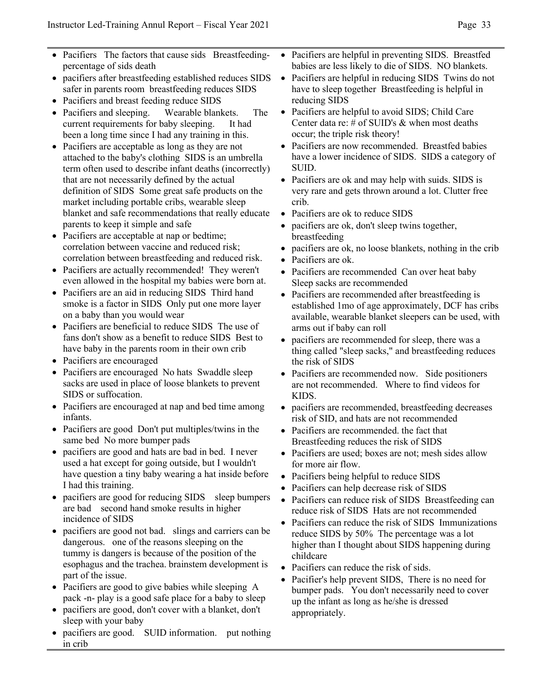- Pacifiers The factors that cause sids Breastfeedingpercentage of sids death
- pacifiers after breastfeeding established reduces SIDS safer in parents room breastfeeding reduces SIDS
- Pacifiers and breast feeding reduce SIDS
- Pacifiers and sleeping. Wearable blankets. The current requirements for baby sleeping. It had been a long time since I had any training in this.
- Pacifiers are acceptable as long as they are not attached to the baby's clothing SIDS is an umbrella term often used to describe infant deaths (incorrectly) that are not necessarily defined by the actual definition of SIDS Some great safe products on the market including portable cribs, wearable sleep blanket and safe recommendations that really educate parents to keep it simple and safe
- Pacifiers are acceptable at nap or bedtime; correlation between vaccine and reduced risk; correlation between breastfeeding and reduced risk.
- Pacifiers are actually recommended! They weren't even allowed in the hospital my babies were born at.
- Pacifiers are an aid in reducing SIDS Third hand smoke is a factor in SIDS Only put one more layer on a baby than you would wear
- Pacifiers are beneficial to reduce SIDS The use of fans don't show as a benefit to reduce SIDS Best to have baby in the parents room in their own crib
- Pacifiers are encouraged
- Pacifiers are encouraged No hats Swaddle sleep sacks are used in place of loose blankets to prevent SIDS or suffocation.
- Pacifiers are encouraged at nap and bed time among infants.
- Pacifiers are good Don't put multiples/twins in the same bed No more bumper pads
- pacifiers are good and hats are bad in bed. I never used a hat except for going outside, but I wouldn't have question a tiny baby wearing a hat inside before I had this training.
- pacifiers are good for reducing SIDS sleep bumpers are bad second hand smoke results in higher incidence of SIDS
- pacifiers are good not bad. slings and carriers can be dangerous. one of the reasons sleeping on the tummy is dangers is because of the position of the esophagus and the trachea. brainstem development is part of the issue.
- Pacifiers are good to give babies while sleeping A pack -n- play is a good safe place for a baby to sleep
- pacifiers are good, don't cover with a blanket, don't sleep with your baby
- pacifiers are good. SUID information. put nothing in crib
- Pacifiers are helpful in preventing SIDS. Breastfed babies are less likely to die of SIDS. NO blankets.
- Pacifiers are helpful in reducing SIDS Twins do not have to sleep together Breastfeeding is helpful in reducing SIDS
- Pacifiers are helpful to avoid SIDS; Child Care Center data re: # of SUID's & when most deaths occur; the triple risk theory!
- Pacifiers are now recommended. Breastfed babies have a lower incidence of SIDS. SIDS a category of SUID.
- Pacifiers are ok and may help with suids. SIDS is very rare and gets thrown around a lot. Clutter free crib.
- Pacifiers are ok to reduce SIDS
- pacifiers are ok, don't sleep twins together, breastfeeding
- pacifiers are ok, no loose blankets, nothing in the crib
- Pacifiers are ok.
- Pacifiers are recommended Can over heat baby Sleep sacks are recommended
- Pacifiers are recommended after breastfeeding is established 1mo of age approximately, DCF has cribs available, wearable blanket sleepers can be used, with arms out if baby can roll
- pacifiers are recommended for sleep, there was a thing called "sleep sacks," and breastfeeding reduces the risk of SIDS
- Pacifiers are recommended now. Side positioners are not recommended. Where to find videos for KIDS.
- pacifiers are recommended, breastfeeding decreases risk of SID, and hats are not recommended
- Pacifiers are recommended, the fact that Breastfeeding reduces the risk of SIDS
- Pacifiers are used; boxes are not; mesh sides allow for more air flow.
- Pacifiers being helpful to reduce SIDS
- Pacifiers can help decrease risk of SIDS
- Pacifiers can reduce risk of SIDS Breastfeeding can reduce risk of SIDS Hats are not recommended
- Pacifiers can reduce the risk of SIDS Immunizations reduce SIDS by 50% The percentage was a lot higher than I thought about SIDS happening during childcare
- Pacifiers can reduce the risk of sids.
- Pacifier's help prevent SIDS, There is no need for bumper pads. You don't necessarily need to cover up the infant as long as he/she is dressed appropriately.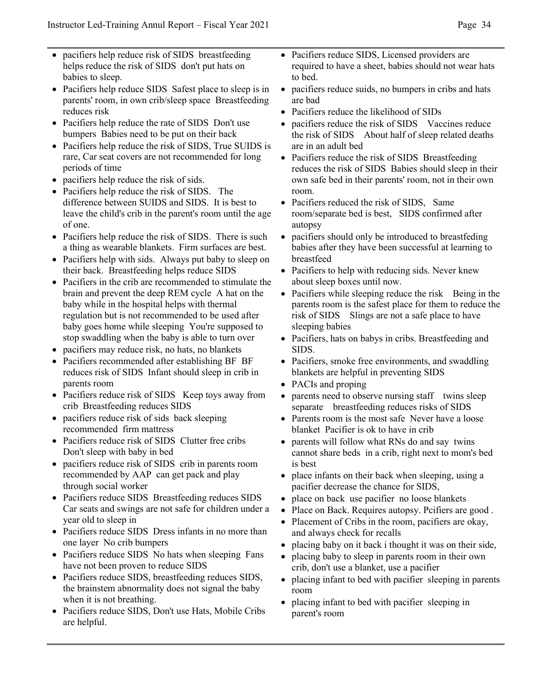- pacifiers help reduce risk of SIDS breastfeeding helps reduce the risk of SIDS don't put hats on babies to sleep.
- Pacifiers help reduce SIDS Safest place to sleep is in parents' room, in own crib/sleep space Breastfeeding reduces risk
- Pacifiers help reduce the rate of SIDS Don't use bumpers Babies need to be put on their back
- Pacifiers help reduce the risk of SIDS, True SUIDS is rare, Car seat covers are not recommended for long periods of time
- pacifiers help reduce the risk of sids.
- Pacifiers help reduce the risk of SIDS. The difference between SUIDS and SIDS. It is best to leave the child's crib in the parent's room until the age of one.
- Pacifiers help reduce the risk of SIDS. There is such a thing as wearable blankets. Firm surfaces are best.
- Pacifiers help with sids. Always put baby to sleep on their back. Breastfeeding helps reduce SIDS
- Pacifiers in the crib are recommended to stimulate the brain and prevent the deep REM cycle A hat on the baby while in the hospital helps with thermal regulation but is not recommended to be used after baby goes home while sleeping You're supposed to stop swaddling when the baby is able to turn over
- pacifiers may reduce risk, no hats, no blankets
- Pacifiers recommended after establishing BF BF reduces risk of SIDS Infant should sleep in crib in parents room
- Pacifiers reduce risk of SIDS Keep toys away from crib Breastfeeding reduces SIDS
- pacifiers reduce risk of sids back sleeping recommended firm mattress
- Pacifiers reduce risk of SIDS Clutter free cribs Don't sleep with baby in bed
- pacifiers reduce risk of SIDS crib in parents room recommended by AAP can get pack and play through social worker
- Pacifiers reduce SIDS Breastfeeding reduces SIDS Car seats and swings are not safe for children under a year old to sleep in
- Pacifiers reduce SIDS Dress infants in no more than one layer No crib bumpers
- Pacifiers reduce SIDS No hats when sleeping Fans have not been proven to reduce SIDS
- Pacifiers reduce SIDS, breastfeeding reduces SIDS, the brainstem abnormality does not signal the baby when it is not breathing.
- Pacifiers reduce SIDS, Don't use Hats, Mobile Cribs are helpful.
- Pacifiers reduce SIDS, Licensed providers are required to have a sheet, babies should not wear hats to bed.
- pacifiers reduce suids, no bumpers in cribs and hats are bad
- Pacifiers reduce the likelihood of SIDs
- pacifiers reduce the risk of SIDS Vaccines reduce the risk of SIDS About half of sleep related deaths are in an adult bed
- Pacifiers reduce the risk of SIDS Breastfeeding reduces the risk of SIDS Babies should sleep in their own safe bed in their parents' room, not in their own room.
- Pacifiers reduced the risk of SIDS, Same room/separate bed is best, SIDS confirmed after autopsy
- pacifiers should only be introduced to breastfeding babies after they have been successful at learning to breastfeed
- Pacifiers to help with reducing sids. Never knew about sleep boxes until now.
- Pacifiers while sleeping reduce the risk Being in the parents room is the safest place for them to reduce the risk of SIDS Slings are not a safe place to have sleeping babies
- Pacifiers, hats on babys in cribs. Breastfeeding and SIDS.
- Pacifiers, smoke free environments, and swaddling blankets are helpful in preventing SIDS
- PACIs and proping
- parents need to observe nursing staff twins sleep separate breastfeeding reduces risks of SIDS
- Parents room is the most safe Never have a loose blanket Pacifier is ok to have in crib
- parents will follow what RNs do and say twins cannot share beds in a crib, right next to mom's bed is best
- place infants on their back when sleeping, using a pacifier decrease the chance for SIDS,
- place on back use pacifier no loose blankets
- Place on Back. Requires autopsy. Pcifiers are good .
- Placement of Cribs in the room, pacifiers are okay, and always check for recalls
- placing baby on it back i thought it was on their side,
- placing baby to sleep in parents room in their own crib, don't use a blanket, use a pacifier
- placing infant to bed with pacifier sleeping in parents room
- placing infant to bed with pacifier sleeping in parent's room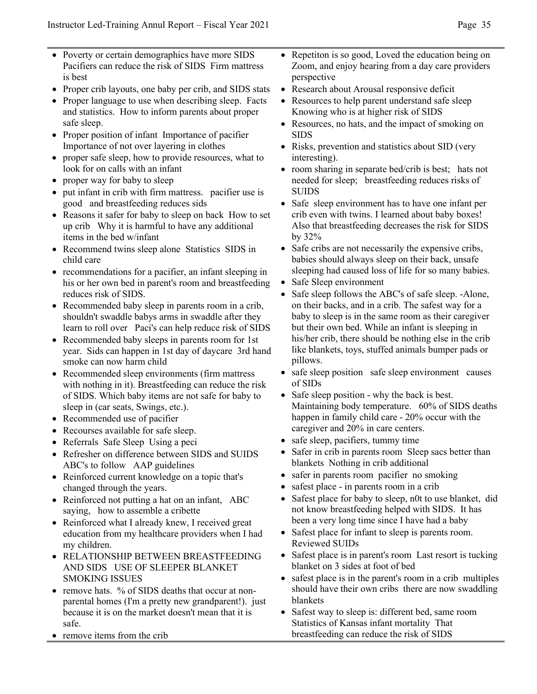- Poverty or certain demographics have more SIDS Pacifiers can reduce the risk of SIDS Firm mattress is best
- Proper crib layouts, one baby per crib, and SIDS stats
- Proper language to use when describing sleep. Facts and statistics. How to inform parents about proper safe sleep.
- Proper position of infant Importance of pacifier Importance of not over layering in clothes
- proper safe sleep, how to provide resources, what to look for on calls with an infant
- proper way for baby to sleep
- put infant in crib with firm mattress. pacifier use is good and breastfeeding reduces sids
- Reasons it safer for baby to sleep on back How to set up crib Why it is harmful to have any additional items in the bed w/infant
- Recommend twins sleep alone Statistics SIDS in child care
- recommendations for a pacifier, an infant sleeping in his or her own bed in parent's room and breastfeeding reduces risk of SIDS.
- Recommended baby sleep in parents room in a crib, shouldn't swaddle babys arms in swaddle after they learn to roll over Paci's can help reduce risk of SIDS
- Recommended baby sleeps in parents room for 1st year. Sids can happen in 1st day of daycare 3rd hand smoke can now harm child
- Recommended sleep environments (firm mattress with nothing in it). Breastfeeding can reduce the risk of SIDS. Which baby items are not safe for baby to sleep in (car seats, Swings, etc.).
- Recommended use of pacifier
- Recourses available for safe sleep.
- Referrals Safe Sleep Using a peci
- Refresher on difference between SIDS and SUIDS ABC's to follow AAP guidelines
- Reinforced current knowledge on a topic that's changed through the years.
- Reinforced not putting a hat on an infant, ABC saying, how to assemble a cribette
- Reinforced what I already knew, I received great education from my healthcare providers when I had my children.
- RELATIONSHIP BETWEEN BREASTFEEDING AND SIDS USE OF SLEEPER BLANKET SMOKING ISSUES
- remove hats. % of SIDS deaths that occur at nonparental homes (I'm a pretty new grandparent!). just because it is on the market doesn't mean that it is safe.
- remove items from the crib
- Repetiton is so good, Loved the education being on Zoom, and enjoy hearing from a day care providers perspective
- Research about Arousal responsive deficit
- Resources to help parent understand safe sleep Knowing who is at higher risk of SIDS
- Resources, no hats, and the impact of smoking on SIDS
- Risks, prevention and statistics about SID (very interesting).
- room sharing in separate bed/crib is best; hats not needed for sleep; breastfeeding reduces risks of SUIDS
- Safe sleep environment has to have one infant per crib even with twins. I learned about baby boxes! Also that breastfeeding decreases the risk for SIDS by 32%
- Safe cribs are not necessarily the expensive cribs, babies should always sleep on their back, unsafe sleeping had caused loss of life for so many babies.
- Safe Sleep environment
- Safe sleep follows the ABC's of safe sleep. -Alone, on their backs, and in a crib. The safest way for a baby to sleep is in the same room as their caregiver but their own bed. While an infant is sleeping in his/her crib, there should be nothing else in the crib like blankets, toys, stuffed animals bumper pads or pillows.
- safe sleep position safe sleep environment causes of SIDs
- Safe sleep position why the back is best. Maintaining body temperature. 60% of SIDS deaths happen in family child care - 20% occur with the caregiver and 20% in care centers.
- safe sleep, pacifiers, tummy time
- Safer in crib in parents room Sleep sacs better than blankets Nothing in crib additional
- safer in parents room pacifier no smoking
- safest place in parents room in a crib
- Safest place for baby to sleep, n0t to use blanket, did not know breastfeeding helped with SIDS. It has been a very long time since I have had a baby
- Safest place for infant to sleep is parents room. Reviewed SUIDs
- Safest place is in parent's room Last resort is tucking blanket on 3 sides at foot of bed
- safest place is in the parent's room in a crib multiples should have their own cribs there are now swaddling blankets
- Safest way to sleep is: different bed, same room Statistics of Kansas infant mortality That breastfeeding can reduce the risk of SIDS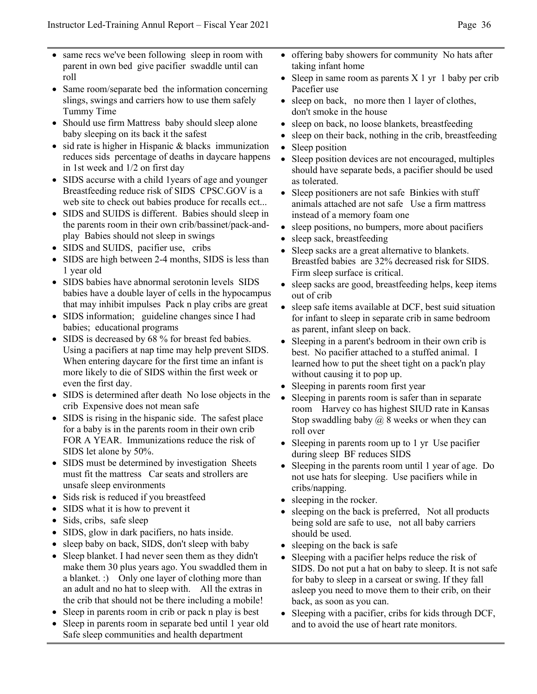- same recs we've been following sleep in room with parent in own bed give pacifier swaddle until can roll
- Same room/separate bed the information concerning slings, swings and carriers how to use them safely Tummy Time
- Should use firm Mattress baby should sleep alone baby sleeping on its back it the safest
- sid rate is higher in Hispanic & blacks immunization reduces sids percentage of deaths in daycare happens in 1st week and 1/2 on first day
- SIDS accurse with a child 1 years of age and younger Breastfeeding reduce risk of SIDS CPSC.GOV is a web site to check out babies produce for recalls ect...
- SIDS and SUIDS is different. Babies should sleep in the parents room in their own crib/bassinet/pack-andplay Babies should not sleep in swings
- SIDS and SUIDS, pacifier use, cribs
- SIDS are high between 2-4 months, SIDS is less than 1 year old
- SIDS babies have abnormal serotonin levels SIDS babies have a double layer of cells in the hypocampus that may inhibit impulses Pack n play cribs are great
- SIDS information; guideline changes since I had babies; educational programs
- SIDS is decreased by 68 % for breast fed babies. Using a pacifiers at nap time may help prevent SIDS. When entering daycare for the first time an infant is more likely to die of SIDS within the first week or even the first day.
- SIDS is determined after death No lose objects in the crib Expensive does not mean safe
- SIDS is rising in the hispanic side. The safest place for a baby is in the parents room in their own crib FOR A YEAR. Immunizations reduce the risk of SIDS let alone by 50%.
- SIDS must be determined by investigation Sheets must fit the mattress Car seats and strollers are unsafe sleep environments
- Sids risk is reduced if you breastfeed
- SIDS what it is how to prevent it
- Sids, cribs, safe sleep
- SIDS, glow in dark pacifiers, no hats inside.
- sleep baby on back, SIDS, don't sleep with baby
- Sleep blanket. I had never seen them as they didn't make them 30 plus years ago. You swaddled them in a blanket. :) Only one layer of clothing more than an adult and no hat to sleep with. All the extras in the crib that should not be there including a mobile!
- Sleep in parents room in crib or pack n play is best
- Sleep in parents room in separate bed until 1 year old Safe sleep communities and health department
- offering baby showers for community No hats after taking infant home
- Sleep in same room as parents  $X$  1 yr 1 baby per crib Pacefier use
- sleep on back, no more then 1 layer of clothes, don't smoke in the house
- sleep on back, no loose blankets, breastfeeding
- sleep on their back, nothing in the crib, breastfeeding
- Sleep position
- Sleep position devices are not encouraged, multiples should have separate beds, a pacifier should be used as tolerated.
- Sleep positioners are not safe Binkies with stuff animals attached are not safe Use a firm mattress instead of a memory foam one
- sleep positions, no bumpers, more about pacifiers
- sleep sack, breastfeeding
- Sleep sacks are a great alternative to blankets. Breastfed babies are 32% decreased risk for SIDS. Firm sleep surface is critical.
- sleep sacks are good, breastfeeding helps, keep items out of crib
- sleep safe items available at DCF, best suid situation for infant to sleep in separate crib in same bedroom as parent, infant sleep on back.
- Sleeping in a parent's bedroom in their own crib is best. No pacifier attached to a stuffed animal. I learned how to put the sheet tight on a pack'n play without causing it to pop up.
- Sleeping in parents room first year
- Sleeping in parents room is safer than in separate room Harvey co has highest SIUD rate in Kansas Stop swaddling baby  $(a)$  8 weeks or when they can roll over
- Sleeping in parents room up to 1 yr Use pacifier during sleep BF reduces SIDS
- Sleeping in the parents room until 1 year of age. Do not use hats for sleeping. Use pacifiers while in cribs/napping.
- sleeping in the rocker.
- sleeping on the back is preferred, Not all products being sold are safe to use, not all baby carriers should be used.
- sleeping on the back is safe
- Sleeping with a pacifier helps reduce the risk of SIDS. Do not put a hat on baby to sleep. It is not safe for baby to sleep in a carseat or swing. If they fall asleep you need to move them to their crib, on their back, as soon as you can.
- Sleeping with a pacifier, cribs for kids through DCF, and to avoid the use of heart rate monitors.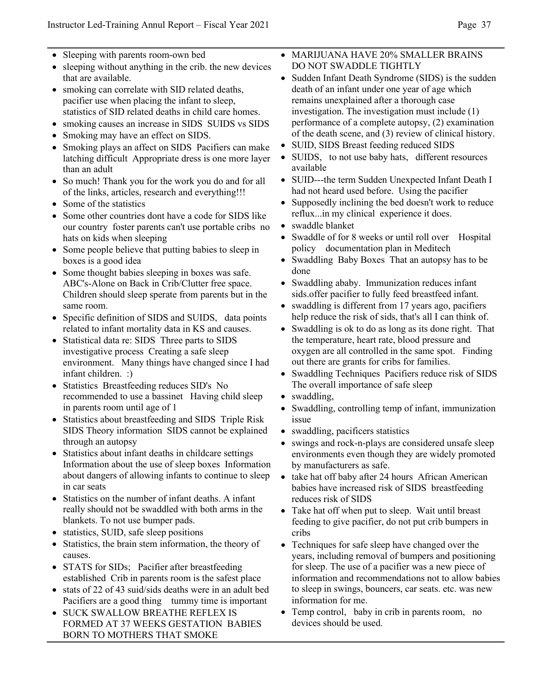- Sleeping with parents room-own bed
- sleeping without anything in the crib. the new devices that are available.
- smoking can correlate with SID related deaths, pacifier use when placing the infant to sleep, statistics of SID related deaths in child care homes.
- smoking causes an increase in SIDS SUIDS vs SIDS
- Smoking may have an effect on SIDS.
- Smoking plays an affect on SIDS Pacifiers can make latching difficult Appropriate dress is one more layer than an adult
- So much! Thank you for the work you do and for all of the links, articles, research and everything!!!
- Some of the statistics
- Some other countries dont have a code for SIDS like our country foster parents can't use portable cribs no hats on kids when sleeping
- Some people believe that putting babies to sleep in boxes is a good idea
- Some thought babies sleeping in boxes was safe. ABC's-Alone on Back in Crib/Clutter free space. Children should sleep sperate from parents but in the same room.
- Specific definition of SIDS and SUIDS, data points related to infant mortality data in KS and causes.
- Statistical data re: SIDS Three parts to SIDS investigative process Creating a safe sleep environment. Many things have changed since I had infant children. :)
- Statistics Breastfeeding reduces SID's No recommended to use a bassinet Having child sleep in parents room until age of 1
- Statistics about breastfeeding and SIDS Triple Risk SIDS Theory information SIDS cannot be explained through an autopsy
- Statistics about infant deaths in childcare settings Information about the use of sleep boxes Information about dangers of allowing infants to continue to sleep in car seats
- Statistics on the number of infant deaths. A infant really should not be swaddled with both arms in the blankets. To not use bumper pads.
- statistics, SUID, safe sleep positions
- Statistics, the brain stem information, the theory of causes.
- STATS for SIDs; Pacifier after breastfeeding established Crib in parents room is the safest place
- stats of 22 of 43 suid/sids deaths were in an adult bed Pacifiers are a good thing tummy time is important
- SUCK SWALLOW BREATHE REFLEX IS FORMED AT 37 WEEKS GESTATION BABIES BORN TO MOTHERS THAT SMOKE
- MARIJUANA HAVE 20% SMALLER BRAINS DO NOT SWADDLE TIGHTLY
- Sudden Infant Death Syndrome (SIDS) is the sudden death of an infant under one year of age which remains unexplained after a thorough case investigation. The investigation must include (1) performance of a complete autopsy, (2) examination of the death scene, and (3) review of clinical history.
- SUID, SIDS Breast feeding reduced SIDS
- SUIDS, to not use baby hats, different resources available
- SUID---the term Sudden Unexpected Infant Death I had not heard used before. Using the pacifier
- Supposedly inclining the bed doesn't work to reduce reflux...in my clinical experience it does.
- swaddle blanket
- Swaddle of for 8 weeks or until roll over Hospital policy documentation plan in Meditech
- Swaddling Baby Boxes That an autopsy has to be done
- Swaddling ababy. Immunization reduces infant sids.offer pacifier to fully feed breastfeed infant.
- swaddling is different from 17 years ago, pacifiers help reduce the risk of sids, that's all I can think of.
- Swaddling is ok to do as long as its done right. That the temperature, heart rate, blood pressure and oxygen are all controlled in the same spot. Finding out there are grants for cribs for families.
- Swaddling Techniques Pacifiers reduce risk of SIDS The overall importance of safe sleep
- swaddling,
- Swaddling, controlling temp of infant, immunization issue
- swaddling, pacificers statistics
- swings and rock-n-plays are considered unsafe sleep environments even though they are widely promoted by manufacturers as safe.
- take hat off baby after 24 hours African American babies have increased risk of SIDS breastfeeding reduces risk of SIDS
- Take hat off when put to sleep. Wait until breast feeding to give pacifier, do not put crib bumpers in cribs
- Techniques for safe sleep have changed over the years, including removal of bumpers and positioning for sleep. The use of a pacifier was a new piece of information and recommendations not to allow babies to sleep in swings, bouncers, car seats. etc. was new information for me.
- Temp control, baby in crib in parents room, no devices should be used.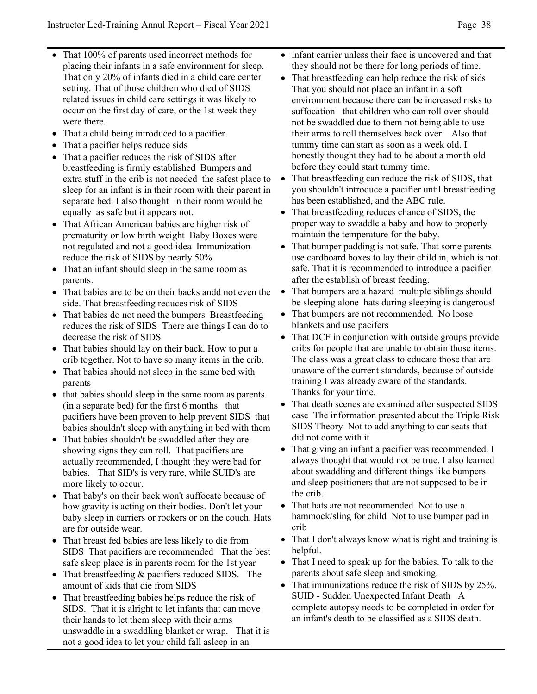- That 100% of parents used incorrect methods for placing their infants in a safe environment for sleep. That only 20% of infants died in a child care center setting. That of those children who died of SIDS related issues in child care settings it was likely to occur on the first day of care, or the 1st week they were there.
- That a child being introduced to a pacifier.
- That a pacifier helps reduce sids
- That a pacifier reduces the risk of SIDS after breastfeeding is firmly established Bumpers and extra stuff in the crib is not needed the safest place to sleep for an infant is in their room with their parent in separate bed. I also thought in their room would be equally as safe but it appears not.
- That African American babies are higher risk of prematurity or low birth weight Baby Boxes were not regulated and not a good idea Immunization reduce the risk of SIDS by nearly 50%
- That an infant should sleep in the same room as parents.
- That babies are to be on their backs andd not even the side. That breastfeeding reduces risk of SIDS
- That babies do not need the bumpers Breastfeeding reduces the risk of SIDS There are things I can do to decrease the risk of SIDS
- That babies should lay on their back. How to put a crib together. Not to have so many items in the crib.
- That babies should not sleep in the same bed with parents
- that babies should sleep in the same room as parents (in a separate bed) for the first 6 months that pacifiers have been proven to help prevent SIDS that babies shouldn't sleep with anything in bed with them
- That babies shouldn't be swaddled after they are showing signs they can roll. That pacifiers are actually recommended, I thought they were bad for babies. That SID's is very rare, while SUID's are more likely to occur.
- That baby's on their back won't suffocate because of how gravity is acting on their bodies. Don't let your baby sleep in carriers or rockers or on the couch. Hats are for outside wear.
- That breast fed babies are less likely to die from SIDS That pacifiers are recommended That the best safe sleep place is in parents room for the 1st year
- That breastfeeding & pacifiers reduced SIDS. The amount of kids that die from SIDS
- That breastfeeding babies helps reduce the risk of SIDS. That it is alright to let infants that can move their hands to let them sleep with their arms unswaddle in a swaddling blanket or wrap. That it is not a good idea to let your child fall asleep in an
- infant carrier unless their face is uncovered and that they should not be there for long periods of time.
- That breastfeeding can help reduce the risk of sids That you should not place an infant in a soft environment because there can be increased risks to suffocation that children who can roll over should not be swaddled due to them not being able to use their arms to roll themselves back over. Also that tummy time can start as soon as a week old. I honestly thought they had to be about a month old before they could start tummy time.
- That breastfeeding can reduce the risk of SIDS, that you shouldn't introduce a pacifier until breastfeeding has been established, and the ABC rule.
- That breastfeeding reduces chance of SIDS, the proper way to swaddle a baby and how to properly maintain the temperature for the baby.
- That bumper padding is not safe. That some parents use cardboard boxes to lay their child in, which is not safe. That it is recommended to introduce a pacifier after the establish of breast feeding.
- That bumpers are a hazard multiple siblings should be sleeping alone hats during sleeping is dangerous!
- That bumpers are not recommended. No loose blankets and use pacifers
- That DCF in conjunction with outside groups provide cribs for people that are unable to obtain those items. The class was a great class to educate those that are unaware of the current standards, because of outside training I was already aware of the standards. Thanks for your time.
- That death scenes are examined after suspected SIDS case The information presented about the Triple Risk SIDS Theory Not to add anything to car seats that did not come with it
- That giving an infant a pacifier was recommended. I always thought that would not be true. I also learned about swaddling and different things like bumpers and sleep positioners that are not supposed to be in the crib.
- That hats are not recommended Not to use a hammock/sling for child Not to use bumper pad in crib
- That I don't always know what is right and training is helpful.
- That I need to speak up for the babies. To talk to the parents about safe sleep and smoking.
- That immunizations reduce the risk of SIDS by 25%. SUID - Sudden Unexpected Infant Death A complete autopsy needs to be completed in order for an infant's death to be classified as a SIDS death.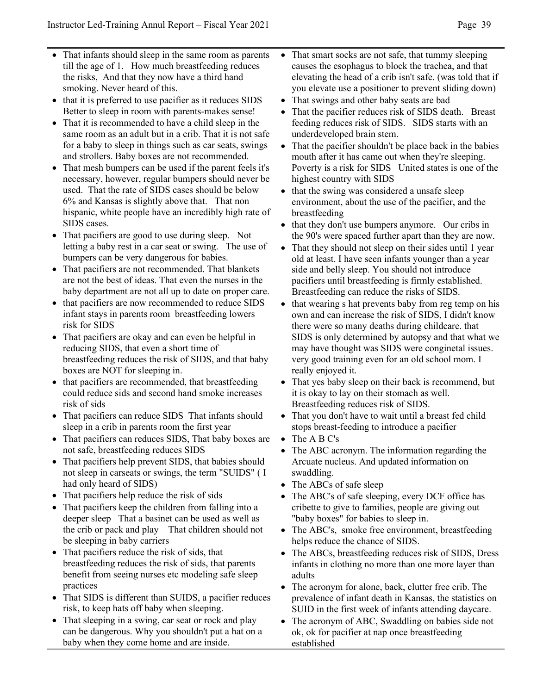- That infants should sleep in the same room as parents till the age of 1. How much breastfeeding reduces the risks, And that they now have a third hand smoking. Never heard of this.
- that it is preferred to use pacifier as it reduces SIDS Better to sleep in room with parents-makes sense!
- That it is recommended to have a child sleep in the same room as an adult but in a crib. That it is not safe for a baby to sleep in things such as car seats, swings and strollers. Baby boxes are not recommended.
- That mesh bumpers can be used if the parent feels it's necessary, however, regular bumpers should never be used. That the rate of SIDS cases should be below 6% and Kansas is slightly above that. That non hispanic, white people have an incredibly high rate of SIDS cases.
- That pacifiers are good to use during sleep. Not letting a baby rest in a car seat or swing. The use of bumpers can be very dangerous for babies.
- That pacifiers are not recommended. That blankets are not the best of ideas. That even the nurses in the baby department are not all up to date on proper care.
- that pacifiers are now recommended to reduce SIDS infant stays in parents room breastfeeding lowers risk for SIDS
- That pacifiers are okay and can even be helpful in reducing SIDS, that even a short time of breastfeeding reduces the risk of SIDS, and that baby boxes are NOT for sleeping in.
- that pacifiers are recommended, that breastfeeding could reduce sids and second hand smoke increases risk of sids
- That pacifiers can reduce SIDS That infants should sleep in a crib in parents room the first year
- That pacifiers can reduces SIDS, That baby boxes are not safe, breastfeeding reduces SIDS
- That pacifiers help prevent SIDS, that babies should not sleep in carseats or swings, the term "SUIDS" ( I had only heard of SIDS)
- That pacifiers help reduce the risk of sids
- That pacifiers keep the children from falling into a deeper sleep That a basinet can be used as well as the crib or pack and play That children should not be sleeping in baby carriers
- That pacifiers reduce the risk of sids, that breastfeeding reduces the risk of sids, that parents benefit from seeing nurses etc modeling safe sleep practices
- That SIDS is different than SUIDS, a pacifier reduces risk, to keep hats off baby when sleeping.
- That sleeping in a swing, car seat or rock and play can be dangerous. Why you shouldn't put a hat on a baby when they come home and are inside.
- That smart socks are not safe, that tummy sleeping causes the esophagus to block the trachea, and that elevating the head of a crib isn't safe. (was told that if you elevate use a positioner to prevent sliding down)
- That swings and other baby seats are bad
- That the pacifier reduces risk of SIDS death. Breast feeding reduces risk of SIDS. SIDS starts with an underdeveloped brain stem.
- That the pacifier shouldn't be place back in the babies mouth after it has came out when they're sleeping. Poverty is a risk for SIDS United states is one of the highest country with SIDS
- that the swing was considered a unsafe sleep environment, about the use of the pacifier, and the breastfeeding
- that they don't use bumpers anymore. Our cribs in the 90's were spaced further apart than they are now.
- That they should not sleep on their sides until 1 year old at least. I have seen infants younger than a year side and belly sleep. You should not introduce pacifiers until breastfeeding is firmly established. Breastfeeding can reduce the risks of SIDS.
- that wearing s hat prevents baby from reg temp on his own and can increase the risk of SIDS, I didn't know there were so many deaths during childcare. that SIDS is only determined by autopsy and that what we may have thought was SIDS were conginetal issues. very good training even for an old school mom. I really enjoyed it.
- That yes baby sleep on their back is recommend, but it is okay to lay on their stomach as well. Breastfeeding reduces risk of SIDS.
- That you don't have to wait until a breast fed child stops breast-feeding to introduce a pacifier
- The A B C's
- The ABC acronym. The information regarding the Arcuate nucleus. And updated information on swaddling.
- The ABCs of safe sleep
- The ABC's of safe sleeping, every DCF office has cribette to give to families, people are giving out "baby boxes" for babies to sleep in.
- The ABC's, smoke free environment, breastfeeding helps reduce the chance of SIDS.
- The ABCs, breastfeeding reduces risk of SIDS, Dress infants in clothing no more than one more layer than adults
- The acronym for alone, back, clutter free crib. The prevalence of infant death in Kansas, the statistics on SUID in the first week of infants attending daycare.
- The acronym of ABC, Swaddling on babies side not ok, ok for pacifier at nap once breastfeeding established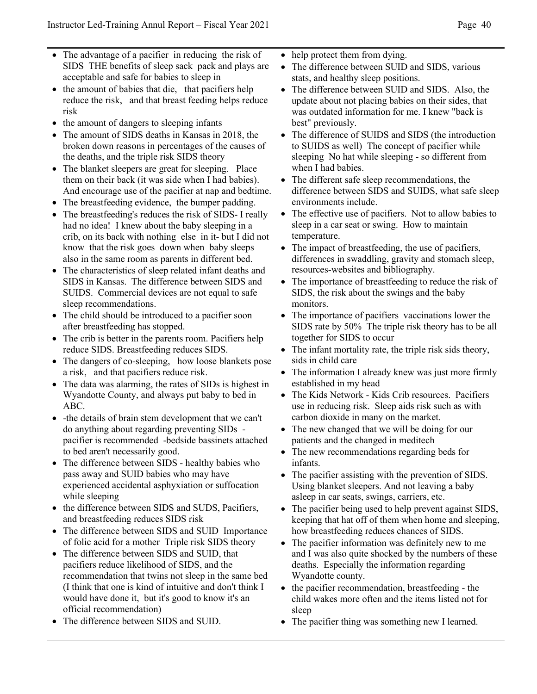- The advantage of a pacifier in reducing the risk of SIDS THE benefits of sleep sack pack and plays are acceptable and safe for babies to sleep in
- the amount of babies that die, that pacifiers help reduce the risk, and that breast feeding helps reduce risk
- the amount of dangers to sleeping infants
- The amount of SIDS deaths in Kansas in 2018, the broken down reasons in percentages of the causes of the deaths, and the triple risk SIDS theory
- The blanket sleepers are great for sleeping. Place them on their back (it was side when I had babies). And encourage use of the pacifier at nap and bedtime.
- The breastfeeding evidence, the bumper padding.
- The breastfeeding's reduces the risk of SIDS- I really had no idea! I knew about the baby sleeping in a crib, on its back with nothing else in it- but I did not know that the risk goes down when baby sleeps also in the same room as parents in different bed.
- The characteristics of sleep related infant deaths and SIDS in Kansas. The difference between SIDS and SUIDS. Commercial devices are not equal to safe sleep recommendations.
- The child should be introduced to a pacifier soon after breastfeeding has stopped.
- The crib is better in the parents room. Pacifiers help reduce SIDS. Breastfeeding reduces SIDS.
- The dangers of co-sleeping, how loose blankets pose a risk, and that pacifiers reduce risk.
- The data was alarming, the rates of SIDs is highest in Wyandotte County, and always put baby to bed in ABC.
- -the details of brain stem development that we can't do anything about regarding preventing SIDs pacifier is recommended -bedside bassinets attached to bed aren't necessarily good.
- The difference between SIDS healthy babies who pass away and SUID babies who may have experienced accidental asphyxiation or suffocation while sleeping
- the difference between SIDS and SUDS, Pacifiers, and breastfeeding reduces SIDS risk
- The difference between SIDS and SUID Importance of folic acid for a mother Triple risk SIDS theory
- The difference between SIDS and SUID, that pacifiers reduce likelihood of SIDS, and the recommendation that twins not sleep in the same bed (I think that one is kind of intuitive and don't think I would have done it, but it's good to know it's an official recommendation)
- The difference between SIDS and SUID.
- help protect them from dying.
- The difference between SUID and SIDS, various stats, and healthy sleep positions.
- The difference between SUID and SIDS. Also, the update about not placing babies on their sides, that was outdated information for me. I knew "back is best" previously.
- The difference of SUIDS and SIDS (the introduction to SUIDS as well) The concept of pacifier while sleeping No hat while sleeping - so different from when I had babies.
- The different safe sleep recommendations, the difference between SIDS and SUIDS, what safe sleep environments include.
- The effective use of pacifiers. Not to allow babies to sleep in a car seat or swing. How to maintain temperature.
- The impact of breastfeeding, the use of pacifiers, differences in swaddling, gravity and stomach sleep, resources-websites and bibliography.
- The importance of breastfeeding to reduce the risk of SIDS, the risk about the swings and the baby monitors.
- The importance of pacifiers vaccinations lower the SIDS rate by 50% The triple risk theory has to be all together for SIDS to occur
- The infant mortality rate, the triple risk sids theory, sids in child care
- The information I already knew was just more firmly established in my head
- The Kids Network Kids Crib resources. Pacifiers use in reducing risk. Sleep aids risk such as with carbon dioxide in many on the market.
- The new changed that we will be doing for our patients and the changed in meditech
- The new recommendations regarding beds for infants.
- The pacifier assisting with the prevention of SIDS. Using blanket sleepers. And not leaving a baby asleep in car seats, swings, carriers, etc.
- The pacifier being used to help prevent against SIDS, keeping that hat off of them when home and sleeping, how breastfeeding reduces chances of SIDS.
- The pacifier information was definitely new to me and I was also quite shocked by the numbers of these deaths. Especially the information regarding Wyandotte county.
- the pacifier recommendation, breastfeeding the child wakes more often and the items listed not for sleep
- The pacifier thing was something new I learned.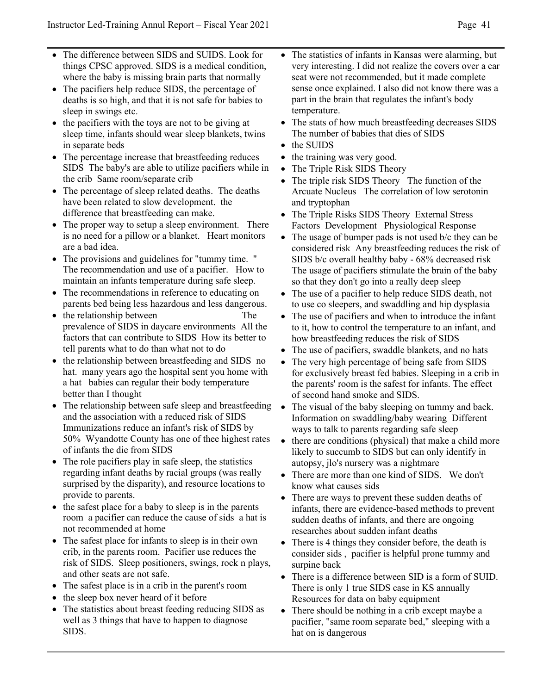- The difference between SIDS and SUIDS. Look for things CPSC approved. SIDS is a medical condition, where the baby is missing brain parts that normally
- The pacifiers help reduce SIDS, the percentage of deaths is so high, and that it is not safe for babies to sleep in swings etc.
- the pacifiers with the toys are not to be giving at sleep time, infants should wear sleep blankets, twins in separate beds
- The percentage increase that breastfeeding reduces SIDS The baby's are able to utilize pacifiers while in the crib Same room/separate crib
- The percentage of sleep related deaths. The deaths have been related to slow development. the difference that breastfeeding can make.
- The proper way to setup a sleep environment. There is no need for a pillow or a blanket. Heart monitors are a bad idea.
- The provisions and guidelines for "tummy time. " The recommendation and use of a pacifier. How to maintain an infants temperature during safe sleep.
- The recommendations in reference to educating on parents bed being less hazardous and less dangerous.
- the relationship between The prevalence of SIDS in daycare environments All the factors that can contribute to SIDS How its better to tell parents what to do than what not to do
- the relationship between breastfeeding and SIDS no hat. many years ago the hospital sent you home with a hat babies can regular their body temperature better than I thought
- The relationship between safe sleep and breastfeeding and the association with a reduced risk of SIDS Immunizations reduce an infant's risk of SIDS by 50% Wyandotte County has one of thee highest rates of infants the die from SIDS
- The role pacifiers play in safe sleep, the statistics regarding infant deaths by racial groups (was really surprised by the disparity), and resource locations to provide to parents.
- the safest place for a baby to sleep is in the parents room a pacifier can reduce the cause of sids a hat is not recommended at home
- The safest place for infants to sleep is in their own crib, in the parents room. Pacifier use reduces the risk of SIDS. Sleep positioners, swings, rock n plays, and other seats are not safe.
- The safest place is in a crib in the parent's room
- the sleep box never heard of it before
- The statistics about breast feeding reducing SIDS as well as 3 things that have to happen to diagnose SIDS.
- The statistics of infants in Kansas were alarming, but very interesting. I did not realize the covers over a car seat were not recommended, but it made complete sense once explained. I also did not know there was a part in the brain that regulates the infant's body temperature.
- The stats of how much breastfeeding decreases SIDS The number of babies that dies of SIDS
- the SUIDS
- the training was very good.
- The Triple Risk SIDS Theory
- The triple risk SIDS Theory The function of the Arcuate Nucleus The correlation of low serotonin and tryptophan
- The Triple Risks SIDS Theory External Stress Factors Development Physiological Response
- The usage of bumper pads is not used b/c they can be considered risk Any breastfeeding reduces the risk of SIDS b/c overall healthy baby - 68% decreased risk The usage of pacifiers stimulate the brain of the baby so that they don't go into a really deep sleep
- The use of a pacifier to help reduce SIDS death, not to use co sleepers, and swaddling and hip dysplasia
- The use of pacifiers and when to introduce the infant to it, how to control the temperature to an infant, and how breastfeeding reduces the risk of SIDS
- The use of pacifiers, swaddle blankets, and no hats
- The very high percentage of being safe from SIDS for exclusively breast fed babies. Sleeping in a crib in the parents' room is the safest for infants. The effect of second hand smoke and SIDS.
- The visual of the baby sleeping on tummy and back. Information on swaddling/baby wearing Different ways to talk to parents regarding safe sleep
- there are conditions (physical) that make a child more likely to succumb to SIDS but can only identify in autopsy, jlo's nursery was a nightmare
- There are more than one kind of SIDS. We don't know what causes sids
- There are ways to prevent these sudden deaths of infants, there are evidence-based methods to prevent sudden deaths of infants, and there are ongoing researches about sudden infant deaths
- There is 4 things they consider before, the death is consider sids , pacifier is helpful prone tummy and surpine back
- There is a difference between SID is a form of SUID. There is only 1 true SIDS case in KS annually Resources for data on baby equipment
- There should be nothing in a crib except maybe a pacifier, "same room separate bed," sleeping with a hat on is dangerous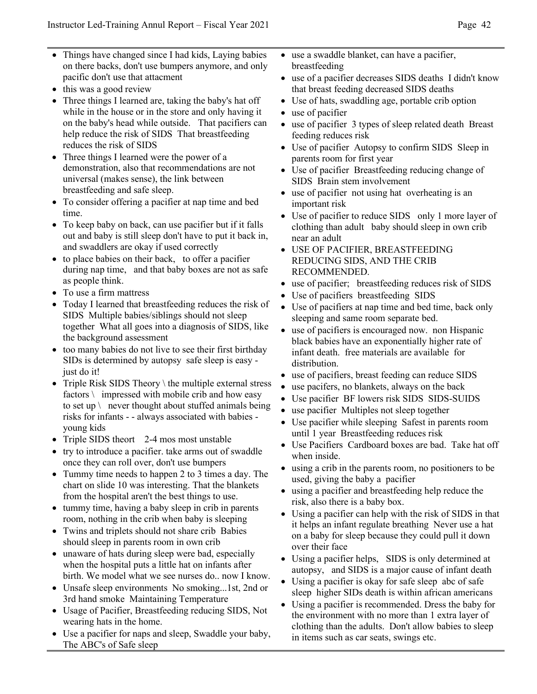- Things have changed since I had kids, Laying babies on there backs, don't use bumpers anymore, and only pacific don't use that attacment
- this was a good review
- Three things I learned are, taking the baby's hat off while in the house or in the store and only having it on the baby's head while outside. That pacifiers can help reduce the risk of SIDS That breastfeeding reduces the risk of SIDS
- Three things I learned were the power of a demonstration, also that recommendations are not universal (makes sense), the link between breastfeeding and safe sleep.
- To consider offering a pacifier at nap time and bed time.
- To keep baby on back, can use pacifier but if it falls out and baby is still sleep don't have to put it back in, and swaddlers are okay if used correctly
- to place babies on their back, to offer a pacifier during nap time, and that baby boxes are not as safe as people think.
- To use a firm mattress
- Today I learned that breastfeeding reduces the risk of SIDS Multiple babies/siblings should not sleep together What all goes into a diagnosis of SIDS, like the background assessment
- too many babies do not live to see their first birthday SIDs is determined by autopsy safe sleep is easy just do it!
- Triple Risk SIDS Theory \ the multiple external stress factors  $\setminus$  impressed with mobile crib and how easy to set up  $\setminus$  never thought about stuffed animals being risks for infants - - always associated with babies young kids
- Triple SIDS theort 2-4 mos most unstable
- try to introduce a pacifier. take arms out of swaddle once they can roll over, don't use bumpers
- Tummy time needs to happen 2 to 3 times a day. The chart on slide 10 was interesting. That the blankets from the hospital aren't the best things to use.
- tummy time, having a baby sleep in crib in parents room, nothing in the crib when baby is sleeping
- Twins and triplets should not share crib Babies should sleep in parents room in own crib
- unaware of hats during sleep were bad, especially when the hospital puts a little hat on infants after birth. We model what we see nurses do.. now I know.
- Unsafe sleep environments No smoking...1st, 2nd or 3rd hand smoke Maintaining Temperature
- Usage of Pacifier, Breastfeeding reducing SIDS, Not wearing hats in the home.
- Use a pacifier for naps and sleep, Swaddle your baby, The ABC's of Safe sleep
- use a swaddle blanket, can have a pacifier, breastfeeding
- use of a pacifier decreases SIDS deaths I didn't know that breast feeding decreased SIDS deaths
- Use of hats, swaddling age, portable crib option
- use of pacifier
- use of pacifier 3 types of sleep related death Breast feeding reduces risk
- Use of pacifier Autopsy to confirm SIDS Sleep in parents room for first year
- Use of pacifier Breastfeeding reducing change of SIDS Brain stem involvement
- use of pacifier not using hat overheating is an important risk
- Use of pacifier to reduce SIDS only 1 more layer of clothing than adult baby should sleep in own crib near an adult
- USE OF PACIFIER, BREASTFEEDING REDUCING SIDS, AND THE CRIB RECOMMENDED.
- use of pacifier; breastfeeding reduces risk of SIDS
- Use of pacifiers breastfeeding SIDS
- Use of pacifiers at nap time and bed time, back only sleeping and same room separate bed.
- use of pacifiers is encouraged now. non Hispanic black babies have an exponentially higher rate of infant death. free materials are available for distribution.
- use of pacifiers, breast feeding can reduce SIDS
- use pacifers, no blankets, always on the back
- Use pacifier BF lowers risk SIDS SIDS-SUIDS
- use pacifier Multiples not sleep together
- Use pacifier while sleeping Safest in parents room until 1 year Breastfeeding reduces risk
- Use Pacifiers Cardboard boxes are bad. Take hat off when inside.
- using a crib in the parents room, no positioners to be used, giving the baby a pacifier
- using a pacifier and breastfeeding help reduce the risk, also there is a baby box.
- Using a pacifier can help with the risk of SIDS in that it helps an infant regulate breathing Never use a hat on a baby for sleep because they could pull it down over their face
- Using a pacifier helps, SIDS is only determined at autopsy, and SIDS is a major cause of infant death
- Using a pacifier is okay for safe sleep abc of safe sleep higher SIDs death is within african americans
- Using a pacifier is recommended. Dress the baby for the environment with no more than 1 extra layer of clothing than the adults. Don't allow babies to sleep in items such as car seats, swings etc.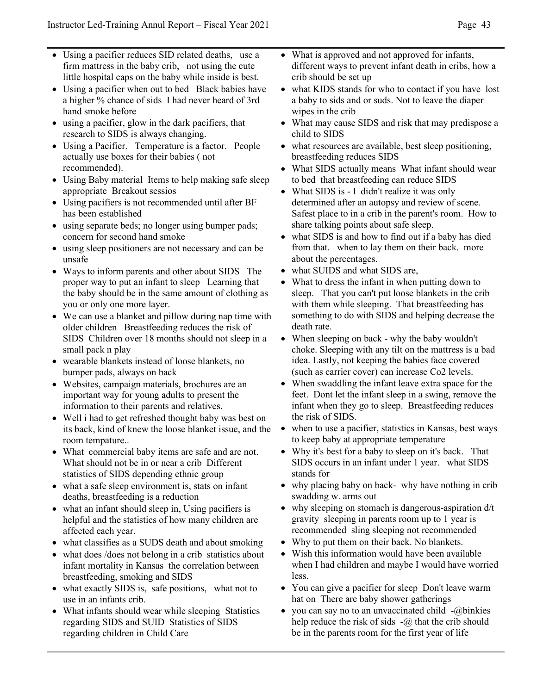- Using a pacifier reduces SID related deaths, use a firm mattress in the baby crib, not using the cute little hospital caps on the baby while inside is best.
- Using a pacifier when out to bed Black babies have a higher % chance of sids I had never heard of 3rd hand smoke before
- using a pacifier, glow in the dark pacifiers, that research to SIDS is always changing.
- Using a Pacifier. Temperature is a factor. People actually use boxes for their babies ( not recommended).
- Using Baby material Items to help making safe sleep appropriate Breakout sessios
- Using pacifiers is not recommended until after BF has been established
- using separate beds; no longer using bumper pads; concern for second hand smoke
- using sleep positioners are not necessary and can be unsafe
- Ways to inform parents and other about SIDS The proper way to put an infant to sleep Learning that the baby should be in the same amount of clothing as you or only one more layer.
- We can use a blanket and pillow during nap time with older children Breastfeeding reduces the risk of SIDS Children over 18 months should not sleep in a small pack n play
- wearable blankets instead of loose blankets, no bumper pads, always on back
- Websites, campaign materials, brochures are an important way for young adults to present the information to their parents and relatives.
- Well i had to get refreshed thought baby was best on its back, kind of knew the loose blanket issue, and the room tempature..
- What commercial baby items are safe and are not. What should not be in or near a crib Different statistics of SIDS depending ethnic group
- what a safe sleep environment is, stats on infant deaths, breastfeeding is a reduction
- what an infant should sleep in, Using pacifiers is helpful and the statistics of how many children are affected each year.
- what classifies as a SUDS death and about smoking
- what does /does not belong in a crib statistics about infant mortality in Kansas the correlation between breastfeeding, smoking and SIDS
- what exactly SIDS is, safe positions, what not to use in an infants crib.
- What infants should wear while sleeping Statistics regarding SIDS and SUID Statistics of SIDS regarding children in Child Care
- What is approved and not approved for infants, different ways to prevent infant death in cribs, how a crib should be set up
- what KIDS stands for who to contact if you have lost a baby to sids and or suds. Not to leave the diaper wipes in the crib
- What may cause SIDS and risk that may predispose a child to SIDS
- what resources are available, best sleep positioning, breastfeeding reduces SIDS
- What SIDS actually means What infant should wear to bed that breastfeeding can reduce SIDS
- What SIDS is I didn't realize it was only determined after an autopsy and review of scene. Safest place to in a crib in the parent's room. How to share talking points about safe sleep.
- what SIDS is and how to find out if a baby has died from that. when to lay them on their back. more about the percentages.
- what SUIDS and what SIDS are,
- What to dress the infant in when putting down to sleep. That you can't put loose blankets in the crib with them while sleeping. That breastfeeding has something to do with SIDS and helping decrease the death rate.
- When sleeping on back why the baby wouldn't choke. Sleeping with any tilt on the mattress is a bad idea. Lastly, not keeping the babies face covered (such as carrier cover) can increase Co2 levels.
- When swaddling the infant leave extra space for the feet. Dont let the infant sleep in a swing, remove the infant when they go to sleep. Breastfeeding reduces the risk of SIDS.
- when to use a pacifier, statistics in Kansas, best ways to keep baby at appropriate temperature
- Why it's best for a baby to sleep on it's back. That SIDS occurs in an infant under 1 year. what SIDS stands for
- why placing baby on back- why have nothing in crib swadding w. arms out
- why sleeping on stomach is dangerous-aspiration  $d/t$ gravity sleeping in parents room up to 1 year is recommended sling sleeping not recommended
- Why to put them on their back. No blankets.
- Wish this information would have been available when I had children and maybe I would have worried less.
- You can give a pacifier for sleep Don't leave warm hat on There are baby shower gatherings
- you can say no to an unvaccinated child  $-(a)$ binkies help reduce the risk of sids  $-(a)$  that the crib should be in the parents room for the first year of life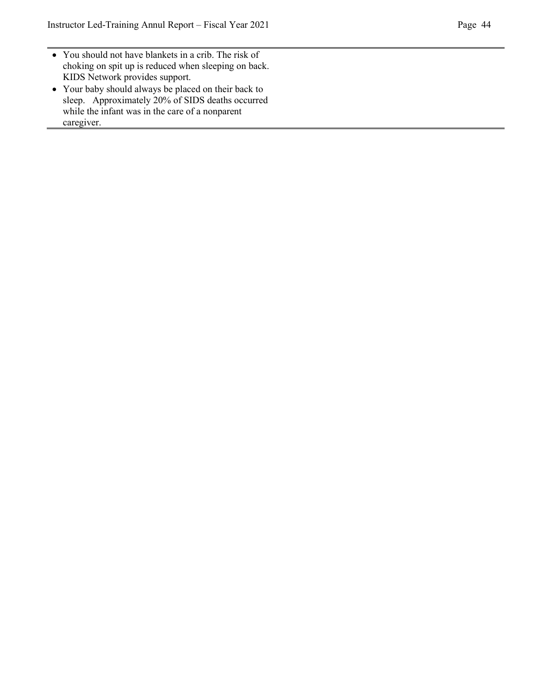- You should not have blankets in a crib. The risk of choking on spit up is reduced when sleeping on back. KIDS Network provides support.
- Your baby should always be placed on their back to sleep. Approximately 20% of SIDS deaths occurred while the infant was in the care of a nonparent caregiver.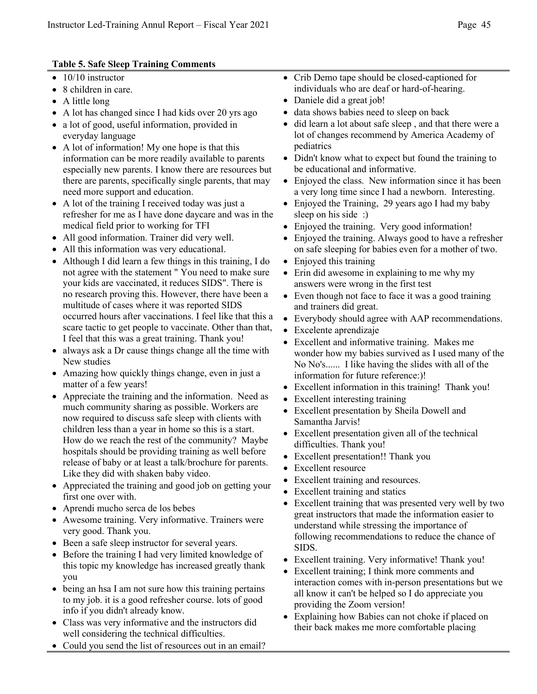#### **Table 5. Safe Sleep Training Comments**

- $\bullet$  10/10 instructor
- 8 children in care.
- A little long
- A lot has changed since I had kids over 20 yrs ago
- a lot of good, useful information, provided in everyday language
- A lot of information! My one hope is that this information can be more readily available to parents especially new parents. I know there are resources but there are parents, specifically single parents, that may need more support and education.
- A lot of the training I received today was just a refresher for me as I have done daycare and was in the medical field prior to working for TFI
- All good information. Trainer did very well.
- All this information was very educational.
- Although I did learn a few things in this training, I do not agree with the statement " You need to make sure your kids are vaccinated, it reduces SIDS". There is no research proving this. However, there have been a multitude of cases where it was reported SIDS occurred hours after vaccinations. I feel like that this a scare tactic to get people to vaccinate. Other than that, I feel that this was a great training. Thank you!
- always ask a Dr cause things change all the time with New studies
- Amazing how quickly things change, even in just a matter of a few years!
- Appreciate the training and the information. Need as much community sharing as possible. Workers are now required to discuss safe sleep with clients with children less than a year in home so this is a start. How do we reach the rest of the community? Maybe hospitals should be providing training as well before release of baby or at least a talk/brochure for parents. Like they did with shaken baby video.
- Appreciated the training and good job on getting your first one over with.
- Aprendi mucho serca de los bebes
- Awesome training. Very informative. Trainers were very good. Thank you.
- Been a safe sleep instructor for several years.
- Before the training I had very limited knowledge of this topic my knowledge has increased greatly thank you
- being an hsa I am not sure how this training pertains to my job. it is a good refresher course. lots of good info if you didn't already know.
- Class was very informative and the instructors did well considering the technical difficulties.
- Could you send the list of resources out in an email?
- Crib Demo tape should be closed-captioned for individuals who are deaf or hard-of-hearing.
- Daniele did a great job!
- data shows babies need to sleep on back
- did learn a lot about safe sleep , and that there were a lot of changes recommend by America Academy of pediatrics
- Didn't know what to expect but found the training to be educational and informative.
- Enjoyed the class. New information since it has been a very long time since I had a newborn. Interesting.
- Enjoyed the Training, 29 years ago I had my baby sleep on his side :)
- Enjoyed the training. Very good information!
- Enjoyed the training. Always good to have a refresher on safe sleeping for babies even for a mother of two.
- Enjoyed this training
- Erin did awesome in explaining to me why my answers were wrong in the first test
- Even though not face to face it was a good training and trainers did great.
- Everybody should agree with AAP recommendations.
- Excelente aprendizaje
- Excellent and informative training. Makes me wonder how my babies survived as I used many of the No No's...... I like having the slides with all of the information for future reference:)!
- Excellent information in this training! Thank you!
- Excellent interesting training
- Excellent presentation by Sheila Dowell and Samantha Jarvis!
- Excellent presentation given all of the technical difficulties. Thank you!
- Excellent presentation!! Thank you
- Excellent resource
- Excellent training and resources.
- Excellent training and statics
- Excellent training that was presented very well by two great instructors that made the information easier to understand while stressing the importance of following recommendations to reduce the chance of SIDS.
- Excellent training. Very informative! Thank you!
- Excellent training; I think more comments and interaction comes with in-person presentations but we all know it can't be helped so I do appreciate you providing the Zoom version!
- Explaining how Babies can not choke if placed on their back makes me more comfortable placing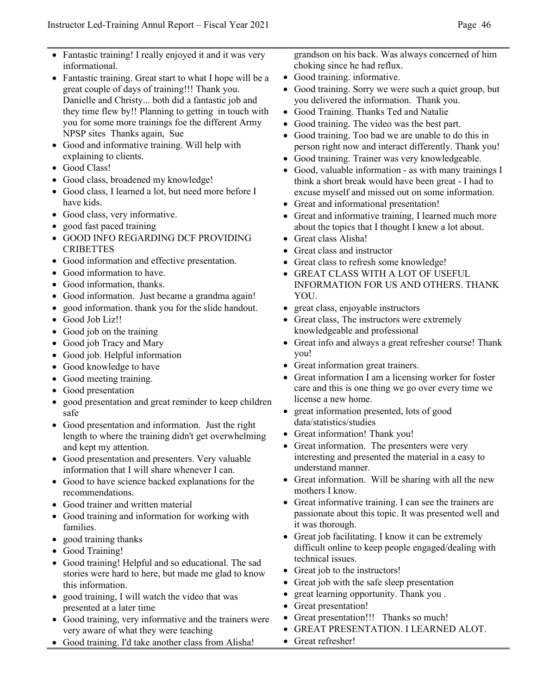- Fantastic training! I really enjoyed it and it was very informational.
- Fantastic training. Great start to what I hope will be a great couple of days of training!!! Thank you. Danielle and Christy... both did a fantastic job and they time flew by!! Planning to getting in touch with you for some more trainings foe the different Army NPSP sites Thanks again, Sue
- Good and informative training. Will help with explaining to clients.
- Good Class!
- Good class, broadened my knowledge!
- Good class, I learned a lot, but need more before I have kids.
- Good class, very informative.
- good fast paced training
- GOOD INFO REGARDING DCF PROVIDING **CRIBETTES**
- Good information and effective presentation.
- Good information to have.
- Good information, thanks.
- Good information. Just became a grandma again!
- good information. thank you for the slide handout.
- Good Job Liz!!
- Good job on the training
- Good job Tracy and Mary
- Good job. Helpful information
- Good knowledge to have
- Good meeting training.
- Good presentation
- good presentation and great reminder to keep children safe
- Good presentation and information. Just the right length to where the training didn't get overwhelming and kept my attention.
- Good presentation and presenters. Very valuable information that I will share whenever I can.
- Good to have science backed explanations for the recommendations.
- Good trainer and written material
- Good training and information for working with families.
- good training thanks
- Good Training!
- Good training! Helpful and so educational. The sad stories were hard to here, but made me glad to know this information.
- good training, I will watch the video that was presented at a later time
- Good training, very informative and the trainers were very aware of what they were teaching
- Good training. I'd take another class from Alisha!

grandson on his back. Was always concerned of him choking since he had reflux.

- Good training. informative.
- Good training. Sorry we were such a quiet group, but you delivered the information. Thank you.
- Good Training. Thanks Ted and Natalie
- Good training. The video was the best part.
- Good training. Too bad we are unable to do this in person right now and interact differently. Thank you!
- Good training. Trainer was very knowledgeable.
- Good, valuable information as with many trainings I think a short break would have been great - I had to excuse myself and missed out on some information.
- Great and informational presentation!
- Great and informative training, I learned much more about the topics that I thought I knew a lot about.
- Great class Alisha!
- Great class and instructor
- Great class to refresh some knowledge!
- GREAT CLASS WITH A LOT OF USEFUL INFORMATION FOR US AND OTHERS. THANK YOU.
- great class, enjoyable instructors
- Great class, The instructors were extremely knowledgeable and professional
- Great info and always a great refresher course! Thank you!
- Great information great trainers.
- Great information I am a licensing worker for foster care and this is one thing we go over every time we license a new home.
- great information presented, lots of good data/statistics/studies
- Great information! Thank you!
- Great information. The presenters were very interesting and presented the material in a easy to understand manner.
- Great information. Will be sharing with all the new mothers I know.
- Great informative training. I can see the trainers are passionate about this topic. It was presented well and it was thorough.
- Great job facilitating. I know it can be extremely difficult online to keep people engaged/dealing with technical issues.
- Great job to the instructors!
- Great job with the safe sleep presentation
- great learning opportunity. Thank you .
- Great presentation!
- Great presentation!!! Thanks so much!
- GREAT PRESENTATION. I LEARNED ALOT.
- Great refresher!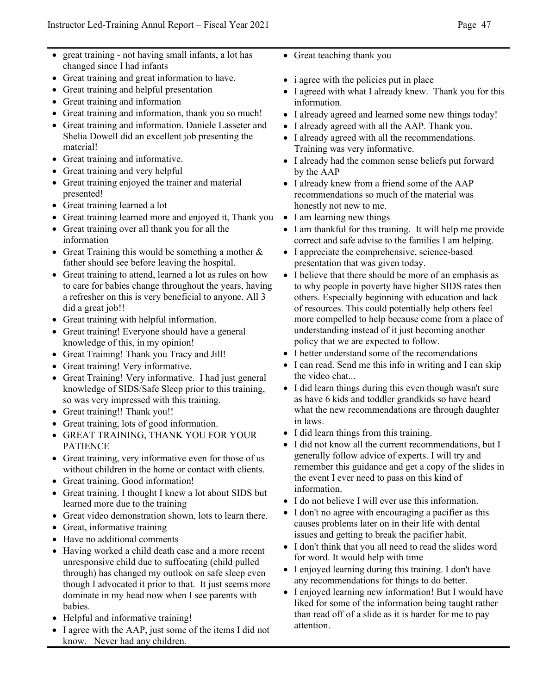- great training not having small infants, a lot has changed since I had infants
- Great training and great information to have.
- Great training and helpful presentation
- Great training and information
- Great training and information, thank you so much!
- Great training and information. Daniele Lasseter and Shelia Dowell did an excellent job presenting the material!
- Great training and informative.
- Great training and very helpful
- Great training enjoyed the trainer and material presented!
- Great training learned a lot
- Great training learned more and enjoyed it, Thank you
- Great training over all thank you for all the information
- Great Training this would be something a mother  $\&$ father should see before leaving the hospital.
- Great training to attend, learned a lot as rules on how to care for babies change throughout the years, having a refresher on this is very beneficial to anyone. All 3 did a great job!!
- Great training with helpful information.
- Great training! Everyone should have a general knowledge of this, in my opinion!
- Great Training! Thank you Tracy and Jill!
- Great training! Very informative.
- Great Training! Very informative. I had just general knowledge of SIDS/Safe Sleep prior to this training, so was very impressed with this training.
- Great training!! Thank you!!
- Great training, lots of good information.
- GREAT TRAINING, THANK YOU FOR YOUR PATIENCE
- Great training, very informative even for those of us without children in the home or contact with clients.
- Great training. Good information!
- Great training. I thought I knew a lot about SIDS but learned more due to the training
- Great video demonstration shown, lots to learn there.
- Great, informative training
- Have no additional comments
- Having worked a child death case and a more recent unresponsive child due to suffocating (child pulled through) has changed my outlook on safe sleep even though I advocated it prior to that. It just seems more dominate in my head now when I see parents with babies.
- Helpful and informative training!
- I agree with the AAP, just some of the items I did not know. Never had any children.
- Great teaching thank you
- i agree with the policies put in place
- I agreed with what I already knew. Thank you for this information.
- I already agreed and learned some new things today!
- I already agreed with all the AAP. Thank you.
- I already agreed with all the recommendations. Training was very informative.
- I already had the common sense beliefs put forward by the AAP
- I already knew from a friend some of the AAP recommendations so much of the material was honestly not new to me.
- I am learning new things
- I am thankful for this training. It will help me provide correct and safe advise to the families I am helping.
- I appreciate the comprehensive, science-based presentation that was given today.
- I believe that there should be more of an emphasis as to why people in poverty have higher SIDS rates then others. Especially beginning with education and lack of resources. This could potentially help others feel more compelled to help because come from a place of understanding instead of it just becoming another policy that we are expected to follow.
- I better understand some of the recomendations
- I can read. Send me this info in writing and I can skip the video chat...
- I did learn things during this even though wasn't sure as have 6 kids and toddler grandkids so have heard what the new recommendations are through daughter in laws.
- I did learn things from this training.
- I did not know all the current recommendations, but I generally follow advice of experts. I will try and remember this guidance and get a copy of the slides in the event I ever need to pass on this kind of information.
- I do not believe I will ever use this information.
- I don't no agree with encouraging a pacifier as this causes problems later on in their life with dental issues and getting to break the pacifier habit.
- I don't think that you all need to read the slides word for word. It would help with time
- I enjoyed learning during this training. I don't have any recommendations for things to do better.
- I enjoyed learning new information! But I would have liked for some of the information being taught rather than read off of a slide as it is harder for me to pay attention.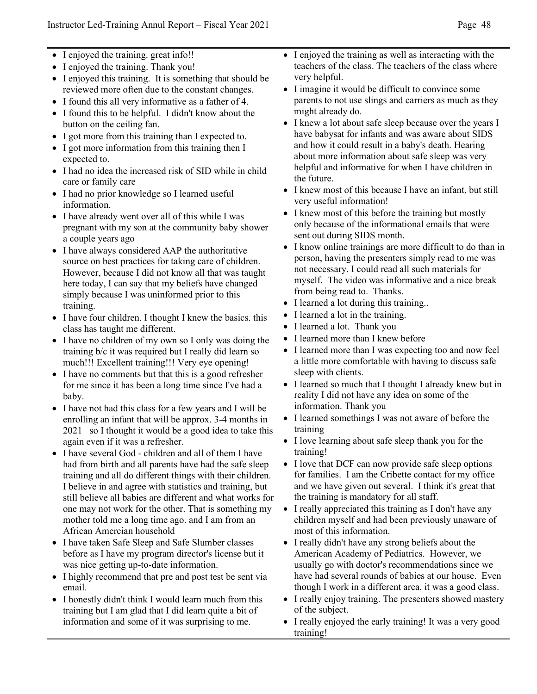- I enjoyed the training. great info!!
- I enjoyed the training. Thank you!
- I enjoyed this training. It is something that should be reviewed more often due to the constant changes.
- I found this all very informative as a father of 4.
- I found this to be helpful. I didn't know about the button on the ceiling fan.
- I got more from this training than I expected to.
- I got more information from this training then I expected to.
- I had no idea the increased risk of SID while in child care or family care
- I had no prior knowledge so I learned useful information.
- I have already went over all of this while I was pregnant with my son at the community baby shower a couple years ago
- I have always considered AAP the authoritative source on best practices for taking care of children. However, because I did not know all that was taught here today, I can say that my beliefs have changed simply because I was uninformed prior to this training.
- I have four children. I thought I knew the basics. this class has taught me different.
- I have no children of my own so I only was doing the training b/c it was required but I really did learn so much!!! Excellent training!!! Very eye opening!
- I have no comments but that this is a good refresher for me since it has been a long time since I've had a baby.
- I have not had this class for a few years and I will be enrolling an infant that will be approx. 3-4 months in 2021 so I thought it would be a good idea to take this again even if it was a refresher.
- I have several God children and all of them I have had from birth and all parents have had the safe sleep training and all do different things with their children. I believe in and agree with statistics and training, but still believe all babies are different and what works for one may not work for the other. That is something my mother told me a long time ago. and I am from an African Amercian household
- I have taken Safe Sleep and Safe Slumber classes before as I have my program director's license but it was nice getting up-to-date information.
- I highly recommend that pre and post test be sent via email.
- I honestly didn't think I would learn much from this training but I am glad that I did learn quite a bit of information and some of it was surprising to me.
- I enjoyed the training as well as interacting with the teachers of the class. The teachers of the class where very helpful.
- I imagine it would be difficult to convince some parents to not use slings and carriers as much as they might already do.
- I knew a lot about safe sleep because over the years I have babysat for infants and was aware about SIDS and how it could result in a baby's death. Hearing about more information about safe sleep was very helpful and informative for when I have children in the future.
- I knew most of this because I have an infant, but still very useful information!
- I knew most of this before the training but mostly only because of the informational emails that were sent out during SIDS month.
- I know online trainings are more difficult to do than in person, having the presenters simply read to me was not necessary. I could read all such materials for myself. The video was informative and a nice break from being read to. Thanks.
- I learned a lot during this training..
- I learned a lot in the training.
- I learned a lot. Thank you
- I learned more than I knew before
- I learned more than I was expecting too and now feel a little more comfortable with having to discuss safe sleep with clients.
- I learned so much that I thought I already knew but in reality I did not have any idea on some of the information. Thank you
- I learned somethings I was not aware of before the training
- I love learning about safe sleep thank you for the training!
- I love that DCF can now provide safe sleep options for families. I am the Cribette contact for my office and we have given out several. I think it's great that the training is mandatory for all staff.
- I really appreciated this training as I don't have any children myself and had been previously unaware of most of this information.
- I really didn't have any strong beliefs about the American Academy of Pediatrics. However, we usually go with doctor's recommendations since we have had several rounds of babies at our house. Even though I work in a different area, it was a good class.
- I really enjoy training. The presenters showed mastery of the subject.
- I really enjoyed the early training! It was a very good training!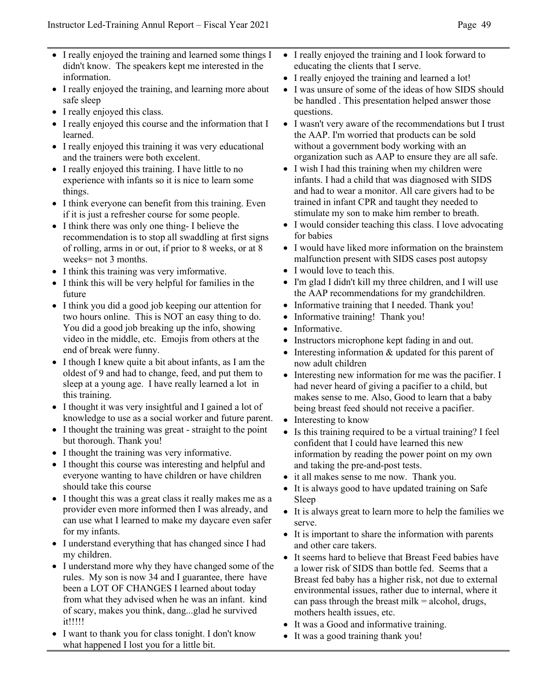- I really enjoyed the training and learned some things I didn't know. The speakers kept me interested in the information.
- I really enjoyed the training, and learning more about safe sleep
- I really enjoyed this class.
- I really enjoyed this course and the information that I learned.
- I really enjoyed this training it was very educational and the trainers were both excelent.
- I really enjoyed this training. I have little to no experience with infants so it is nice to learn some things.
- I think everyone can benefit from this training. Even if it is just a refresher course for some people.
- I think there was only one thing- I believe the recommendation is to stop all swaddling at first signs of rolling, arms in or out, if prior to 8 weeks, or at 8 weeks= not 3 months.
- I think this training was very imformative.
- I think this will be very helpful for families in the future
- I think you did a good job keeping our attention for two hours online. This is NOT an easy thing to do. You did a good job breaking up the info, showing video in the middle, etc. Emojis from others at the end of break were funny.
- I though I knew quite a bit about infants, as I am the oldest of 9 and had to change, feed, and put them to sleep at a young age. I have really learned a lot in this training.
- I thought it was very insightful and I gained a lot of knowledge to use as a social worker and future parent.
- I thought the training was great straight to the point but thorough. Thank you!
- I thought the training was very informative.
- I thought this course was interesting and helpful and everyone wanting to have children or have children should take this course
- I thought this was a great class it really makes me as a provider even more informed then I was already, and can use what I learned to make my daycare even safer for my infants.
- I understand everything that has changed since I had my children.
- I understand more why they have changed some of the rules. My son is now 34 and I guarantee, there have been a LOT OF CHANGES I learned about today from what they advised when he was an infant. kind of scary, makes you think, dang...glad he survived it!!!!!
- I want to thank you for class tonight. I don't know what happened I lost you for a little bit.
- I really enjoyed the training and I look forward to educating the clients that I serve.
- I really enjoyed the training and learned a lot!
- I was unsure of some of the ideas of how SIDS should be handled . This presentation helped answer those questions.
- I wasn't very aware of the recommendations but I trust the AAP. I'm worried that products can be sold without a government body working with an organization such as AAP to ensure they are all safe.
- I wish I had this training when my children were infants. I had a child that was diagnosed with SIDS and had to wear a monitor. All care givers had to be trained in infant CPR and taught they needed to stimulate my son to make him rember to breath.
- I would consider teaching this class. I love advocating for babies
- I would have liked more information on the brainstem malfunction present with SIDS cases post autopsy
- I would love to teach this.
- I'm glad I didn't kill my three children, and I will use the AAP recommendations for my grandchildren.
- Informative training that I needed. Thank you!
- Informative training! Thank you!
- Informative.
- Instructors microphone kept fading in and out.
- Interesting information  $&$  updated for this parent of now adult children
- Interesting new information for me was the pacifier. I had never heard of giving a pacifier to a child, but makes sense to me. Also, Good to learn that a baby being breast feed should not receive a pacifier.
- Interesting to know
- Is this training required to be a virtual training? I feel confident that I could have learned this new information by reading the power point on my own and taking the pre-and-post tests.
- it all makes sense to me now. Thank you.
- It is always good to have updated training on Safe Sleep
- It is always great to learn more to help the families we serve.
- It is important to share the information with parents and other care takers.
- It seems hard to believe that Breast Feed babies have a lower risk of SIDS than bottle fed. Seems that a Breast fed baby has a higher risk, not due to external environmental issues, rather due to internal, where it can pass through the breast milk  $=$  alcohol, drugs, mothers health issues, etc.
- It was a Good and informative training.
- It was a good training thank you!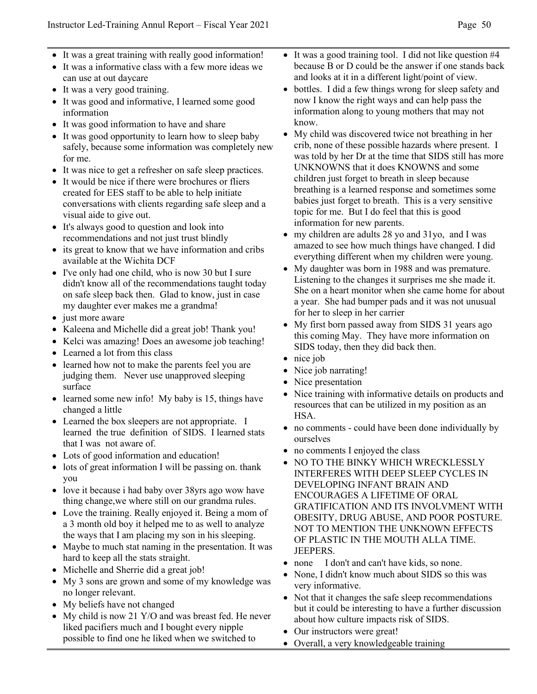- It was a great training with really good information!
- It was a informative class with a few more ideas we can use at out daycare
- It was a very good training.
- It was good and informative, I learned some good information
- It was good information to have and share
- It was good opportunity to learn how to sleep baby safely, because some information was completely new for me.
- It was nice to get a refresher on safe sleep practices.
- It would be nice if there were brochures or fliers created for EES staff to be able to help initiate conversations with clients regarding safe sleep and a visual aide to give out.
- It's always good to question and look into recommendations and not just trust blindly
- its great to know that we have information and cribs available at the Wichita DCF
- I've only had one child, who is now 30 but I sure didn't know all of the recommendations taught today on safe sleep back then. Glad to know, just in case my daughter ever makes me a grandma!
- just more aware
- Kaleena and Michelle did a great job! Thank you!
- Kelci was amazing! Does an awesome job teaching!
- Learned a lot from this class
- learned how not to make the parents feel you are judging them. Never use unapproved sleeping surface
- learned some new info! My baby is 15, things have changed a little
- Learned the box sleepers are not appropriate. I learned the true definition of SIDS. I learned stats that I was not aware of.
- Lots of good information and education!
- lots of great information I will be passing on. thank you
- love it because i had baby over 38yrs ago wow have thing change,we where still on our grandma rules.
- Love the training. Really enjoyed it. Being a mom of a 3 month old boy it helped me to as well to analyze the ways that I am placing my son in his sleeping.
- Maybe to much stat naming in the presentation. It was hard to keep all the stats straight.
- Michelle and Sherrie did a great job!
- My 3 sons are grown and some of my knowledge was no longer relevant.
- My beliefs have not changed
- My child is now 21 Y/O and was breast fed. He never liked pacifiers much and I bought every nipple possible to find one he liked when we switched to
- It was a good training tool. I did not like question #4 because B or D could be the answer if one stands back and looks at it in a different light/point of view.
- bottles. I did a few things wrong for sleep safety and now I know the right ways and can help pass the information along to young mothers that may not know.
- My child was discovered twice not breathing in her crib, none of these possible hazards where present. I was told by her Dr at the time that SIDS still has more UNKNOWNS that it does KNOWNS and some children just forget to breath in sleep because breathing is a learned response and sometimes some babies just forget to breath. This is a very sensitive topic for me. But I do feel that this is good information for new parents.
- my children are adults 28 yo and 31yo, and I was amazed to see how much things have changed. I did everything different when my children were young.
- My daughter was born in 1988 and was premature. Listening to the changes it surprises me she made it. She on a heart monitor when she came home for about a year. She had bumper pads and it was not unusual for her to sleep in her carrier
- My first born passed away from SIDS 31 years ago this coming May. They have more information on SIDS today, then they did back then.
- nice job
- Nice job narrating!
- Nice presentation
- Nice training with informative details on products and resources that can be utilized in my position as an HSA.
- no comments could have been done individually by ourselves
- no comments I enjoyed the class
- NO TO THE BINKY WHICH WRECKLESSLY INTERFERES WITH DEEP SLEEP CYCLES IN DEVELOPING INFANT BRAIN AND ENCOURAGES A LIFETIME OF ORAL GRATIFICATION AND ITS INVOLVMENT WITH OBESITY, DRUG ABUSE, AND POOR POSTURE. NOT TO MENTION THE UNKNOWN EFFECTS OF PLASTIC IN THE MOUTH ALLA TIME. JEEPERS.
- none I don't and can't have kids, so none.
- None, I didn't know much about SIDS so this was very informative.
- Not that it changes the safe sleep recommendations but it could be interesting to have a further discussion about how culture impacts risk of SIDS.
- Our instructors were great!
- Overall, a very knowledgeable training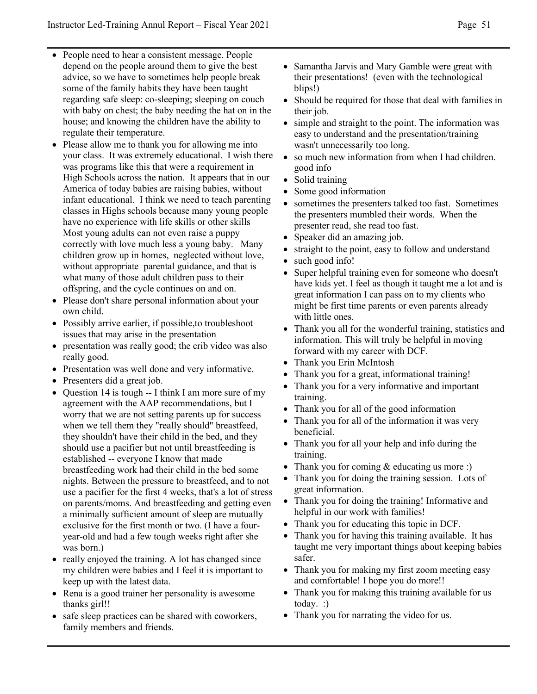- People need to hear a consistent message. People depend on the people around them to give the best advice, so we have to sometimes help people break some of the family habits they have been taught regarding safe sleep: co-sleeping; sleeping on couch with baby on chest; the baby needing the hat on in the house; and knowing the children have the ability to regulate their temperature.
- Please allow me to thank you for allowing me into your class. It was extremely educational. I wish there was programs like this that were a requirement in High Schools across the nation. It appears that in our America of today babies are raising babies, without infant educational. I think we need to teach parenting classes in Highs schools because many young people have no experience with life skills or other skills Most young adults can not even raise a puppy correctly with love much less a young baby. Many children grow up in homes, neglected without love, without appropriate parental guidance, and that is what many of those adult children pass to their offspring, and the cycle continues on and on.
- Please don't share personal information about your own child.
- Possibly arrive earlier, if possible, to troubleshoot issues that may arise in the presentation
- presentation was really good; the crib video was also really good.
- Presentation was well done and very informative.
- Presenters did a great job.
- Question 14 is tough -- I think I am more sure of my agreement with the AAP recommendations, but I worry that we are not setting parents up for success when we tell them they "really should" breastfeed, they shouldn't have their child in the bed, and they should use a pacifier but not until breastfeeding is established -- everyone I know that made breastfeeding work had their child in the bed some nights. Between the pressure to breastfeed, and to not use a pacifier for the first 4 weeks, that's a lot of stress on parents/moms. And breastfeeding and getting even a minimally sufficient amount of sleep are mutually exclusive for the first month or two. (I have a fouryear-old and had a few tough weeks right after she was born.)
- really enjoyed the training. A lot has changed since my children were babies and I feel it is important to keep up with the latest data.
- Rena is a good trainer her personality is awesome thanks girl!!
- safe sleep practices can be shared with coworkers, family members and friends.
- Samantha Jarvis and Mary Gamble were great with their presentations! (even with the technological blips!)
- Should be required for those that deal with families in their job.
- simple and straight to the point. The information was easy to understand and the presentation/training wasn't unnecessarily too long.
- so much new information from when I had children. good info
- Solid training
- Some good information
- sometimes the presenters talked too fast. Sometimes the presenters mumbled their words. When the presenter read, she read too fast.
- Speaker did an amazing job.
- straight to the point, easy to follow and understand
- such good info!
- Super helpful training even for someone who doesn't have kids yet. I feel as though it taught me a lot and is great information I can pass on to my clients who might be first time parents or even parents already with little ones.
- Thank you all for the wonderful training, statistics and information. This will truly be helpful in moving forward with my career with DCF.
- Thank you Erin McIntosh
- Thank you for a great, informational training!
- Thank you for a very informative and important training.
- Thank you for all of the good information
- Thank you for all of the information it was very beneficial.
- Thank you for all your help and info during the training.
- Thank you for coming & educating us more :)
- Thank you for doing the training session. Lots of great information.
- Thank you for doing the training! Informative and helpful in our work with families!
- Thank you for educating this topic in DCF.
- Thank you for having this training available. It has taught me very important things about keeping babies safer.
- Thank you for making my first zoom meeting easy and comfortable! I hope you do more!!
- Thank you for making this training available for us today. :)
- Thank you for narrating the video for us.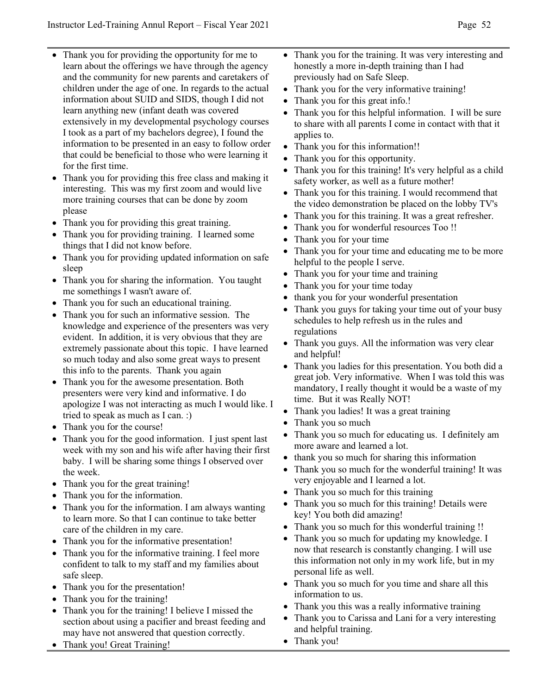- Thank you for providing the opportunity for me to learn about the offerings we have through the agency and the community for new parents and caretakers of children under the age of one. In regards to the actual information about SUID and SIDS, though I did not learn anything new (infant death was covered extensively in my developmental psychology courses I took as a part of my bachelors degree), I found the information to be presented in an easy to follow order that could be beneficial to those who were learning it for the first time.
- Thank you for providing this free class and making it interesting. This was my first zoom and would live more training courses that can be done by zoom please
- Thank you for providing this great training.
- Thank you for providing training. I learned some things that I did not know before.
- Thank you for providing updated information on safe sleep
- Thank you for sharing the information. You taught me somethings I wasn't aware of.
- Thank you for such an educational training.
- Thank you for such an informative session. The knowledge and experience of the presenters was very evident. In addition, it is very obvious that they are extremely passionate about this topic. I have learned so much today and also some great ways to present this info to the parents. Thank you again
- Thank you for the awesome presentation. Both presenters were very kind and informative. I do apologize I was not interacting as much I would like. I tried to speak as much as I can. :)
- Thank you for the course!
- Thank you for the good information. I just spent last week with my son and his wife after having their first baby. I will be sharing some things I observed over the week.
- Thank you for the great training!
- Thank you for the information.
- Thank you for the information. I am always wanting to learn more. So that I can continue to take better care of the children in my care.
- Thank you for the informative presentation!
- Thank you for the informative training. I feel more confident to talk to my staff and my families about safe sleep.
- Thank you for the presentation!
- Thank you for the training!
- Thank you for the training! I believe I missed the section about using a pacifier and breast feeding and may have not answered that question correctly.
- Thank you! Great Training!
- Thank you for the training. It was very interesting and honestly a more in-depth training than I had previously had on Safe Sleep.
- Thank you for the very informative training!
- Thank you for this great info.!
- Thank you for this helpful information. I will be sure to share with all parents I come in contact with that it applies to.
- Thank you for this information!!
- Thank you for this opportunity.
- Thank you for this training! It's very helpful as a child safety worker, as well as a future mother!
- Thank you for this training. I would recommend that the video demonstration be placed on the lobby TV's
- Thank you for this training. It was a great refresher.
- Thank you for wonderful resources Too !!
- Thank you for your time
- Thank you for your time and educating me to be more helpful to the people I serve.
- Thank you for your time and training
- Thank you for your time today
- thank you for your wonderful presentation
- Thank you guys for taking your time out of your busy schedules to help refresh us in the rules and regulations
- Thank you guys. All the information was very clear and helpful!
- Thank you ladies for this presentation. You both did a great job. Very informative. When I was told this was mandatory, I really thought it would be a waste of my time. But it was Really NOT!
- Thank you ladies! It was a great training
- Thank you so much
- Thank you so much for educating us. I definitely am more aware and learned a lot.
- thank you so much for sharing this information
- Thank you so much for the wonderful training! It was very enjoyable and I learned a lot.
- Thank you so much for this training
- Thank you so much for this training! Details were key! You both did amazing!
- Thank you so much for this wonderful training !!
- Thank you so much for updating my knowledge. I now that research is constantly changing. I will use this information not only in my work life, but in my personal life as well.
- Thank you so much for you time and share all this information to us.
- Thank you this was a really informative training
- Thank you to Carissa and Lani for a very interesting and helpful training.
- Thank you!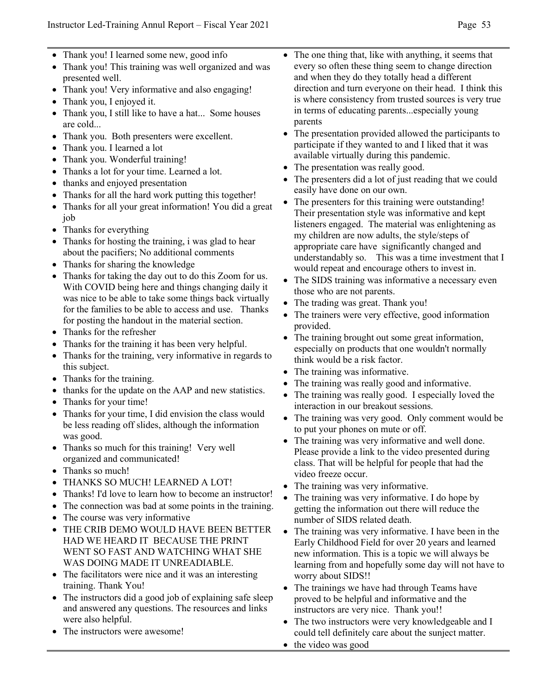- Thank you! I learned some new, good info
- Thank you! This training was well organized and was presented well.
- Thank you! Very informative and also engaging!
- Thank you, I enjoyed it.
- Thank you, I still like to have a hat... Some houses are cold...
- Thank you. Both presenters were excellent.
- Thank you. I learned a lot
- Thank you. Wonderful training!
- Thanks a lot for your time. Learned a lot.
- thanks and enjoyed presentation
- Thanks for all the hard work putting this together!
- Thanks for all your great information! You did a great job
- Thanks for everything
- Thanks for hosting the training, i was glad to hear about the pacifiers; No additional comments
- Thanks for sharing the knowledge
- Thanks for taking the day out to do this Zoom for us. With COVID being here and things changing daily it was nice to be able to take some things back virtually for the families to be able to access and use. Thanks for posting the handout in the material section.
- Thanks for the refresher
- Thanks for the training it has been very helpful.
- Thanks for the training, very informative in regards to this subject.
- Thanks for the training.
- thanks for the update on the AAP and new statistics.
- Thanks for your time!
- Thanks for your time, I did envision the class would be less reading off slides, although the information was good.
- Thanks so much for this training! Very well organized and communicated!
- Thanks so much!
- THANKS SO MUCH! LEARNED A LOT!
- Thanks! I'd love to learn how to become an instructor!
- The connection was bad at some points in the training.
- The course was very informative
- THE CRIB DEMO WOULD HAVE BEEN BETTER HAD WE HEARD IT BECAUSE THE PRINT WENT SO FAST AND WATCHING WHAT SHE WAS DOING MADE IT UNREADIABLE.
- The facilitators were nice and it was an interesting training. Thank You!
- The instructors did a good job of explaining safe sleep and answered any questions. The resources and links were also helpful.
- The instructors were awesome!
- The one thing that, like with anything, it seems that every so often these thing seem to change direction and when they do they totally head a different direction and turn everyone on their head. I think this is where consistency from trusted sources is very true in terms of educating parents...especially young parents
- The presentation provided allowed the participants to participate if they wanted to and I liked that it was available virtually during this pandemic.
- The presentation was really good.
- The presenters did a lot of just reading that we could easily have done on our own.
- The presenters for this training were outstanding! Their presentation style was informative and kept listeners engaged. The material was enlightening as my children are now adults, the style/steps of appropriate care have significantly changed and understandably so. This was a time investment that I would repeat and encourage others to invest in.
- The SIDS training was informative a necessary even those who are not parents.
- The trading was great. Thank you!
- The trainers were very effective, good information provided.
- The training brought out some great information, especially on products that one wouldn't normally think would be a risk factor.
- The training was informative.
- The training was really good and informative.
- The training was really good. I especially loved the interaction in our breakout sessions.
- The training was very good. Only comment would be to put your phones on mute or off.
- The training was very informative and well done. Please provide a link to the video presented during class. That will be helpful for people that had the video freeze occur.
- The training was very informative.
- The training was very informative. I do hope by getting the information out there will reduce the number of SIDS related death.
- The training was very informative. I have been in the Early Childhood Field for over 20 years and learned new information. This is a topic we will always be learning from and hopefully some day will not have to worry about SIDS!!
- The trainings we have had through Teams have proved to be helpful and informative and the instructors are very nice. Thank you!!
- The two instructors were very knowledgeable and I could tell definitely care about the sunject matter.
- the video was good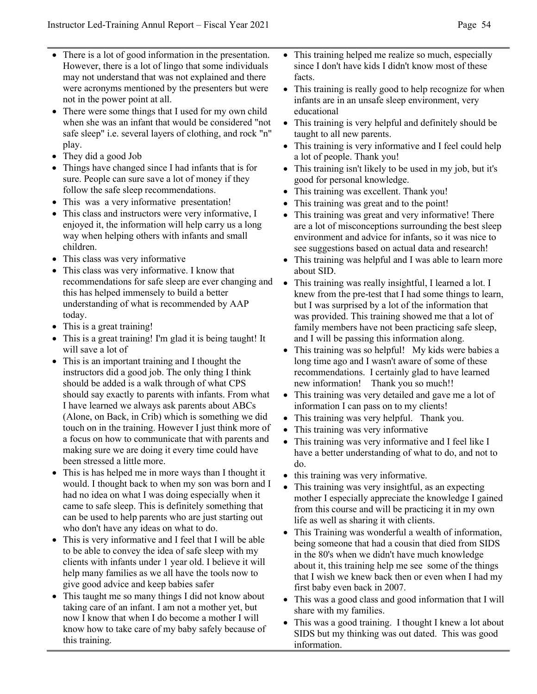- There is a lot of good information in the presentation. However, there is a lot of lingo that some individuals may not understand that was not explained and there were acronyms mentioned by the presenters but were not in the power point at all.
- There were some things that I used for my own child when she was an infant that would be considered "not safe sleep" i.e. several layers of clothing, and rock "n" play.
- They did a good Job
- Things have changed since I had infants that is for sure. People can sure save a lot of money if they follow the safe sleep recommendations.
- This was a very informative presentation!
- This class and instructors were very informative, I enjoyed it, the information will help carry us a long way when helping others with infants and small children.
- This class was very informative
- This class was very informative. I know that recommendations for safe sleep are ever changing and this has helped immensely to build a better understanding of what is recommended by AAP today.
- This is a great training!
- This is a great training! I'm glad it is being taught! It will save a lot of
- This is an important training and I thought the instructors did a good job. The only thing I think should be added is a walk through of what CPS should say exactly to parents with infants. From what I have learned we always ask parents about ABCs (Alone, on Back, in Crib) which is something we did touch on in the training. However I just think more of a focus on how to communicate that with parents and making sure we are doing it every time could have been stressed a little more.
- This is has helped me in more ways than I thought it would. I thought back to when my son was born and I had no idea on what I was doing especially when it came to safe sleep. This is definitely something that can be used to help parents who are just starting out who don't have any ideas on what to do.
- This is very informative and I feel that I will be able to be able to convey the idea of safe sleep with my clients with infants under 1 year old. I believe it will help many families as we all have the tools now to give good advice and keep babies safer
- This taught me so many things I did not know about taking care of an infant. I am not a mother yet, but now I know that when I do become a mother I will know how to take care of my baby safely because of this training.
- This training helped me realize so much, especially since I don't have kids I didn't know most of these facts.
- This training is really good to help recognize for when infants are in an unsafe sleep environment, very educational
- This training is very helpful and definitely should be taught to all new parents.
- This training is very informative and I feel could help a lot of people. Thank you!
- This training isn't likely to be used in my job, but it's good for personal knowledge.
- This training was excellent. Thank you!
- This training was great and to the point!
- This training was great and very informative! There are a lot of misconceptions surrounding the best sleep environment and advice for infants, so it was nice to see suggestions based on actual data and research!
- This training was helpful and I was able to learn more about SID.
- This training was really insightful, I learned a lot. I knew from the pre-test that I had some things to learn, but I was surprised by a lot of the information that was provided. This training showed me that a lot of family members have not been practicing safe sleep, and I will be passing this information along.
- This training was so helpful! My kids were babies a long time ago and I wasn't aware of some of these recommendations. I certainly glad to have learned new information! Thank you so much!!
- This training was very detailed and gave me a lot of information I can pass on to my clients!
- This training was very helpful. Thank you.
- This training was very informative
- This training was very informative and I feel like I have a better understanding of what to do, and not to do.
- this training was very informative.
- This training was very insightful, as an expecting mother I especially appreciate the knowledge I gained from this course and will be practicing it in my own life as well as sharing it with clients.
- This Training was wonderful a wealth of information, being someone that had a cousin that died from SIDS in the 80's when we didn't have much knowledge about it, this training help me see some of the things that I wish we knew back then or even when I had my first baby even back in 2007.
- This was a good class and good information that I will share with my families.
- This was a good training. I thought I knew a lot about SIDS but my thinking was out dated. This was good information.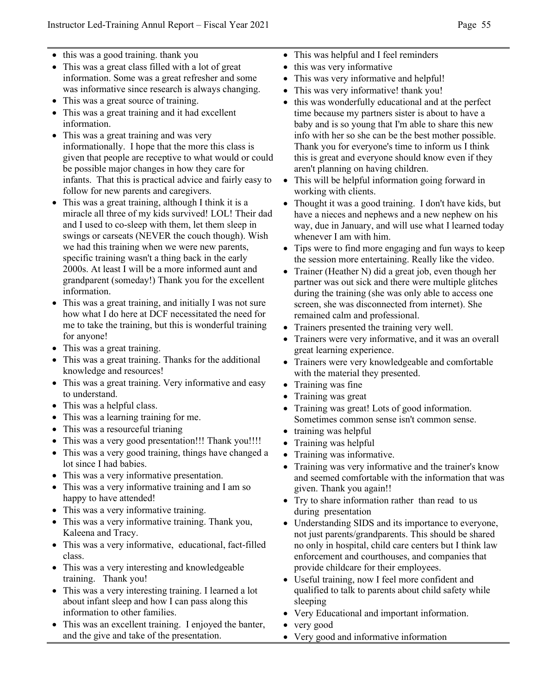- this was a good training. thank you
- This was a great class filled with a lot of great information. Some was a great refresher and some was informative since research is always changing.
- This was a great source of training.
- This was a great training and it had excellent information.
- This was a great training and was very informationally. I hope that the more this class is given that people are receptive to what would or could be possible major changes in how they care for infants. That this is practical advice and fairly easy to follow for new parents and caregivers.
- This was a great training, although I think it is a miracle all three of my kids survived! LOL! Their dad and I used to co-sleep with them, let them sleep in swings or carseats (NEVER the couch though). Wish we had this training when we were new parents, specific training wasn't a thing back in the early 2000s. At least I will be a more informed aunt and grandparent (someday!) Thank you for the excellent information.
- This was a great training, and initially I was not sure how what I do here at DCF necessitated the need for me to take the training, but this is wonderful training for anyone!
- This was a great training.
- This was a great training. Thanks for the additional knowledge and resources!
- This was a great training. Very informative and easy to understand.
- This was a helpful class.
- This was a learning training for me.
- This was a resourceful trianing
- This was a very good presentation!!! Thank you!!!!
- This was a very good training, things have changed a lot since I had babies.
- This was a very informative presentation.
- This was a very informative training and I am so happy to have attended!
- This was a very informative training.
- This was a very informative training. Thank you, Kaleena and Tracy.
- This was a very informative, educational, fact-filled class.
- This was a very interesting and knowledgeable training. Thank you!
- This was a very interesting training. I learned a lot about infant sleep and how I can pass along this information to other families.
- This was an excellent training. I enjoyed the banter, and the give and take of the presentation.
- This was helpful and I feel reminders
- this was very informative
- This was very informative and helpful!
- This was very informative! thank you!
- this was wonderfully educational and at the perfect time because my partners sister is about to have a baby and is so young that I'm able to share this new info with her so she can be the best mother possible. Thank you for everyone's time to inform us I think this is great and everyone should know even if they aren't planning on having children.
- This will be helpful information going forward in working with clients.
- Thought it was a good training. I don't have kids, but have a nieces and nephews and a new nephew on his way, due in January, and will use what I learned today whenever I am with him.
- Tips were to find more engaging and fun ways to keep the session more entertaining. Really like the video.
- Trainer (Heather N) did a great job, even though her partner was out sick and there were multiple glitches during the training (she was only able to access one screen, she was disconnected from internet). She remained calm and professional.
- Trainers presented the training very well.
- Trainers were very informative, and it was an overall great learning experience.
- Trainers were very knowledgeable and comfortable with the material they presented.
- Training was fine
- Training was great
- Training was great! Lots of good information. Sometimes common sense isn't common sense.
- training was helpful
- Training was helpful
- Training was informative.
- Training was very informative and the trainer's know and seemed comfortable with the information that was given. Thank you again!!
- Try to share information rather than read to us during presentation
- Understanding SIDS and its importance to everyone, not just parents/grandparents. This should be shared no only in hospital, child care centers but I think law enforcement and courthouses, and companies that provide childcare for their employees.
- Useful training, now I feel more confident and qualified to talk to parents about child safety while sleeping
- Very Educational and important information.
- very good
- Very good and informative information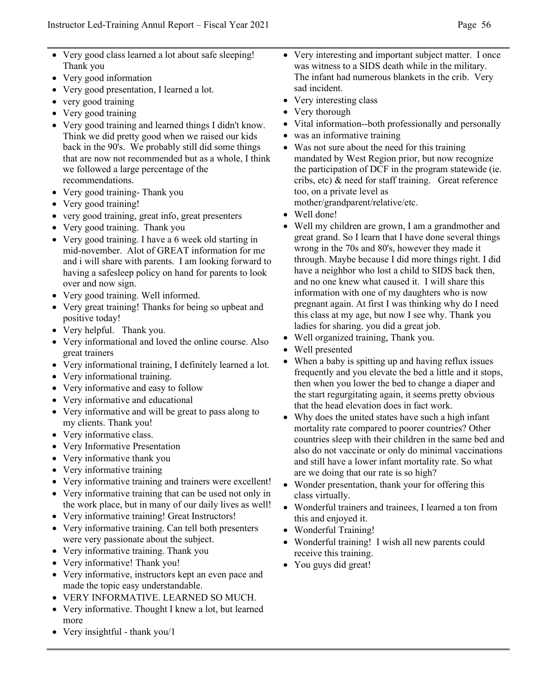- Very good class learned a lot about safe sleeping! Thank you
- Very good information
- Very good presentation, I learned a lot.
- very good training
- Very good training
- Very good training and learned things I didn't know. Think we did pretty good when we raised our kids back in the 90's. We probably still did some things that are now not recommended but as a whole, I think we followed a large percentage of the recommendations.
- Very good training- Thank you
- Very good training!
- very good training, great info, great presenters
- Very good training. Thank you
- Very good training. I have a 6 week old starting in mid-november. Alot of GREAT information for me and i will share with parents. I am looking forward to having a safesleep policy on hand for parents to look over and now sign.
- Very good training. Well informed.
- Very great training! Thanks for being so upbeat and positive today!
- Very helpful. Thank you.
- Very informational and loved the online course. Also great trainers
- Very informational training, I definitely learned a lot.
- Very informational training.
- Very informative and easy to follow
- Very informative and educational
- Very informative and will be great to pass along to my clients. Thank you!
- Very informative class.
- Very Informative Presentation
- Very informative thank you
- Very informative training
- Very informative training and trainers were excellent!
- Very informative training that can be used not only in the work place, but in many of our daily lives as well!
- Very informative training! Great Instructors!
- Very informative training. Can tell both presenters were very passionate about the subject.
- Very informative training. Thank you
- Very informative! Thank you!
- Very informative, instructors kept an even pace and made the topic easy understandable.
- VERY INFORMATIVE. LEARNED SO MUCH.
- Very informative. Thought I knew a lot, but learned more
- Very insightful thank you/1
- Very interesting and important subject matter. I once was witness to a SIDS death while in the military. The infant had numerous blankets in the crib. Very sad incident.
- Very interesting class
- Very thorough
- Vital information--both professionally and personally
- was an informative training
- Was not sure about the need for this training mandated by West Region prior, but now recognize the participation of DCF in the program statewide (ie. cribs, etc) & need for staff training. Great reference too, on a private level as mother/grandparent/relative/etc.
- Well done!
- Well my children are grown, I am a grandmother and great grand. So I learn that I have done several things wrong in the 70s and 80's, however they made it through. Maybe because I did more things right. I did have a neighbor who lost a child to SIDS back then, and no one knew what caused it. I will share this information with one of my daughters who is now pregnant again. At first I was thinking why do I need this class at my age, but now I see why. Thank you ladies for sharing. you did a great job.
- Well organized training, Thank you.
- Well presented
- When a baby is spitting up and having reflux issues frequently and you elevate the bed a little and it stops, then when you lower the bed to change a diaper and the start regurgitating again, it seems pretty obvious that the head elevation does in fact work.
- Why does the united states have such a high infant mortality rate compared to poorer countries? Other countries sleep with their children in the same bed and also do not vaccinate or only do minimal vaccinations and still have a lower infant mortality rate. So what are we doing that our rate is so high?
- Wonder presentation, thank your for offering this class virtually.
- Wonderful trainers and trainees, I learned a ton from this and enjoyed it.
- Wonderful Training!
- Wonderful training! I wish all new parents could receive this training.
- You guys did great!